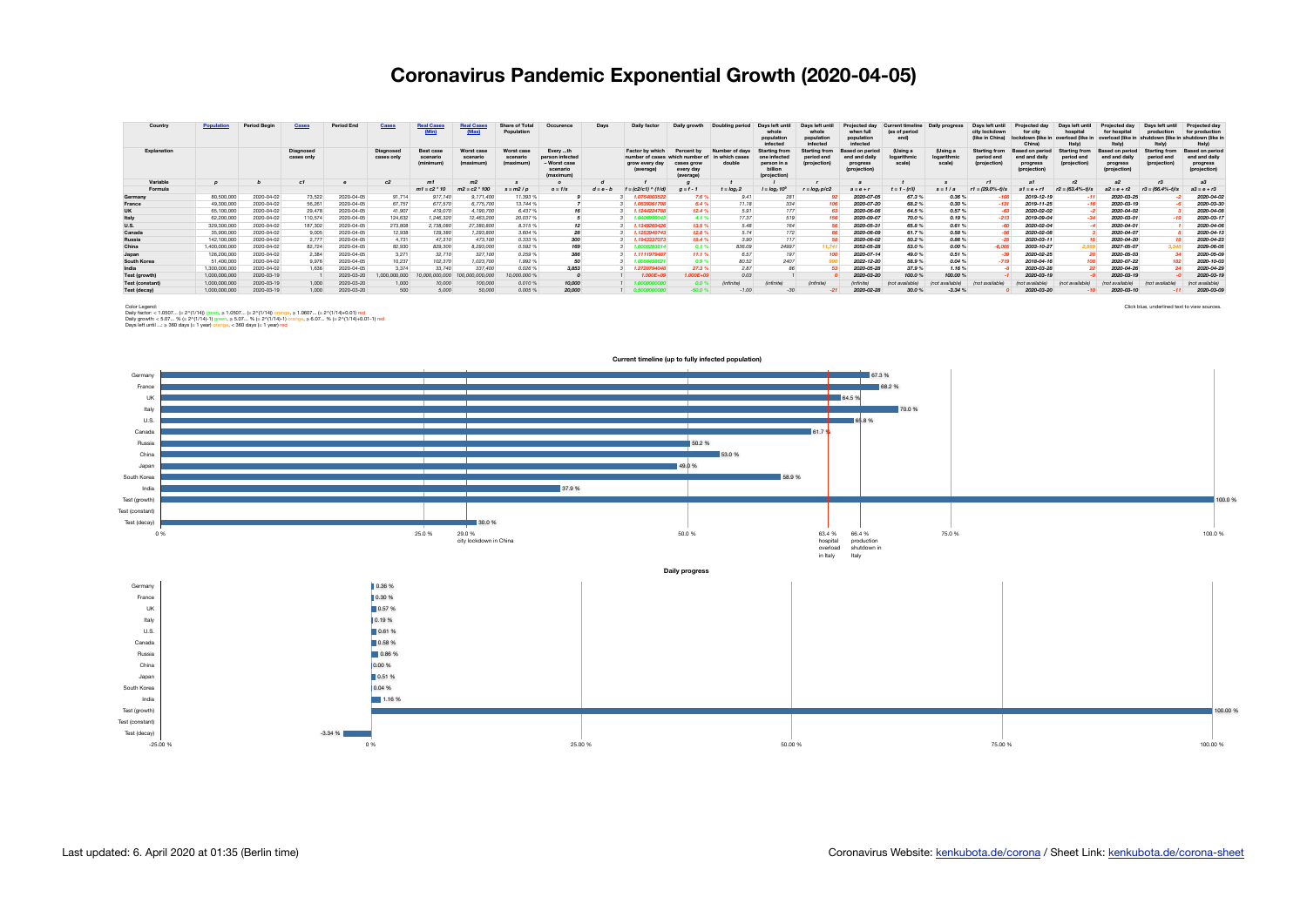## **Coronavirus Pandemic Exponential Growth (2020-04-05)**

| Country                | <b>Population</b> | <b>Period Begin</b> | <b>Cases</b>            | <b>Period End</b> | <b>Cases</b>            | <b>Real Cases</b>                  | <b>Real Cas</b>                            | <b>Share of Total</b><br>Population | Occurence                                                                   | Days        | Daily factor                                                             | Daily growth                                                                | Doubling period                               | Days left until<br>whole<br>population<br>infected                             | Davs left until<br>whole<br>populatio<br>infected  | Projected<br>when full<br>population<br>infected           | t timeline<br>las of period<br>end) | Daily progres                     | Davs left unti<br>city lockdown<br>(like in China) | <b>Projected day</b><br>for city<br>lockdown (like in<br>China | Days left<br>hospital<br>overload (like in<br><b>Italv</b> | <b>Projected</b><br>for hospital<br>overload (like | Days left until<br>production<br>utdown (like<br><b>Italy</b> | <b>Projected dav</b><br>for production<br>shutdown (like in<br>ltalv) |
|------------------------|-------------------|---------------------|-------------------------|-------------------|-------------------------|------------------------------------|--------------------------------------------|-------------------------------------|-----------------------------------------------------------------------------|-------------|--------------------------------------------------------------------------|-----------------------------------------------------------------------------|-----------------------------------------------|--------------------------------------------------------------------------------|----------------------------------------------------|------------------------------------------------------------|-------------------------------------|-----------------------------------|----------------------------------------------------|----------------------------------------------------------------|------------------------------------------------------------|----------------------------------------------------|---------------------------------------------------------------|-----------------------------------------------------------------------|
| Explanation            |                   |                     | Diagnosed<br>cases only |                   | Diagnosed<br>cases only | Best case<br>scenario<br>(minimum) | <b>Worst case</b><br>scenario<br>(maximum) | Worst case<br>scenario<br>(maximum) | Every th<br>person infected<br>- Worst case<br>scenario<br><i>(maximum)</i> |             | <b>Factor by which</b><br>number of cases<br>grow every day<br>(average) | <b>Percent by</b><br>which number of<br>cases grow<br>every day<br>(average | Numher<br>of davs<br>in which cases<br>double | <b>Starting from</b><br>one infected<br>person in a<br>billion<br>(projection) | <b>Starting from</b><br>period end<br>(projection) | sed on period<br>end and daily<br>progress<br>(projection) | (Using a<br>logarithmic<br>scale)   | (Using a<br>logarithmic<br>scale) | <b>Starting from</b><br>period end<br>(projection) | end and daily<br>progress<br>(projection)                      | Starting<br>period end<br>(projection)                     | end and daily<br>progress<br>(projection)          | <b>Starting from</b><br>period end<br>(projection)            | <b>Based on period</b><br>end and daily<br>progress<br>(projection)   |
| Variable               |                   |                     | c1                      |                   | c2                      | m1                                 | m <sub>2</sub>                             |                                     |                                                                             |             |                                                                          |                                                                             |                                               |                                                                                |                                                    |                                                            |                                     |                                   | r1                                                 |                                                                |                                                            | a2                                                 | r <sub>3</sub>                                                | a3                                                                    |
| Formula                |                   |                     |                         |                   |                         | $m1 = c2 * 10$                     | = c2 * 100<br>mź                           | $s = m2/p$                          | $o = 1/s$                                                                   | $d = e - b$ | = (c2/c1) ^ (1/d)                                                        | $q = f - 1$                                                                 | $t = log_1 2$                                 | $I = log_f 10^9$                                                               | $r = log_f p/c2$                                   | $a = e + r$                                                | $t = 1 - (r/l)$                     | $s = 1/a$                         | $r1 = (29.0\% - t)/s$                              | = e + r1                                                       | $r2 = (63.4\% - t)/s$                                      | $a2 = e + r2$                                      | $r3 = (66.4\% - t)/s$                                         | $a3 = e + r3$                                                         |
| Germany                | 80,500,000        | 2020-04-02          | 73,522                  | 2020-04-05        | 91,714                  | 917,140                            | 9,171,400                                  | 11.393 %                            |                                                                             |             | 1.0764803522                                                             | 7.6%                                                                        | 9.41                                          | 28:                                                                            |                                                    | 2020-07-05                                                 | 67.3%                               | 0.36%                             |                                                    | 2019-12-19                                                     |                                                            | 2020-03-25                                         |                                                               | 2020-04-02                                                            |
| France                 | 49,300,000        | 2020-04-02          | 56,261                  | 2020-04-05        | 67.757                  | 677,570                            | 6,775,700                                  | 13,744 %                            |                                                                             |             | 1.0639361708                                                             | 6.4 %                                                                       | 11.18                                         | 334                                                                            | 106                                                | 2020-07-20                                                 | 68.2%                               | 0.30%                             |                                                    | 2019-11-25                                                     |                                                            | 2020-03-19                                         |                                                               | 2020-03-30                                                            |
| <b>UK</b>              | 65,100,000        | 2020-04-02          | 29,478                  | 2020-04-05        | 41,907                  | 419,070                            | 4,190,700                                  | 6.437 %                             |                                                                             |             | 1.1244224788                                                             | 12.4 %                                                                      | 5.91                                          | 177                                                                            | 63                                                 | 2020-06-06                                                 | 64.5%                               | 0.57%                             |                                                    | 2020-02-02                                                     |                                                            | 2020-04-02                                         |                                                               | 2020-04-08                                                            |
| Italy                  | 62,200,000        | 2020-04-02          | 110,574                 | 2020-04-05        | 124,632                 | 1,246,320                          | 12,463,200                                 | 20.037 %                            |                                                                             |             | 1.0406999043                                                             | 4.1%                                                                        | 17.37                                         | 519                                                                            | 156                                                | 2020-09-07                                                 | 70.0%                               | 0.19%                             |                                                    | 2019-09-04                                                     |                                                            | 2020-03-01                                         |                                                               | 2020-03-17                                                            |
| <b>U.S.</b>            | 329,300,000       | 2020-04-02          | 187,302                 | 2020-04-05        | 273,808                 | 2,738,080                          | 27,380,800                                 | 8.315 %                             |                                                                             |             | 1.1349269426                                                             | 13.5 %                                                                      | 5.48                                          | 164                                                                            | 56                                                 | 2020-05-31                                                 | 65.8%                               | 0.61%                             |                                                    | 2020-02-04                                                     |                                                            | 2020-04-01                                         |                                                               | 2020-04-06                                                            |
| Canada                 | 35,900,000        | 2020-04-02          | 9.005                   | 2020-04-05        | 12.938                  | 129,380                            | 1,293,800                                  | 3.604 %                             |                                                                             |             | 1.1283949743                                                             | 12.8%                                                                       | 5.74                                          | 172                                                                            | 66                                                 | 2020-06-09                                                 | 61.7%                               | 0.58%                             |                                                    | 2020-02-08                                                     |                                                            | 2020-04-07                                         |                                                               | 2020-04-13                                                            |
| Russia                 | 142,100,000       | 2020-04-02          | 2.777                   | 2020-04-05        | 4,731                   | 47,310                             | 473,100                                    | 0.333 %                             | 300                                                                         |             | 1.1943337073                                                             | 19.4 %                                                                      | 3.90                                          | 117                                                                            | 58                                                 | 2020-06-02                                                 | 50.2%                               | 0.86 %                            |                                                    | 2020-03-11                                                     |                                                            | 2020-04-20                                         |                                                               | 2020-04-23                                                            |
| China                  | 1,400,000,000     | 2020-04-02          | 82,724                  | 2020-04-05        | 82,930                  | 829,300                            | 8,293,000                                  | 0.592 %                             | 169                                                                         |             | 1.0008293814                                                             | 0.1%                                                                        | 836.09                                        | 24997                                                                          | 11.741                                             | 2052-05-28                                                 | 53.0%                               | $0.00 \%$                         | 6.005                                              | 2003-10-27                                                     | 2.58                                                       | 2027-05-07                                         | 3.348                                                         | 2029-06-05                                                            |
| Japan                  | 126,200,000       | 2020-04-02          | 2.384                   | 2020-04-05        | 3,271                   | 32,710                             | 327,100                                    | 0.259 %                             | 386                                                                         |             | 1.1111979487                                                             | 11.1%                                                                       | 6.57                                          | 197                                                                            | 100                                                | 2020-07-14                                                 | 49.0%                               | 0.51%                             |                                                    | 2020-02-25                                                     |                                                            | 2020-05-03                                         |                                                               | 2020-05-09                                                            |
| <b>South Korea</b>     | 51,400,000        | 2020-04-02          | 9.976                   | 2020-04-05        | 10,237                  | 102,370                            | 1,023,700                                  | 1.992 %                             | 50                                                                          |             | 1.0086459621                                                             | 0.9%                                                                        | 80.52                                         | 2407                                                                           | 990                                                | 2022-12-20                                                 | 58.9%                               | 0.04%                             |                                                    | 2018-04-16                                                     |                                                            | 2020-07-22                                         | 182                                                           | 2020-10-03                                                            |
| India                  | 1,300,000,000     | 2020-04-02          | 1.636                   | 2020-04-05        | 3.374                   | 33,740                             | 337,400                                    | 0.026 %                             | 3,853                                                                       |             | 1.2728794048                                                             | 27.3%                                                                       | 2.87                                          | 86                                                                             |                                                    | 2020-05-28                                                 | 37.9%                               | 1.16%                             |                                                    | 2020-03-28                                                     |                                                            | 2020-04-26                                         |                                                               | 2020-04-29                                                            |
| Test (growth)          | 1,000,000,000     | 2020-03-19          |                         | 2020-03-20        | 000,000,000             | 000.000.000                        | 000,000,000                                | ,000.000 9                          |                                                                             |             | $1.000E + 05$                                                            | 1.000E+09                                                                   | 0.03                                          |                                                                                |                                                    | 2020-03-20                                                 | 100.0%                              | 100.00 %                          |                                                    | 2020-03-19                                                     |                                                            | 2020-03-19                                         |                                                               | 2020-03-19                                                            |
| <b>Test (constant)</b> | 1,000,000,000     | 2020-03-19          | 1.000                   | 2020-03-20        | 1,000                   | 10,000                             | 100,000                                    | 0.010 %                             | 10,000                                                                      |             | 1.000000000                                                              | 0.0%                                                                        | <i>infinitel</i>                              | (infinite)                                                                     | <i><b>linfinite</b></i>                            | (infinite)                                                 | (not available                      | available)                        | (not available)                                    | (not available)                                                | (not available                                             | (not available)                                    | (not available.                                               | (not available)                                                       |
| <b>Test (decay)</b>    | 1,000,000,000     | 2020-03-19          | 1.000                   | 2020-03-20        | 500                     | 5,000                              | 50,000                                     | $0.005$ $%$                         | 20,000                                                                      |             | 0.500000000                                                              |                                                                             | $-1.00$                                       | $-30$                                                                          |                                                    | 2020-02-28                                                 | 30.0%                               | $-3.34$ $%$                       |                                                    | 2020-03-20                                                     |                                                            | 2020-03-10                                         |                                                               | 2020-03-09                                                            |

Click blue, underlined text to view sources.<br>Daily growth: < 5.0507... (= 2^{1/14}) green, ≥ 1.0507... (= 2^{1/14}+0.07... (= 2^{1/14}+0.01} red<br>Daily growth: < 5.07... % (= 2^{1/14}) green, ≥ 1.0507... (% (= 2^{1/14}+0.0



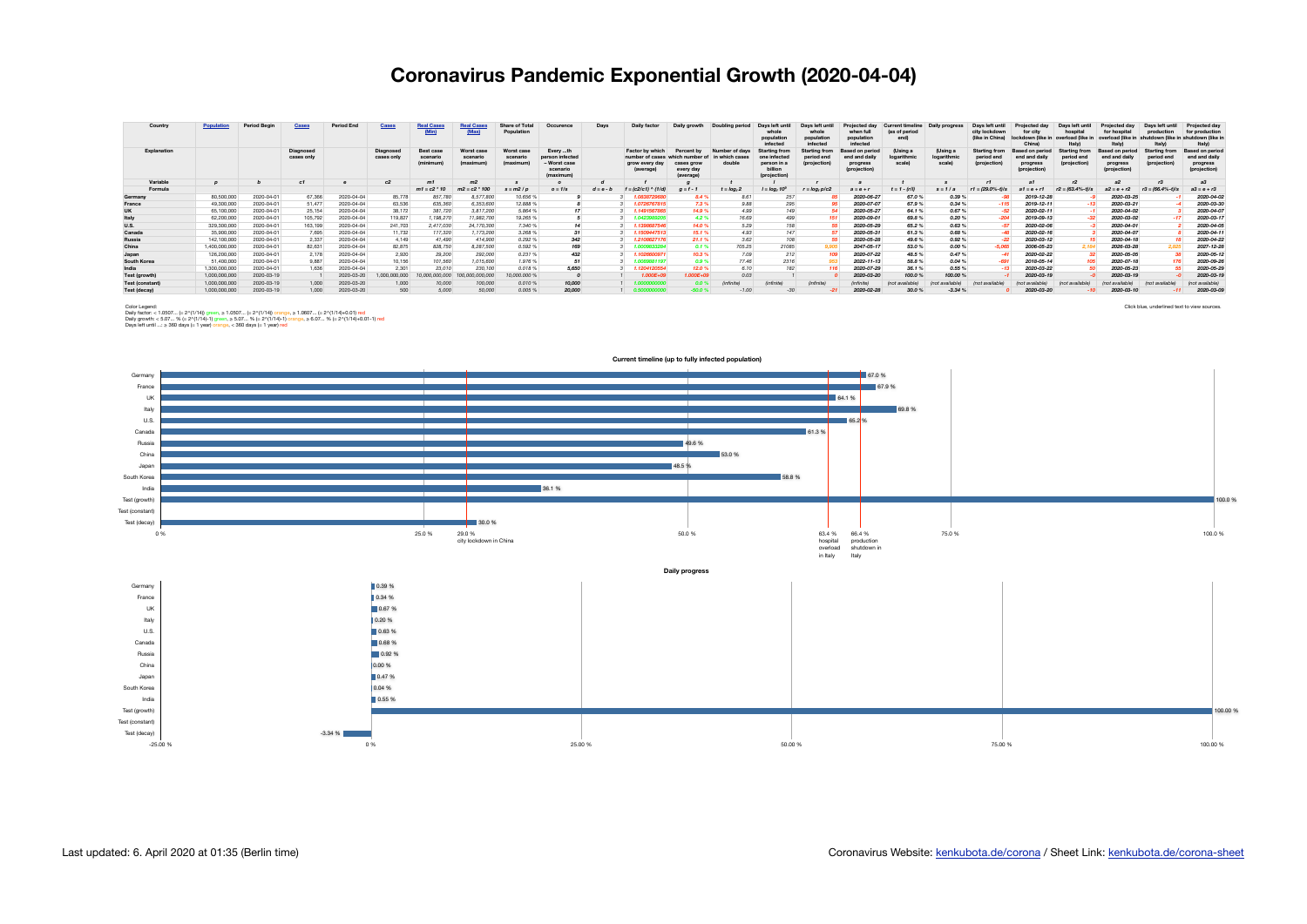## **Coronavirus Pandemic Exponential Growth (2020-04-04)**

| Country                | <b>Population</b> | <b>Period Begin</b> | <b>Cases</b>            | <b>Period End</b> | <b>Cases</b>            | <b>Real Cases</b><br>(Min)                | <b>Real Cas</b><br>Max)             | <b>Share of Total</b><br>Population        | Occurence                                                            | Days        | Daily factor                                                                                                                                                                                                                                              | Daily growth                                                                | Doubling period                            | Days left until<br>whole<br>population<br>infected                             | Davs left until<br>whole<br>population<br>infected | Projected o<br>when full<br>population<br>infected         | t timeline<br>(as of period<br>end) | Daily progres                     | Davs left unti<br>city lockdown<br>(like in China) | <b>Projected day</b><br>for city<br>lockdown (like in<br>China | Days left<br>hospital<br>overload (like in<br>Italv | Projected <b>v</b><br>for hospital<br>overload (like | Days left until<br>production<br>hutdown (like<br><b>Italy</b> | <b>Projected dav</b><br>for production<br>shutdown (like in<br>ltalv) |
|------------------------|-------------------|---------------------|-------------------------|-------------------|-------------------------|-------------------------------------------|-------------------------------------|--------------------------------------------|----------------------------------------------------------------------|-------------|-----------------------------------------------------------------------------------------------------------------------------------------------------------------------------------------------------------------------------------------------------------|-----------------------------------------------------------------------------|--------------------------------------------|--------------------------------------------------------------------------------|----------------------------------------------------|------------------------------------------------------------|-------------------------------------|-----------------------------------|----------------------------------------------------|----------------------------------------------------------------|-----------------------------------------------------|------------------------------------------------------|----------------------------------------------------------------|-----------------------------------------------------------------------|
| Explanation            |                   |                     | Diagnosed<br>cases only |                   | Diagnosed<br>cases only | <b>Best case</b><br>scenario<br>(minimum) | Worst case<br>scenario<br>(maximum) | Worst case<br>scenario<br><i>(maximum)</i> | Every th<br>person infected<br>- Worst case<br>scenario<br>(maximum) |             | <b>Factor by which</b><br>number of cases<br>grow every day<br>(average)                                                                                                                                                                                  | <b>Percent by</b><br>which number of<br>cases grow<br>every day<br>(average | Number of days<br>in which cases<br>double | <b>Starting from</b><br>one infected<br>person in a<br>billion<br>(projection) | <b>Starting from</b><br>period end<br>(projection) | sed on period<br>end and daily<br>progress<br>(projection) | (Using a<br>logarithmic<br>scale)   | (Using a<br>logarithmic<br>scale) | <b>Starting from</b><br>period end<br>(projection) | end and daily<br>progres:<br>(projection)                      | <b>Starting</b><br>period end<br>(projection)       | end and daily<br>progress<br>(projection)            | <b>Starting from</b><br>period end<br>(projection)             | <b>Based on period</b><br>end and daily<br>progress<br>(projection)   |
| Variable               |                   |                     | c1                      |                   | c2                      | m1                                        | m <sub>2</sub>                      |                                            |                                                                      |             |                                                                                                                                                                                                                                                           |                                                                             |                                            |                                                                                |                                                    |                                                            |                                     |                                   | r1                                                 |                                                                |                                                     | <b>a2</b>                                            | r <sub>3</sub>                                                 | a3                                                                    |
| Formula                |                   |                     |                         |                   |                         | $m1 = c2 * 10$                            | c2 * 100<br>m2                      | $s = m2/p$                                 | $\rho = 1/s$                                                         | $d = e - b$ | = (c2/c1) ^ (1/d                                                                                                                                                                                                                                          | $q = f - 1$                                                                 | $t = log_1 2$                              | $I = log_f 10^9$                                                               | $r = log_f p/c2$                                   | $a = e + r$                                                | $t = 1 - (r/l)$                     | s = 1 / a                         | $r1 = (29.0\% - t)/s$                              | $= e + r1$                                                     | $r2 = (63.4\% - t)/s$                               | $a2 = e + r2$                                        | $r3 = (66.4\% - t)/s$                                          | $a3 = e + r3$                                                         |
| Germany                | 80,500,000        | 2020-04-01          | 67,366                  | 2020-04-04        | 85,778                  | 857,780                                   | 8,577,800                           | 10.656 %                                   |                                                                      |             | 1.0838729680                                                                                                                                                                                                                                              | 8.4%                                                                        | 8.61                                       | 257                                                                            |                                                    | 2020-06-27                                                 | 67.0%                               | 0.39%                             |                                                    | 2019-12-28                                                     |                                                     | 2020-03-25                                           |                                                                | 2020-04-02                                                            |
| France                 | 49,300,000        | 2020-04-01          | 51,477                  | 2020-04-04        | 63.536                  | 635,360                                   | 6,353,600                           | 12,888 %                                   |                                                                      |             | 1.0726767815                                                                                                                                                                                                                                              | 7.3%                                                                        | 9.88                                       | 295                                                                            | 95                                                 | 2020-07-07                                                 | 67.9%                               | 0.34%                             |                                                    | 2019-12-11                                                     |                                                     | 2020-03-21                                           |                                                                | 2020-03-30                                                            |
| <b>UK</b>              | 65,100,000        | 2020-04-01          | 25,154                  | 2020-04-04        | 38,172                  | 381,720                                   | 3,817,200                           | 5.864 %                                    |                                                                      |             | 1.1491567865                                                                                                                                                                                                                                              | 14.9 %                                                                      | 4.99                                       | 149                                                                            | 54                                                 | 2020-05-27                                                 | 64.1%                               | 0.67%                             |                                                    | 2020-02-11                                                     |                                                     | 2020-04-02                                           |                                                                | 2020-04-07                                                            |
| Italy                  | 62,200,000        | 2020-04-01          | 105,792                 | 2020-04-04        | 119,827                 | 1,198,270                                 | 11,982,700                          | 19.265 %                                   |                                                                      |             | 1.0423989205                                                                                                                                                                                                                                              | 4.2%                                                                        | 16.69                                      | 499                                                                            | 151                                                | 2020-09-01                                                 | 69.8%                               | 0.20%                             |                                                    | 2019-09-13                                                     |                                                     | 2020-03-02                                           |                                                                | 2020-03-17                                                            |
| <b>U.S.</b>            | 329,300,000       | 2020-04-01          | 163,199                 | 2020-04-04        | 241,703                 | 2,417,030                                 | 24,170,300                          | 7.340 %                                    |                                                                      |             | 1.1398687546                                                                                                                                                                                                                                              | 14.0%                                                                       | 5.29                                       | 158                                                                            | 55                                                 | 2020-05-29                                                 | 65.2%                               | 0.63%                             |                                                    | 2020-02-06                                                     |                                                     | 2020-04-01                                           |                                                                | 2020-04-05                                                            |
| Canada                 | 35,900,000        | 2020-04-01          | 7.695                   | 2020-04-04        | 11,732                  | 117,320                                   | 1,173,200                           | 3.268 %                                    | -31                                                                  |             | 1.1509447513                                                                                                                                                                                                                                              | 15.1%                                                                       | 4.93                                       | 147                                                                            | 57                                                 | 2020-05-31                                                 | 61.3%                               | 0.68%                             |                                                    | 2020-02-16                                                     |                                                     | 2020-04-07                                           |                                                                | 2020-04-11                                                            |
| Russia                 | 142,100,000       | 2020-04-01          | 2.337                   | 2020-04-04        | 4.149                   | 41,490                                    | 414,900                             | 0.292 %                                    | 342                                                                  |             | 1.2108627176                                                                                                                                                                                                                                              | 21.1%                                                                       | 3.62                                       | 108                                                                            | 55                                                 | 2020-05-28                                                 | 49.6%                               | 0.92%                             |                                                    | 2020-03-12                                                     |                                                     | 2020-04-18                                           |                                                                | 2020-04-22                                                            |
| China                  | 1,400,000,000     | 2020-04-01          | 82,631                  | 2020-04-04        | 82,875                  | 828,750                                   | 8,287,500                           | 0.592 %                                    | 169                                                                  |             | 1.000983328                                                                                                                                                                                                                                               | 0.1%                                                                        | 705.25                                     | 21085                                                                          | 9.905                                              | 2047-05-17                                                 | 53.0%                               | $0.00 \%$                         | 5.065                                              | 2006-05-23                                                     | 2.184                                               | 2026-03-28                                           | 2.825                                                          | 2027-12-28                                                            |
| Japan                  | 126,200,000       | 2020-04-01          | 2.178                   | 2020-04-04        | 2,920                   | 29,200                                    | 292,000                             | 0.231%                                     | 432                                                                  |             | 1.1026600971                                                                                                                                                                                                                                              | 10.3%                                                                       | 7.09                                       | 212                                                                            | 109                                                | 2020-07-22                                                 | 48.5 %                              | 0.47%                             |                                                    | 2020-02-22                                                     |                                                     | 2020-05-05                                           |                                                                | 2020-05-12                                                            |
| <b>South Korea</b>     | 51,400,000        | 2020-04-01          | 9.887                   | 2020-04-04        | 10,156                  | 101,560                                   | 1,015,600                           | 1.976 %                                    | 51                                                                   |             | 1.0089881197                                                                                                                                                                                                                                              | 0.9%                                                                        | 77.46                                      | 2316                                                                           | 953                                                | 2022-11-13                                                 | 58.8%                               | 0.04%                             |                                                    | 2018-05-14                                                     |                                                     | 2020-07-18                                           |                                                                | 2020-09-26                                                            |
| India                  | 1,300,000,000     | 2020-04-01          | 1.636                   | 2020-04-04        | 2.301                   | 23,010                                    | 230,100                             | 0.018%                                     | 5.650                                                                |             | 1.1204120554                                                                                                                                                                                                                                              | 12.0%                                                                       | 6.10                                       | 182                                                                            | 116                                                | 2020-07-29                                                 | 36.1%                               | 0.55%                             |                                                    | 2020-03-22                                                     |                                                     | 2020-05-23                                           |                                                                | 2020-05-29                                                            |
| Test (growth)          | 1,000,000,000     | 2020-03-19          |                         | 2020-03-20        | 000,000,000             | 000.000.000                               | 000,000,000<br>100.                 | ,000.000 9                                 |                                                                      |             | $1.000E + 0.000E + 0.000E + 0.000E + 0.000E + 0.000E + 0.000E + 0.000E + 0.000E + 0.000E + 0.000E + 0.000E + 0.000E + 0.000E + 0.000E + 0.000E + 0.000E + 0.000E + 0.000E + 0.000E + 0.000E + 0.000E + 0.000E + 0.000E + 0.000E + 0.000E + 0.000E + 0.00$ | 1.000E+09                                                                   | 0.03                                       |                                                                                |                                                    | 2020-03-20                                                 | 100.0 %                             | 100.00 %                          |                                                    | 2020-03-19                                                     |                                                     | 2020-03-19                                           |                                                                | 2020-03-19                                                            |
| <b>Test (constant)</b> | 1,000,000,000     | 2020-03-19          | 1.000                   | 2020-03-20        | 1.000                   | 10,000                                    | 100,000                             | 0.010%                                     | 10,000                                                               |             | 1.000000000                                                                                                                                                                                                                                               | 0.0%                                                                        | 'infinite.                                 | (infinite)                                                                     | <i><b>linfinite</b></i>                            | (infinite)                                                 | (not available                      | available.<br>lno.                | (not available                                     | (not available)                                                | (not available                                      | (not available)                                      | (not available.                                                | (not available)                                                       |
| Test (decay)           | 1,000,000,000     | 2020-03-19          | 1.000                   | 2020-03-20        | 500                     | 5,000                                     | 50,000                              | 0.005                                      | 20,000                                                               |             | 0.500000000                                                                                                                                                                                                                                               |                                                                             | $-1.00$                                    | $-30$                                                                          |                                                    | 2020-02-28                                                 | 30.0%                               | $-3.34$ $%$                       |                                                    | 2020-03-20                                                     |                                                     | 2020-03-10                                           |                                                                | 2020-03-09                                                            |

Click blue, underlined text to view sources.<br>Daily growth: < 5.0507... (= 2^{1/14}) green, ≥ 1.0507... (= 2^{1/14}+0.07... (= 2^{1/14}+0.01} red<br>Daily growth: < 5.07... % (= 2^{1/14}) green, ≥ 1.0507... (% (= 2^{1/14}+0.0



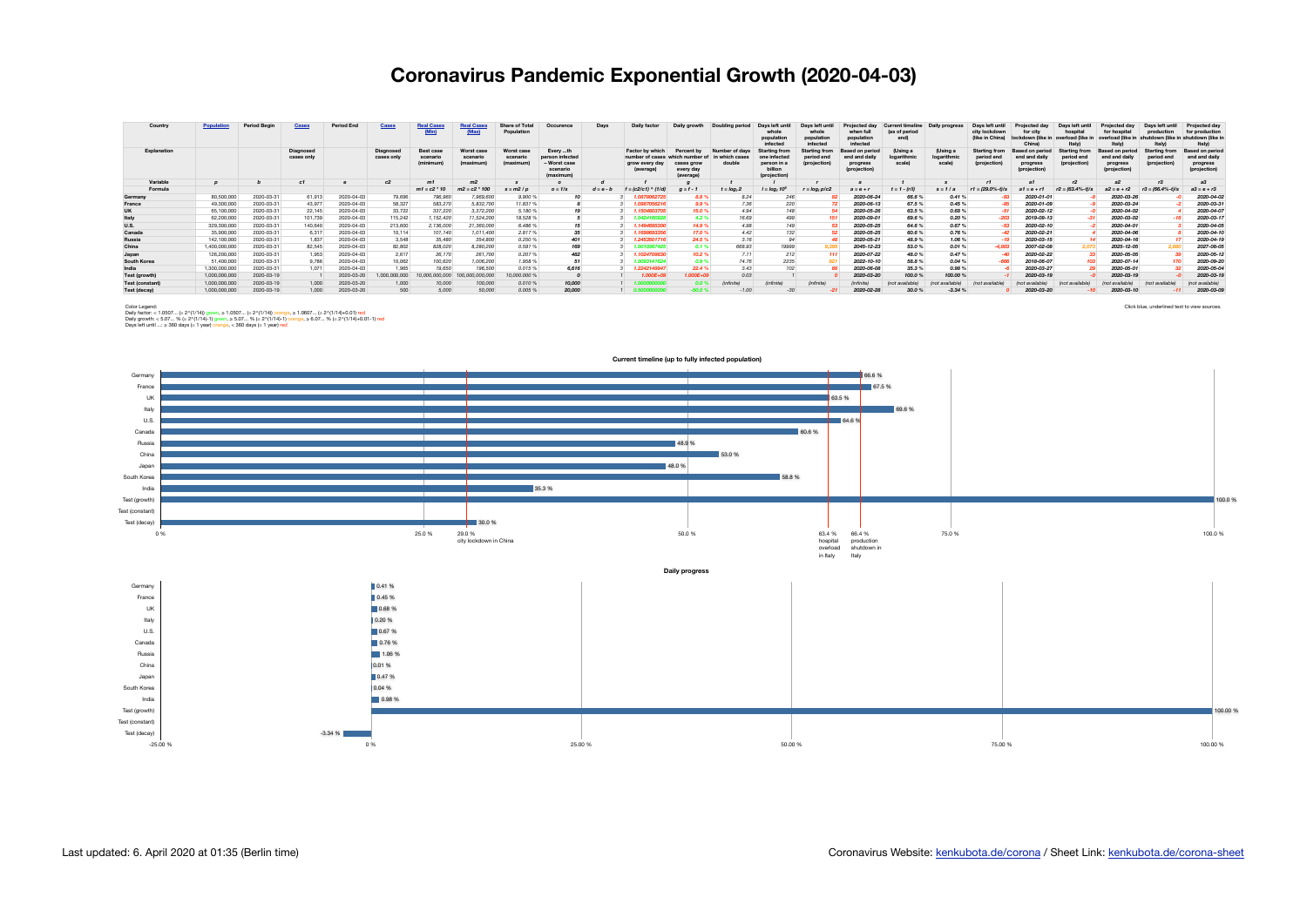## **Coronavirus Pandemic Exponential Growth (2020-04-03)**

| Country                | <b>Population</b> | <b>Period Begin</b> | <b>Cases</b>            | <b>Period End</b> | <b>Cases</b>            | <b>Real Cases</b><br>(Min)                | <b>Real Cas</b><br>Max)             | <b>Share of Total</b><br>Population        | Occurence                                                            | Days        | Daily factor                                                             | Daily growth                                                                | Doubling period                            | Days left until<br>whole<br>population<br>infected                             | Davs left until<br>whole<br>population<br>infected | Projected o<br>when full<br>population<br>infected         | t timeline<br>(as of period<br>end) | Daily progres                     | Davs left unti<br>city lockdown<br>(like in China) | <b>Projected day</b><br>for city<br>lockdown (like in<br>China | Days left<br>hospital<br>overload (like in<br>Italv | Projected <b>v</b><br>for hospital<br>overload (like | Days left until<br>production<br>hutdown (like<br><b>Italy</b> | <b>Projected dav</b><br>for production<br>shutdown (like in<br>ltalv) |
|------------------------|-------------------|---------------------|-------------------------|-------------------|-------------------------|-------------------------------------------|-------------------------------------|--------------------------------------------|----------------------------------------------------------------------|-------------|--------------------------------------------------------------------------|-----------------------------------------------------------------------------|--------------------------------------------|--------------------------------------------------------------------------------|----------------------------------------------------|------------------------------------------------------------|-------------------------------------|-----------------------------------|----------------------------------------------------|----------------------------------------------------------------|-----------------------------------------------------|------------------------------------------------------|----------------------------------------------------------------|-----------------------------------------------------------------------|
| Explanation            |                   |                     | Diagnosed<br>cases only |                   | Diagnosed<br>cases only | <b>Best case</b><br>scenario<br>(minimum) | Worst case<br>scenario<br>(maximum) | Worst case<br>scenario<br><i>(maximum)</i> | Every th<br>person infected<br>- Worst case<br>scenario<br>(maximum) |             | <b>Factor by which</b><br>number of cases<br>grow every day<br>(average) | <b>Percent by</b><br>which number of<br>cases grow<br>every day<br>(average | Number of days<br>in which cases<br>double | <b>Starting from</b><br>one infected<br>person in a<br>billion<br>(projection) | <b>Starting from</b><br>period end<br>(projection) | sed on period<br>end and daily<br>progress<br>(projection) | (Using a<br>logarithmic<br>scale)   | (Using a<br>logarithmic<br>scale) | <b>Starting from</b><br>period end<br>(projection) | end and daily<br>progres:<br>(projection)                      | <b>Starting</b><br>period end<br>(projection)       | end and daily<br>progress<br>(projection)            | <b>Starting from</b><br>period end<br>(projection)             | <b>Based on period</b><br>end and daily<br>progress<br>(projection)   |
| Variable               |                   |                     | c1                      |                   | c2                      | m1                                        | m <sub>2</sub>                      |                                            |                                                                      |             |                                                                          |                                                                             |                                            |                                                                                |                                                    |                                                            |                                     |                                   | r1                                                 |                                                                |                                                     | <b>a2</b>                                            | r <sub>3</sub>                                                 | a3                                                                    |
| Formula                |                   |                     |                         |                   |                         | $m1 = c2 * 10$                            | c2 * 100<br>mź                      | $s = m2/p$                                 | $o = 1/s$                                                            | $d = e - b$ | = (c2/c1) ^ (1/d                                                         | $q = f - 1$                                                                 | $t = log_1 2$                              | $I = log_f 10^9$                                                               | $r = log_f p/c2$                                   | $a = e + r$                                                | $t = 1 - (r/l)$                     | s = 1 / a                         | $r1 = (29.0\% - t)/s$                              |                                                                | $r2 = (63.4\% - t)/s$                               | $a2 = e + r2$                                        | $r3 = (66.4\% - t)/s$                                          | $a3 = e + r3$                                                         |
| Germany                | 80,500,000        | 2020-03-31          | 61.913                  | 2020-04-03        | 79,696                  | 796,960                                   | 7,969,600                           | 9.900 %                                    |                                                                      |             | 1.0878062725                                                             | 8.8%                                                                        | 8.24                                       | 246                                                                            |                                                    | 2020-06-24                                                 | 66.6 9                              | 0.41%                             |                                                    | 2020-01-01                                                     |                                                     | 2020-03-26                                           |                                                                | 2020-04-02                                                            |
| France                 | 49,300,000        | 2020-03-31          | 43,977                  | 2020-04-03        | 58,327                  | 583,270                                   | 5,832,700                           | 11.831 %                                   |                                                                      |             | 1.0987056216                                                             | 9.9%                                                                        | 7.36                                       | 220                                                                            | 72                                                 | 2020-06-13                                                 | 67.5%                               | 0.45%                             |                                                    | 2020-01-09                                                     |                                                     | 2020-03-24                                           |                                                                | 2020-03-31                                                            |
| <b>UK</b>              | 65,100,000        | 2020-03-31          | 22.145                  | 2020-04-03        | 33,722                  | 337,220                                   | 3,372,200                           | 5.180 %                                    |                                                                      |             | 1.1504803705                                                             | 15.0%                                                                       | 4.94                                       | 148                                                                            | 54                                                 | 2020-05-26                                                 | 63.5%                               | 0.68%                             |                                                    | 2020-02-12                                                     |                                                     | 2020-04-02                                           |                                                                | 2020-04-07                                                            |
| Italy                  | 62,200,000        | 2020-03-31          | 101,739                 | 2020-04-03        | 115,242                 | 1,152,420                                 | 11,524,200                          | 18.528 %                                   |                                                                      |             | 1.0424160928                                                             | 4.2%                                                                        | 16.69                                      | 499                                                                            | 151                                                | 2020-09-01                                                 | 69.6%                               | 0.20%                             |                                                    | 2019-09-13                                                     |                                                     | 2020-03-02                                           |                                                                | 2020-03-17                                                            |
| <b>U.S.</b>            | 329,300,000       | 2020-03-31          | 140,640                 | 2020-04-03        | 213,600                 | 2,136,000                                 | 21,360,000                          | 6.486 %                                    |                                                                      |             | 1.1494695300                                                             | 14.9%                                                                       | 4.98                                       | 149                                                                            | 53                                                 | 2020-05-25                                                 | 64.6%                               | 0.67%                             |                                                    | 2020-02-10                                                     |                                                     | 2020-04-01                                           |                                                                | 2020-04-05                                                            |
| Canada                 | 35,900,000        | 2020-03-31          | 6.317                   | 2020-04-03        | 10,114                  | 101,140                                   | 1,011,400                           | 2.817 %                                    |                                                                      |             | 1.1698693356                                                             | 17.0%                                                                       | 4.42                                       | 132                                                                            | 52                                                 | 2020-05-25                                                 | 60.6%                               | 0.76%                             |                                                    | 2020-02-21                                                     |                                                     | 2020-04-06                                           |                                                                | 2020-04-10                                                            |
| Russia                 | 142,100,000       | 2020-03-31          | 1.837                   | 2020-04-03        | 3.548                   | 35,480                                    | 354,800                             | 0.250 %                                    | 401                                                                  |             | 1.2453501716                                                             | 24.5 %                                                                      | 3.16                                       | 94                                                                             | 48                                                 | 2020-05-21                                                 | 48.9%                               | 1.06 %                            |                                                    | 2020-03-15                                                     |                                                     | 2020-04-16                                           |                                                                | 2020-04-19                                                            |
| China                  | 1,400,000,000     | 2020-03-31          | 82,545                  | 2020-04-03        | 82,802                  | 828,020                                   | 8,280,200                           | 0.591 %                                    | 169                                                                  |             | 1.0010367425                                                             | 0.1%                                                                        | 668.93                                     | 19999                                                                          | 9.395                                              | 2045-12-23                                                 | 53.0%                               | 0.01%                             | 4.803                                              | 2007-02-08                                                     | 2.07 <sub>3</sub>                                   | 2025-12-05                                           | 2.680                                                          | 2027-08-05                                                            |
| Japan                  | 126,200,000       | 2020-03-31          | 1.953                   | 2020-04-03        | 2,617                   | 26,170                                    | 261,700                             | 0.207%                                     | 482                                                                  |             | 1.1024709630                                                             | 10.2%                                                                       | 7.11                                       | 212                                                                            | 111                                                | 2020-07-22                                                 | 48.0%                               | 0.47%                             |                                                    | 2020-02-22                                                     |                                                     | 2020-05-05                                           |                                                                | 2020-05-12                                                            |
| <b>South Korea</b>     | 51,400,000        | 2020-03-31          | 9.786                   | 2020-04-03        | 10,062                  | 100,620                                   | 1,006,200                           | 1.958 %                                    | 51                                                                   |             | 1.0093141624                                                             | 0.9%                                                                        | 74.76                                      | 2235                                                                           | 921                                                | 2022-10-10                                                 | 58.8%                               | 0.04%                             |                                                    | 2018-06-07                                                     |                                                     | 2020-07-14                                           |                                                                | 2020-09-20                                                            |
| India                  | 1,300,000,000     | 2020-03-31          | 1.071                   | 2020-04-03        | 1.965                   | 19,650                                    | 196,500                             | 0.015 %                                    | 6.616                                                                |             | 1.2242149947                                                             | 22.4 %                                                                      | 3.43                                       | 102                                                                            |                                                    | 2020-06-08                                                 | 35.3%                               | 0.98%                             |                                                    | 2020-03-27                                                     |                                                     | 2020-05-01                                           |                                                                | 2020-05-04                                                            |
| Test (growth)          | 1,000,000,000     | 2020-03-19          |                         | 2020-03-20        | 000,000,000             |                                           | ,000,000,000<br>100.                | ,000.000 9                                 |                                                                      |             | $1.000E + 05$                                                            | 1.000E+09                                                                   | 0.03                                       |                                                                                |                                                    | 2020-03-20                                                 | 100.0 %                             | 100.00 %                          |                                                    | 2020-03-19                                                     |                                                     | 2020-03-19                                           |                                                                | 2020-03-19                                                            |
| <b>Test (constant)</b> | 1,000,000,000     | 2020-03-19          | 1.000                   | 2020-03-20        | 1.000                   | 10,000                                    | 100,000                             | 0.010%                                     | 10,000                                                               |             | 1.000000000                                                              | 0.0%                                                                        | 'infinite.                                 | (infinite)                                                                     | <i><b>linfinite</b></i>                            | (infinite)                                                 | (not available                      | available.                        | (not available                                     | (not available)                                                | (not available                                      | (not available)                                      | (not available.                                                | (not available)                                                       |
| Test (decay)           | 1,000,000,000     | 2020-03-19          | 1.000                   | 2020-03-20        | 500                     | 5,000                                     | 50,000                              | 0.005                                      | 20,000                                                               |             | 0.500000000                                                              | 50.0 %                                                                      | $-1.00$                                    | $-30$                                                                          |                                                    | 2020-02-28                                                 | 30.0%                               | $-3.34$ $%$                       |                                                    | 2020-03-20                                                     |                                                     | 2020-03-10                                           |                                                                | 2020-03-09                                                            |

Click blue, underlined text to view sources.<br>Daily growth: < 5.0507... (= 2^{1/14}) green, ≥ 1.0507... (= 2^{1/14}+0.07... (= 2^{1/14}+0.01} red<br>Daily growth: < 5.07... % (= 2^{1/14}) green, ≥ 1.0507... (% (= 2^{1/14}+0.0



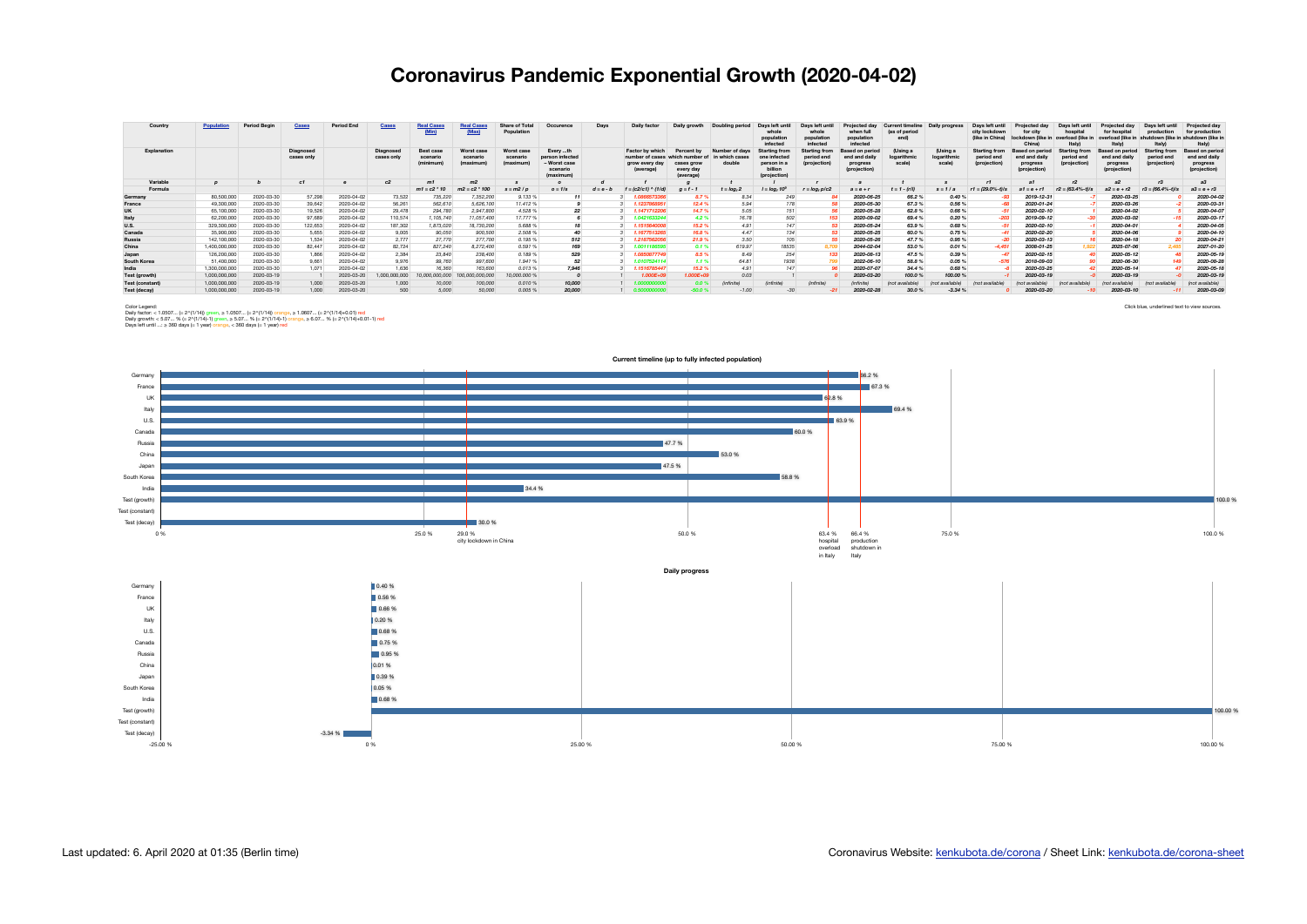## **Coronavirus Pandemic Exponential Growth (2020-04-02)**

| Country                | <b>Population</b> | <b>Period Begin</b> | <b>Cases</b>            | <b>Period End</b> | <b>Cases</b>            | <b>Real Cases</b><br>(Min)                | <b>Real Cas</b><br>Max)             | <b>Share of Total</b><br>Population        | Occurence                                                            | Days        | Daily factor                                                                | Daily growth                                                                | Doubling period                            | Days left until<br>whole<br>population<br>infected                             | Davs left until<br>whole<br>population<br>infected | Projected o<br>when full<br>population<br>infected         | t timeline<br>(as of period<br>end) | Daily progres                     | Davs left unti<br>city lockdown<br>(like in China) | <b>Projected day</b><br>for city<br>lockdown (like in<br>China | Days left<br>hospital<br>overload (like in<br>Italv | Projected <b>v</b><br>for hospital<br>overload (like | Days left until<br>production<br>hutdown (like<br><b>Italy</b> | <b>Projected dav</b><br>for production<br>shutdown (like in<br>ltalv) |
|------------------------|-------------------|---------------------|-------------------------|-------------------|-------------------------|-------------------------------------------|-------------------------------------|--------------------------------------------|----------------------------------------------------------------------|-------------|-----------------------------------------------------------------------------|-----------------------------------------------------------------------------|--------------------------------------------|--------------------------------------------------------------------------------|----------------------------------------------------|------------------------------------------------------------|-------------------------------------|-----------------------------------|----------------------------------------------------|----------------------------------------------------------------|-----------------------------------------------------|------------------------------------------------------|----------------------------------------------------------------|-----------------------------------------------------------------------|
| Explanation            |                   |                     | Diagnosed<br>cases only |                   | Diagnosed<br>cases only | <b>Best case</b><br>scenario<br>(minimum) | Worst case<br>scenario<br>(maximum) | Worst case<br>scenario<br><i>(maximum)</i> | Every th<br>person infected<br>- Worst case<br>scenario<br>(maximum) |             | <b>Factor by which</b><br>number of cases<br>arow every<br>dav<br>(average) | <b>Percent by</b><br>which number of<br>cases grow<br>every day<br>(average | Number of days<br>in which cases<br>double | <b>Starting from</b><br>one infected<br>person in a<br>billion<br>(projection) | <b>Starting from</b><br>period end<br>(projection) | sed on period<br>end and daily<br>progress<br>(projection) | (Using a<br>logarithmic<br>scale)   | (Using a<br>logarithmic<br>scale) | <b>Starting from</b><br>period end<br>(projection) | end and daily<br>progres:<br>(projection)                      | <b>Starting</b><br>period end<br>(projection)       | end and daily<br>progress<br>(projection)            | <b>Starting from</b><br>period end<br>(projection)             | <b>Based on period</b><br>end and daily<br>progress<br>(projection)   |
| Variable               |                   |                     | c1                      |                   | c2                      | m1                                        | m <sub>2</sub>                      |                                            |                                                                      |             |                                                                             |                                                                             |                                            |                                                                                |                                                    |                                                            |                                     |                                   | r1                                                 |                                                                |                                                     | <b>a2</b>                                            | r <sub>3</sub>                                                 | a3                                                                    |
| Formula                |                   |                     |                         |                   |                         | $m1 = c2 * 10$                            | c2 * 100<br>mź                      | $s = m2/p$                                 | $o = 1/s$                                                            | $d = e - b$ | = (c2/c1) ^ (1/d                                                            | $q = f - 1$                                                                 | $t = log_1 2$                              | $I = log_f 10^9$                                                               | $r = log_f p/c2$                                   | $a = e + r$                                                | $t = 1 - (r/l)$                     | s = 1 / a                         | $r1 = (29.0\% - t)/s$                              |                                                                | $r2 = (63.4\% - t)/s$                               | $a2 = e + r2$                                        | $r3 = (66.4\% - t)/s$                                          | $a3 = e + r3$                                                         |
| Germany                | 80,500,000        | 2020-03-30          | 57,298                  | 2020-04-02        | 73,522                  | 735,220                                   | 7,352,200                           | 9.133 %                                    |                                                                      |             | 1.0866573366                                                                | 8.7%                                                                        | 8.34                                       | 249                                                                            |                                                    | 2020-06-25                                                 | 66.2 %                              | 0.40 %                            |                                                    | 2019-12-31                                                     |                                                     | 2020-03-25                                           |                                                                | 2020-04-02                                                            |
| France                 | 49,300,000        | 2020-03-30          | 39.642                  | 2020-04-02        | 56,261                  | 562,610                                   | 5,626,100                           | 11.412 %                                   |                                                                      |             | 1.1237868951                                                                | 12.4%                                                                       | 5.94                                       | 178                                                                            | 58                                                 | 2020-05-30                                                 | 67.3%                               | 0.56 %                            |                                                    | 2020-01-24                                                     |                                                     | 2020-03-26                                           |                                                                | 2020-03-31                                                            |
| <b>UK</b>              | 65,100,000        | 2020-03-30          | 19,526                  | 2020-04-02        | 29,478                  | 294,780                                   | 2,947,800                           | 4.528 %                                    |                                                                      |             | 1.1471712206                                                                | 14.7%                                                                       | 5.05                                       | 151                                                                            | 56                                                 | 2020-05-28                                                 | 62.8%                               | 0.66 %                            |                                                    | 2020-02-10                                                     |                                                     | 2020-04-02                                           |                                                                | 2020-04-07                                                            |
| Italy                  | 62,200,000        | 2020-03-30          | 97.689                  | 2020-04-02        | 110,574                 | 1,105,740                                 | 11,057,400                          | 17.777 %                                   |                                                                      |             | 1.0421633244                                                                | 4.2%                                                                        | 16.78                                      | 502                                                                            | 153                                                | 2020-09-02                                                 | 69.4 %                              | 0.20%                             |                                                    | 2019-09-12                                                     |                                                     | 2020-03-02                                           |                                                                | 2020-03-17                                                            |
| <b>U.S.</b>            | 329,300,000       | 2020-03-30          | 122,653                 | 2020-04-02        | 187,302                 | 1,873,020                                 | 18,730,200                          | 5.688 %                                    |                                                                      |             | 1.1515640008                                                                | 15.2%                                                                       | 4.91                                       | 147                                                                            | 53                                                 | 2020-05-24                                                 | 63.9%                               | 0.68%                             |                                                    | 2020-02-10                                                     |                                                     | 2020-04-01                                           |                                                                | 2020-04-05                                                            |
| Canada                 | 35,900,000        | 2020-03-30          | 5.655                   | 2020-04-02        | 9.005                   | 90,050                                    | 900,500                             | 2.508 %                                    |                                                                      |             | 1.1677513265                                                                | 16.8 %                                                                      | 4.47                                       | 134                                                                            | 53                                                 | 2020-05-25                                                 | 60.0%                               | 0.75%                             |                                                    | 2020-02-20                                                     |                                                     | 2020-04-06                                           |                                                                | 2020-04-10                                                            |
| Russia                 | 142,100,000       | 2020-03-30          | 1.534                   | 2020-04-02        | 2,777                   | 27,770                                    | 277,700                             | 0.195 %                                    | 512                                                                  |             | 1.2187562056                                                                | 21.9%                                                                       | 3.50                                       | 105                                                                            | 55                                                 | 2020-05-26                                                 | 47.7%                               | 0.95%                             |                                                    | 2020-03-13                                                     |                                                     | 2020-04-18                                           |                                                                | 2020-04-21                                                            |
| China                  | 1,400,000,000     | 2020-03-30          | 82,447                  | 2020-04-02        | 82,724                  | 827,240                                   | 8,272,400                           | 0.591 %                                    | 169                                                                  |             | 1.001118659                                                                 | 0.1%                                                                        | 619.97                                     | 18535                                                                          | 3.709                                              | 2044-02-04                                                 | 53.0%                               | 0.01%                             |                                                    | 2008-01-25                                                     |                                                     | 2025-07-06                                           | 2.485                                                          | 2027-01-20                                                            |
| Japan                  | 126,200,000       | 2020-03-30          | 1.866                   | 2020-04-02        | 2,384                   | 23,840                                    | 238,400                             | 0.189 %                                    | 529                                                                  |             | 1.0850877749                                                                | 8.5 %                                                                       | 8.49                                       | 254                                                                            | 133                                                | 2020-08-13                                                 | 47.5%                               | 0.39%                             |                                                    | 2020-02-15                                                     |                                                     | 2020-05-12                                           |                                                                | 2020-05-19                                                            |
| <b>South Korea</b>     | 51,400,000        | 2020-03-30          | 9.661                   | 2020-04-02        | 9,976                   | 99,760                                    | 997,600                             | 1.941 %                                    | 52                                                                   |             | 1.0107524114                                                                | 1.1%                                                                        | 64.81                                      | 1938                                                                           | 799                                                | 2022-06-10                                                 | 58.8%                               | $0.05 \%$                         |                                                    | 2018-09-03                                                     |                                                     | 2020-06-30                                           |                                                                | 2020-08-28                                                            |
| India                  | 1,300,000,000     | 2020-03-30          | 1.071                   | 2020-04-02        | 1.636                   | 16,360                                    | 163,600                             | 0.013 %                                    | 7.946                                                                |             | 1.1516785447                                                                | 15.2%                                                                       | 4.91                                       | 147                                                                            |                                                    | 2020-07-07                                                 | 34.4 %                              | 0.68%                             |                                                    | 2020-03-25                                                     |                                                     | 2020-05-14                                           |                                                                | 2020-05-18                                                            |
| Test (growth)          | 1,000,000,000     | 2020-03-19          |                         | 2020-03-20        | 000,000,000             |                                           | ,000,000,000<br>100.0               | ,000.000 9                                 |                                                                      |             | $1.000E + 05$                                                               | 1.000E+09                                                                   | 0.03                                       |                                                                                |                                                    | 2020-03-20                                                 | 100.0 %                             | 100.00 %                          |                                                    | 2020-03-19                                                     |                                                     | 2020-03-19                                           |                                                                | 2020-03-19                                                            |
| <b>Test (constant)</b> | 1,000,000,000     | 2020-03-19          | 1.000                   | 2020-03-20        | 1.000                   | 10,000                                    | 100,000                             | 0.010%                                     | 10,000                                                               |             | 1.000000000                                                                 | 0.0%                                                                        | 'infinite.                                 | (infinite)                                                                     | <i><b>linfinite</b></i>                            | (infinite)                                                 | (not available                      | wailable.                         | (not available                                     | (not available)                                                | (not available                                      | (not available)                                      | (not available.                                                | (not available)                                                       |
| Test (decay)           | 1,000,000,000     | 2020-03-19          | 1.000                   | 2020-03-20        | 500                     | 5,000                                     | 50,000                              | 0.005                                      | 20,000                                                               |             | 0.500000000                                                                 |                                                                             | $-1.00$                                    | $-30$                                                                          |                                                    | 2020-02-28                                                 | 30.0%                               | $-3.34$ $%$                       |                                                    | 2020-03-20                                                     |                                                     | 2020-03-10                                           |                                                                | 2020-03-09                                                            |

Click blue, underlined text to view sources.<br>Daily growth: < 5.0507... (= 2^{1/14}) green, ≥ 1.0507... (= 2^{1/14}+0.07... (= 2^{1/14}+0.01} red<br>Daily growth: < 5.07... % (= 2^{1/14}) green, ≥ 1.0507... (% (= 2^{1/14}+0.0



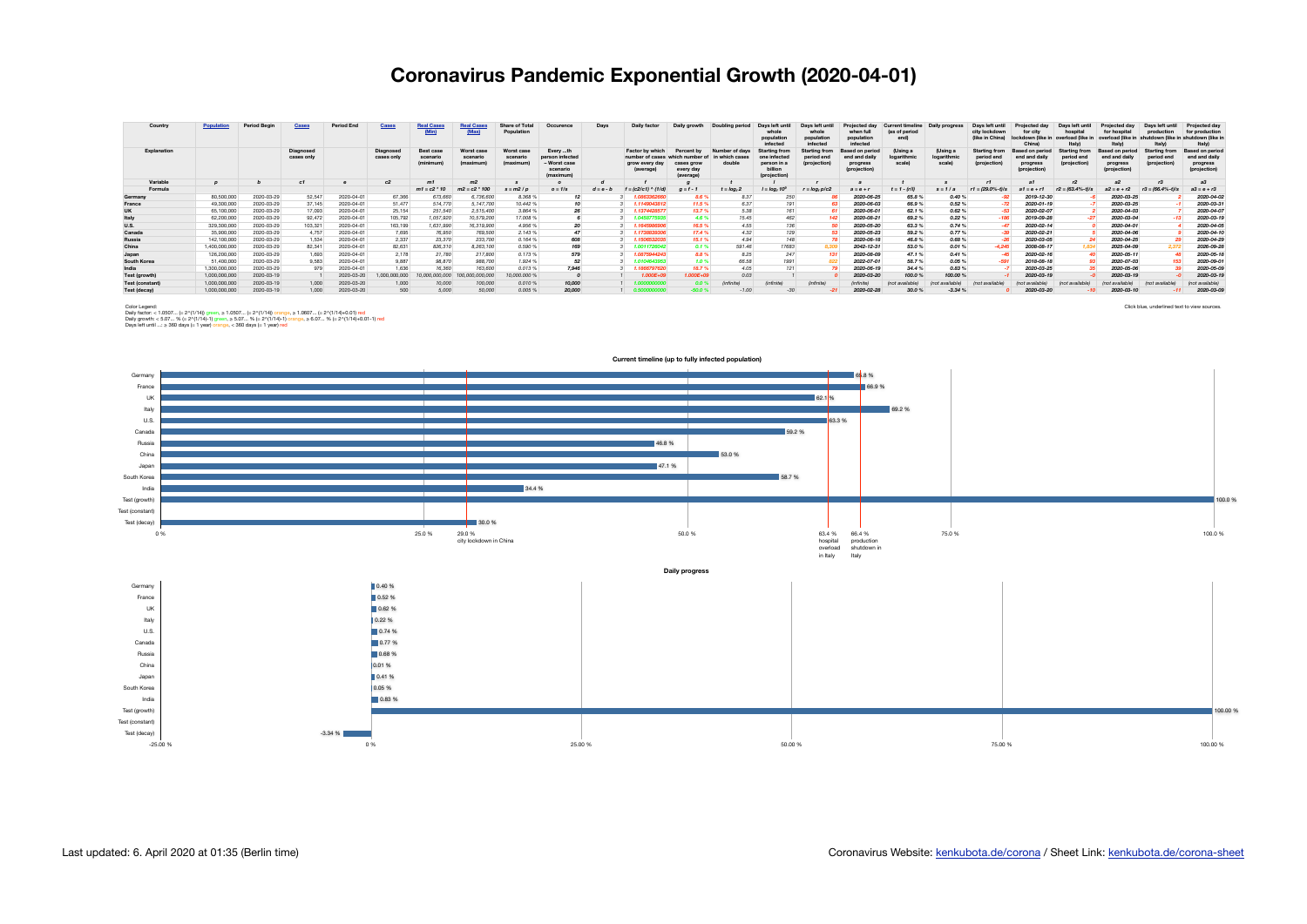## **Coronavirus Pandemic Exponential Growth (2020-04-01)**

| Country                | <b>Population</b> | <b>Period Begin</b> | <b>Cases</b>            | <b>Period End</b> | <b>Cases</b>            | <b>Real Cases</b><br>(Min)                | <b>Real Cas</b><br>Max)             | <b>Share of Total</b><br>Population        | Occurence                                                            | Days        | Daily factor                                                                | Daily growth                                                                | Doubling period                            | Days left until<br>whole<br>population<br>infected                             | Davs left until<br>whole<br>population<br>infected | Projected o<br>when full<br>population<br>infected         | t timeline<br>(as of period<br>end) | Daily progres                     | Davs left unti<br>city lockdown<br>(like in China) | <b>Projected day</b><br>for city<br>lockdown (like in<br>China | Days left<br>hospital<br>overload (like in<br>Italv | Projected <b>v</b><br>for hospital<br>overload (like | Days left until<br>production<br>hutdown (like<br><b>Italy</b> | <b>Projected dav</b><br>for production<br>shutdown (like in<br>ltalv) |
|------------------------|-------------------|---------------------|-------------------------|-------------------|-------------------------|-------------------------------------------|-------------------------------------|--------------------------------------------|----------------------------------------------------------------------|-------------|-----------------------------------------------------------------------------|-----------------------------------------------------------------------------|--------------------------------------------|--------------------------------------------------------------------------------|----------------------------------------------------|------------------------------------------------------------|-------------------------------------|-----------------------------------|----------------------------------------------------|----------------------------------------------------------------|-----------------------------------------------------|------------------------------------------------------|----------------------------------------------------------------|-----------------------------------------------------------------------|
| Explanation            |                   |                     | Diagnosed<br>cases only |                   | Diagnosed<br>cases only | <b>Best case</b><br>scenario<br>(minimum) | Worst case<br>scenario<br>(maximum) | Worst case<br>scenario<br><i>(maximum)</i> | Every th<br>person infected<br>- Worst case<br>scenario<br>(maximum) |             | <b>Factor by which</b><br>number of cases<br>arow every<br>dav<br>(average) | <b>Percent by</b><br>which number of<br>cases grow<br>every day<br>(average | Number of days<br>in which cases<br>double | <b>Starting from</b><br>one infected<br>person in a<br>billion<br>(projection) | <b>Starting from</b><br>period end<br>(projection) | sed on period<br>end and daily<br>progress<br>(projection) | (Using a<br>logarithmic<br>scale)   | (Using a<br>logarithmic<br>scale) | <b>Starting from</b><br>period end<br>(projection) | end and daily<br>progres:<br>(projection)                      | <b>Starting</b><br>period end<br>(projection)       | end and daily<br>progress<br>(projection)            | <b>Starting from</b><br>period end<br>(projection)             | <b>Based on period</b><br>end and daily<br>progress<br>(projection)   |
| Variable               |                   |                     | c1                      |                   | c2                      | m1                                        | m <sub>2</sub>                      |                                            |                                                                      |             |                                                                             |                                                                             |                                            |                                                                                |                                                    |                                                            |                                     |                                   | r1                                                 |                                                                |                                                     | <b>a2</b>                                            | r <sub>3</sub>                                                 | a3                                                                    |
| Formula                |                   |                     |                         |                   |                         | $m1 = c2 * 10$                            | c2 * 100<br>mź                      | $s = m2/p$                                 | $o = 1/s$                                                            | $d = e - b$ | = (c2/c1) ^ (1/d                                                            | $q = f - 1$                                                                 | $t = log_1 2$                              | $I = log_f 10^9$                                                               | $r = log_f p/c2$                                   | $a = e + r$                                                | $t = 1 - (r/l)$                     | s = 1 / a                         | $r1 = (29.0\% - t)/s$                              |                                                                | $r2 = (63.4\% - t)/s$                               | $a2 = e + r2$                                        | $r3 = (66.4\% - t)/s$                                          | $a3 = e + r3$                                                         |
| Germany                | 80,500,000        | 2020-03-29          | 52,547                  | 2020-04-01        | 67,366                  | 673,660                                   | 6,736,600                           | 8.368 9                                    |                                                                      |             | 1.0863362660                                                                | 8.6%                                                                        | 8.37                                       | 250                                                                            |                                                    | 2020-06-25                                                 | 65.8 %                              | 0.40 %                            |                                                    | 2019-12-30                                                     |                                                     | 2020-03-25                                           |                                                                | 2020-04-02                                                            |
| France                 | 49,300,000        | 2020-03-29          | 37.145                  | 2020-04-01        | 51,477                  | 514,770                                   | 5,147,700                           | 10.442 %                                   |                                                                      |             | 1.1149043812                                                                | 11.5 %                                                                      | 6.37                                       | 191                                                                            | 63                                                 | 2020-06-03                                                 | 66.9%                               | 0.52%                             |                                                    | 2020-01-19                                                     |                                                     | 2020-03-25                                           |                                                                | 2020-03-31                                                            |
| <b>UK</b>              | 65,100,000        | 2020-03-29          | 17,093                  | 2020-04-01        | 25,154                  | 251,540                                   | 2,515,400                           | 3.864 %                                    |                                                                      |             | 1.1374428577                                                                | 13.7%                                                                       | 5.38                                       | 161                                                                            | 61                                                 | 2020-06-01                                                 | 62.1%                               | 0.62%                             |                                                    | 2020-02-07                                                     |                                                     | 2020-04-03                                           |                                                                | 2020-04-07                                                            |
| Italy                  | 62,200,000        | 2020-03-29          | 92.472                  | 2020-04-01        | 105,792                 | 1,057,920                                 | 10,579,200                          | 17.008 %                                   |                                                                      |             | 1.045877593                                                                 | 4.6%                                                                        | 15.45                                      | 462                                                                            | 142                                                | 2020-08-21                                                 | 69.2%                               | 0.22%                             |                                                    | 2019-09-28                                                     |                                                     | 2020-03-04                                           |                                                                | 2020-03-19                                                            |
| <b>U.S.</b>            | 329,300,000       | 2020-03-29          | 103,321                 | 2020-04-01        | 163,199                 | 1,631,990                                 | 16,319,900                          | 4.956 %                                    |                                                                      |             | 1.1645986906                                                                | 16.5 %                                                                      | 4.55                                       | 136                                                                            | 50                                                 | 2020-05-20                                                 | 63.3%                               | 0.74%                             |                                                    | 2020-02-14                                                     |                                                     | 2020-04-01                                           |                                                                | 2020-04-05                                                            |
| Canada                 | 35,900,000        | 2020-03-29          | 4.757                   | 2020-04-01        | 7.695                   | 76,950                                    | 769,500                             | 2.143 %                                    | 47                                                                   |             | 1.1738839306                                                                | 17.4 %                                                                      | 4.32                                       | 129                                                                            | 53                                                 | 2020-05-23                                                 | 59.2%                               | 0.77%                             |                                                    | 2020-02-21                                                     |                                                     | 2020-04-06                                           |                                                                | 2020-04-10                                                            |
| Russia                 | 142,100,000       | 2020-03-29          | 1.534                   | 2020-04-01        | 2.337                   | 23,370                                    | 233,700                             | 0.164%                                     | 608                                                                  |             | 1.1506532035                                                                | 15.1%                                                                       | 4.94                                       | 148                                                                            |                                                    | 2020-06-18                                                 | 46.8%                               | 0.68%                             |                                                    | 2020-03-05                                                     |                                                     | 2020-04-25                                           |                                                                | 2020-04-29                                                            |
| China                  | 1,400,000,000     | 2020-03-29          | 82,341                  | 2020-04-01        | 82,631                  | 826,310                                   | 8,263,100                           | 0.590 %                                    | 169                                                                  |             | 1.0011726042                                                                | 0.1%                                                                        | 591.46                                     | 17683                                                                          | 3.309                                              | 2042-12-31                                                 | 53.0%                               | 0.01%                             |                                                    | 2008-08-17                                                     | 1.93                                                | 2025-04-09                                           | 2.372                                                          | 2026-09-28                                                            |
| Japan                  | 126,200,000       | 2020-03-29          | 1.693                   | 2020-04-01        | 2,178                   | 21,780                                    | 217,800                             | 0.173 %                                    | 579                                                                  |             | 1.0875944243                                                                | 8.8%                                                                        | 8.25                                       | 247                                                                            | 131                                                | 2020-08-09                                                 | 47.1%                               | 0.41%                             |                                                    | 2020-02-16                                                     |                                                     | 2020-05-11                                           |                                                                | 2020-05-18                                                            |
| <b>South Korea</b>     | 51,400,000        | 2020-03-29          | 9.583                   | 2020-04-01        | 9,887                   | 98,870                                    | 988,700                             | 1.924 %                                    | 52                                                                   |             | 1.0104643953                                                                | 1.0%                                                                        | 66.58                                      | 1991                                                                           |                                                    | 2022-07-01                                                 | 58.7%                               | 0.05%                             |                                                    | 2018-08-18                                                     |                                                     | 2020-07-03                                           | 153                                                            | 2020-09-0                                                             |
| India                  | 1,300,000,000     | 2020-03-29          | 979                     | 2020-04-01        | 1.636                   | 16,360                                    | 163,600                             | 0.013 %                                    | 7.946                                                                |             | 1.1866797620                                                                | 18.7%                                                                       | 4.05                                       | 121                                                                            |                                                    | 2020-06-19                                                 | 34.4 %                              | 0.83%                             |                                                    | 2020-03-25                                                     |                                                     | 2020-05-06                                           |                                                                | 2020-05-09                                                            |
| Test (growth)          | 1,000,000,000     | 2020-03-19          |                         | 2020-03-20        | 000,000,000             |                                           | ,000,000,000<br>100.0               | ,000.000 9                                 |                                                                      |             | $1.000E + 05$                                                               | 1.000E+09                                                                   | 0.03                                       |                                                                                |                                                    | 2020-03-20                                                 | 100.0 %                             | 100.00 %                          |                                                    | 2020-03-19                                                     |                                                     | 2020-03-19                                           |                                                                | 2020-03-19                                                            |
| <b>Test (constant)</b> | 1,000,000,000     | 2020-03-19          | 1.000                   | 2020-03-20        | 1.000                   | 10,000                                    | 100,000                             | 0.010%                                     | 10,000                                                               |             | 1.000000000                                                                 | 0.0%                                                                        | 'infinite.                                 | (infinite)                                                                     | <i><b>linfinite</b></i>                            | (infinite)                                                 | (not available                      | available.<br>lno.                | (not available                                     | (not available)                                                | (not available                                      | (not available)                                      | (not available.                                                | (not available)                                                       |
| Test (decay)           | 1,000,000,000     | 2020-03-19          | 1.000                   | 2020-03-20        | 500                     | 5,000                                     | 50,000                              | 0.005                                      | 20,000                                                               |             | 0.500000000                                                                 |                                                                             | $-1.00$                                    | $-30$                                                                          |                                                    | 2020-02-28                                                 | 30.0%                               | $-3.34$ $%$                       |                                                    | 2020-03-20                                                     |                                                     | 2020-03-10                                           |                                                                | 2020-03-09                                                            |

Click blue, underlined text to view sources.<br>Daily growth: < 5.0507... (= 2^{1/14}) green, ≥ 1.0507... (= 2^{1/14}+0.07... (= 2^{1/14}+0.01} red<br>Daily growth: < 5.07... % (= 2^{1/14}) green, ≥ 1.0507... (% (= 2^{1/14}+0.0



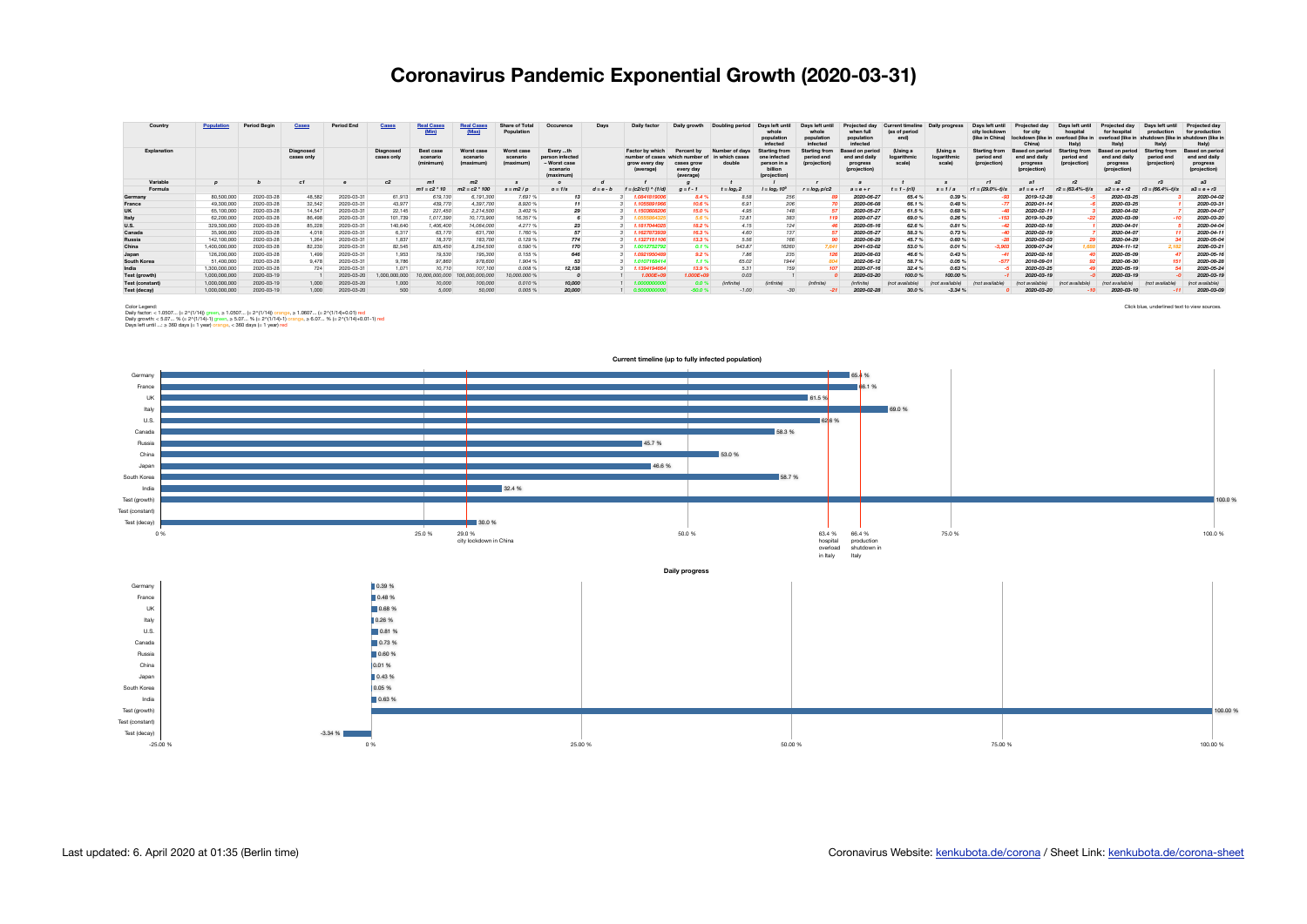## **Coronavirus Pandemic Exponential Growth (2020-03-31)**

| Country                | <b>Population</b> | <b>Period Begin</b> | Cases                   | <b>Period End</b> | <b>Cases</b>            | <b>Real Cases</b>                  | (Max)                                      | <b>Share of Total</b><br>Population        | Occurence                                                            | Days        | Daily factor                                                                                     | Daily growth                                              | Doubling period             | Days left until<br>whole<br>population<br>infected                             | Days left until<br>whole<br>population<br>infected       | when full<br>population<br>infected                       | timeline<br>las of period<br>end) | Daily progres                     | Davs left unti<br>city lockdown<br>(like in China) | <b>Projected day</b><br>for city<br>lockdown (like in<br>China | Davs left<br>hospital<br>overload (like in<br>Italy) | <b>Projected</b><br>for hospital<br>overload (like | Days left until<br>production<br>utdown (like<br>Italy) | <b>Projected dav</b><br>for production<br>shutdown (like in<br>ltalv) |
|------------------------|-------------------|---------------------|-------------------------|-------------------|-------------------------|------------------------------------|--------------------------------------------|--------------------------------------------|----------------------------------------------------------------------|-------------|--------------------------------------------------------------------------------------------------|-----------------------------------------------------------|-----------------------------|--------------------------------------------------------------------------------|----------------------------------------------------------|-----------------------------------------------------------|-----------------------------------|-----------------------------------|----------------------------------------------------|----------------------------------------------------------------|------------------------------------------------------|----------------------------------------------------|---------------------------------------------------------|-----------------------------------------------------------------------|
| Explanation            |                   |                     | Diagnosed<br>cases only |                   | Diagnosed<br>cases only | Best case<br>scenario<br>(minimum) | <b>Worst case</b><br>scenario<br>(maximum) | Worst case<br>scenario<br><i>(maximum)</i> | Every th<br>person infected<br>- Worst case<br>scenario<br>(maximum) |             | Factor by which<br>number of cases which number of in which cases<br>grow every day<br>(average) | <b>Percent by</b><br>cases grow<br>every day<br>(average) | Number<br>of davs<br>double | <b>Starting fron</b><br>one infected<br>person in a<br>billion<br>(projection) | Starting from<br>period end<br><i><b>(projection</b></i> | ed on period<br>end and daily<br>progress<br>(projection) | (Using a<br>logarithmic<br>scale) | (Using a<br>logarithmic<br>scale) | <b>Starting from</b><br>period end<br>(projection) | end and daily<br>progress<br>(projection)                      | <b>Starting</b><br>period end<br>(projection)        | end and daily<br>progress<br>(projection)          | <b>Starting fron</b><br>period end<br>(projection)      | <b>Based on period</b><br>end and daily<br>progress<br>(projection)   |
| Variable               |                   |                     | C <sub>1</sub>          |                   | c2                      | m1                                 | m <sub>2</sub>                             |                                            |                                                                      |             |                                                                                                  |                                                           |                             |                                                                                |                                                          |                                                           |                                   |                                   | r1                                                 |                                                                |                                                      | <b>a2</b>                                          | r <sub>3</sub>                                          | a3                                                                    |
| Formula                |                   |                     |                         |                   |                         | $m1 = c2 * 10$                     | c2 * 100<br>m2                             | $s = m2/p$                                 | $o = 1/s$                                                            | $d = e - b$ | : (c2/c1) ^ (1/d)                                                                                | $q = f - 1$                                               | $t = log_1 2$               | $I = log_f 10^9$                                                               | $r = log_f p/c2$                                         | $a = e + r$                                               | $t = 1 - (r/l)$                   |                                   | $r1 = (29.0\% - t)/s$                              |                                                                | $r2 = (63.4\% - t)/s$                                | a2 = e + r2                                        | $r3 = (66.4\% - t)/s$                                   | $a3 = e + r3$                                                         |
| Germany                | 80,500,000        | 2020-03-28          | 48.582                  | 2020-03-31        | 61,913                  | 619.130                            | 6,191,300                                  | 7.691 %                                    |                                                                      |             | 1.0841819006                                                                                     | 8.4%                                                      | 8.58                        | 256                                                                            |                                                          | 2020-06-27                                                | 65.4%                             | 0.39%                             |                                                    | 2019-12-28                                                     |                                                      | 2020-03-25                                         |                                                         | 2020-04-02                                                            |
| France                 | 49,300,000        | 2020-03-28          | 32,542                  | 2020-03-31        | 43,977                  | 439,770                            | 4,397,700                                  | 8.920 %                                    |                                                                      |             | 1.1055891966                                                                                     | 10.6%                                                     | 6.91                        | 206                                                                            |                                                          | 2020-06-08                                                | 66.1%                             | 0.48%                             |                                                    | 2020-01-14                                                     |                                                      | 2020-03-25                                         |                                                         | 2020-03-31                                                            |
| <b>UK</b>              | 65,100,000        | 2020-03-28          | 14.547                  | 2020-03-31        | 22.145                  | 221.450                            | 2.214.500                                  | 3.402 %                                    |                                                                      |             | 1.1503608206                                                                                     | 15.0%                                                     | 4.95                        | 148                                                                            | 57                                                       | 2020-05-27                                                | 61.5%                             | 0.68%                             |                                                    | 2020-02-11                                                     |                                                      | 2020-04-02                                         |                                                         | 2020-04-07                                                            |
| Italy                  | 62,200,000        | 2020-03-28          | 86,498                  | 2020-03-31        | 101.739                 | 1,017,390                          | 10,173,900                                 | 16.357 %                                   |                                                                      |             | 1.0555864325                                                                                     | 5.6 %                                                     | 12.81                       | 383                                                                            | 119                                                      | 2020-07-27                                                | 69.0%                             | 0.26%                             | $-153$                                             | 2019-10-29                                                     |                                                      | 2020-03-09                                         |                                                         | 2020-03-20                                                            |
| <b>U.S.</b>            | 329,300,000       | 2020-03-28          | 85,228                  | 2020-03-31        | 140,640                 | 1,406,400                          | 14,064,000                                 | 4.271 %                                    | 23                                                                   |             | 1.1817044025                                                                                     | 18.2%                                                     | 4.15                        | 124                                                                            |                                                          | 2020-05-16                                                | 62.6%                             | 0.81%                             |                                                    | 2020-02-18                                                     |                                                      | 2020-04-01                                         |                                                         | 2020-04-04                                                            |
| Canada                 | 35,900,000        | 2020-03-28          | 4.018                   | 2020-03-31        | 6.317                   | 63,170                             | 631,700                                    | 1.760 %                                    | 57                                                                   |             | 1.1627873939                                                                                     | 16.3%                                                     | 4.60                        | 137                                                                            | 57                                                       | 2020-05-27                                                | 58.3%                             | 0.73%                             |                                                    | 2020-02-19                                                     |                                                      | 2020-04-07                                         |                                                         | 2020-04-11                                                            |
| Russia                 | 142,100,000       | 2020-03-28          | 1.264                   | 2020-03-31        | 1.837                   | 18,370                             | 183,700                                    | 0.129 %                                    | 774                                                                  |             | 1.1327151106                                                                                     | 13.3 %                                                    | 5.56                        | 166                                                                            | $\alpha$                                                 | 2020-06-29                                                | 45.7%                             | 0.60%                             |                                                    | 2020-03-03                                                     |                                                      | 2020-04-29                                         |                                                         | 2020-05-04                                                            |
| China                  | 1,400,000,000     | 2020-03-28          | 82,230                  | 2020-03-31        | 82,545                  | 825,450                            | 8,254,500                                  | 0.590 %                                    | 170                                                                  |             | 1.0012752792                                                                                     | 0.1%                                                      | 543.87                      | 16260                                                                          | 7.641                                                    | 2041-03-02                                                | 53.0%                             | 0.01%                             | 3.903                                              | 2009-07-24                                                     |                                                      | 2024-11-12                                         | 2.182                                                   | 2026-03-2                                                             |
| Japan                  | 126,200,000       | 2020-03-28          | 1.499                   | 2020-03-31        | 1,953                   | 19,530                             | 195,300                                    | 0.155 %                                    | 646                                                                  |             | 1.0921950489                                                                                     | 9.2%                                                      | 7.86                        | 235                                                                            | 126                                                      | 2020-08-03                                                | 46.6%                             | 0.43%                             |                                                    | 2020-02-18                                                     |                                                      | 2020-05-09                                         |                                                         | 2020-05-16                                                            |
| <b>South Korea</b>     | 51,400,000        | 2020-03-28          | 9.478                   | 2020-03-3         | 9,786                   | 97,860                             | 978,600                                    | 1.904 %                                    | 53                                                                   |             | 1.0107168414                                                                                     | 1.1%                                                      | 65.02                       | 1944                                                                           |                                                          | 2022-06-12                                                | 58.7%                             | $0.05 \%$                         |                                                    | 2018-09-01                                                     |                                                      | 2020-06-30                                         | 151                                                     | 2020-08-28                                                            |
| India                  | 1,300,000,000     | 2020-03-28          | 724                     | 2020-03-3         | 1.071                   | 10.710                             | 107,100                                    | 0.008 %                                    | 12,138                                                               |             | 1.1394194664                                                                                     | 13.9%                                                     | 5.31                        | 159                                                                            | 107                                                      | 2020-07-16                                                | 32.4 %                            | 0.63%                             |                                                    | 2020-03-25                                                     |                                                      | 2020-05-19                                         |                                                         | 2020-05-24                                                            |
| Test (growth)          | 1,000,000,000     | 2020-03-19          |                         | 2020-03-2         | 000.000.000             |                                    | 000.000.00                                 | ,000.000 9                                 |                                                                      |             | $1.000E + 09$                                                                                    | $1.000E + 09$                                             | 0.03                        |                                                                                |                                                          | 2020-03-20                                                | 100.0%                            | 100.00 %                          |                                                    | 2020-03-19                                                     |                                                      | 2020-03-19                                         |                                                         | 2020-03-19                                                            |
| <b>Test (constant)</b> | 1,000,000,000     | 2020-03-19          | 1.000                   | 2020-03-20        | 1,000                   | 10,000                             | 100,000                                    | 0.010 %                                    | 10,000                                                               |             | 1.0000000000                                                                                     |                                                           | <i>(infinite)</i>           | (infinite)                                                                     | <i><b>Gnfinite</b></i>                                   | (infinite)                                                | (not available)                   | available)<br>m                   | (not available.                                    | (not available)                                                | (not available                                       | (not available)                                    | (not available.                                         | (not available)                                                       |
| Test (decay)           | 1,000,000,000     | 2020-03-19          | 1.000                   | 2020-03-20        | 500                     | 5.000                              | 50,000                                     | $0.005$ $9$                                | 20,000                                                               |             | <i><b>0.500000000</b></i>                                                                        | 50.0%                                                     | $-1.00$                     | $-30$                                                                          |                                                          | 2020-02-28                                                | 30.0%                             | $-3.34%$                          |                                                    | 2020-03-20                                                     |                                                      | 2020-03-10                                         |                                                         | 2020-03-09                                                            |

Click blue, underlined text to view sources.<br>Daily growth: < 5.0507... (= 2^{1/14}) green, ≥ 1.0507... (= 2^{1/14}+0.07... (= 2^{1/14}+0.01} red<br>Daily growth: < 5.07... % (= 2^{1/14}) green, ≥ 1.0507... (% (= 2^{1/14}+0.0



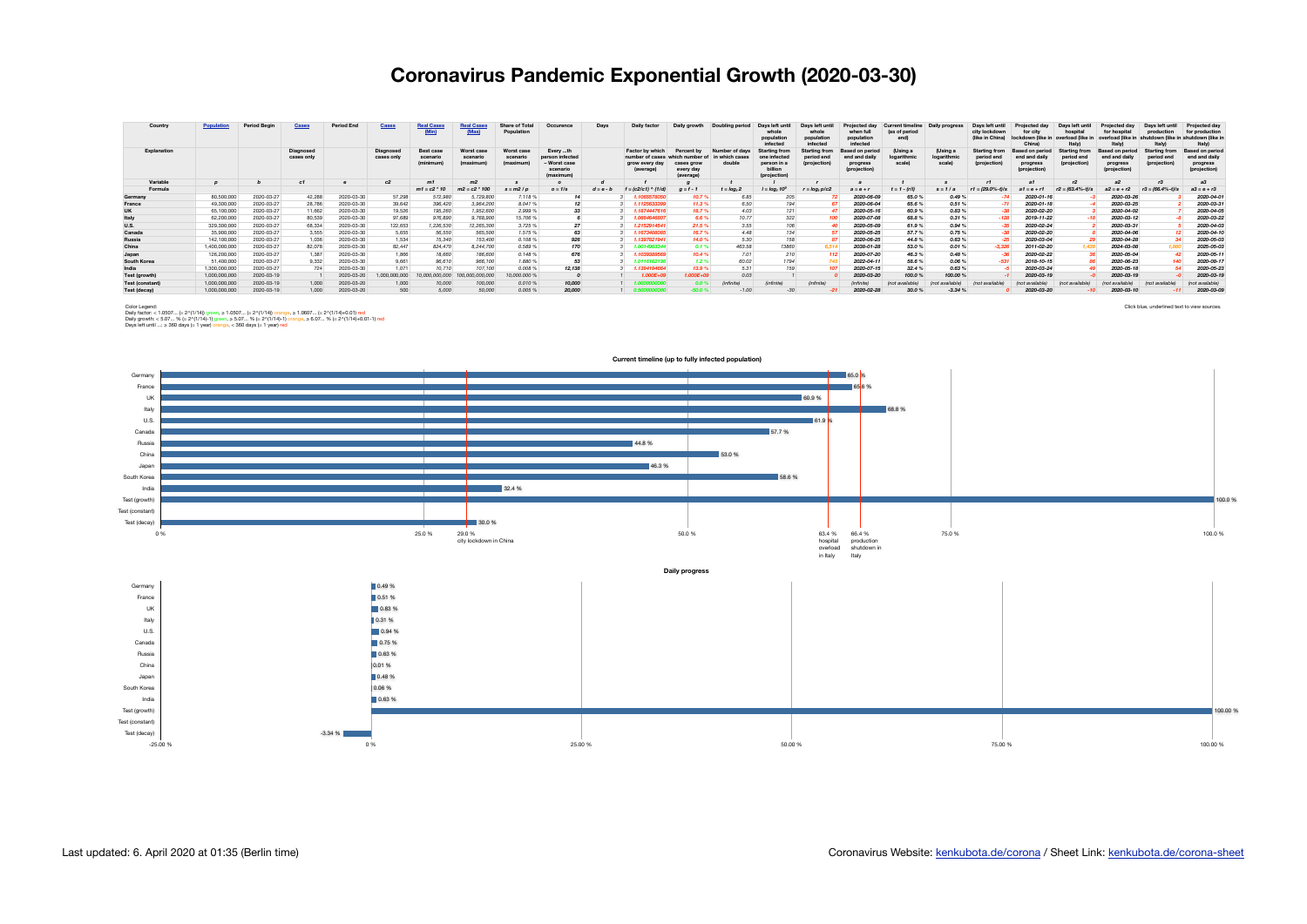## **Coronavirus Pandemic Exponential Growth (2020-03-30)**

| Country                | <b>Population</b> | <b>Period Begin</b> | <b>Cases</b>            | <b>Period End</b> | <b>Cases</b>            | <b>Real Cases</b><br>(Min)         | <b>Real Cas</b><br>Max)             | <b>Share of Total</b><br>Population        | Occurence                                                            | Days        | Daily factor                                                                                                                                                                                                                                              | Daily growth                                                                | Doubling period                            | Days left until<br>whole<br>population<br>infected                             | Davs left until<br>whole<br>population<br>infected | Projected o<br>when full<br>population<br>infected         | t timeline<br>(as of period<br>end) | Daily progres                     | Davs left unti<br>city lockdown<br>(like in China) | <b>Projected day</b><br>for city<br>lockdown (like in<br>China | Days left<br>hospital<br>overload (like in<br>Italv | Projected<br>for hospital<br>overload (like | Days left until<br>production<br>hutdown (like<br><b>Italy</b> | <b>Projected dav</b><br>for production<br>shutdown (like in<br>ltalv) |
|------------------------|-------------------|---------------------|-------------------------|-------------------|-------------------------|------------------------------------|-------------------------------------|--------------------------------------------|----------------------------------------------------------------------|-------------|-----------------------------------------------------------------------------------------------------------------------------------------------------------------------------------------------------------------------------------------------------------|-----------------------------------------------------------------------------|--------------------------------------------|--------------------------------------------------------------------------------|----------------------------------------------------|------------------------------------------------------------|-------------------------------------|-----------------------------------|----------------------------------------------------|----------------------------------------------------------------|-----------------------------------------------------|---------------------------------------------|----------------------------------------------------------------|-----------------------------------------------------------------------|
| Explanation            |                   |                     | Diagnosed<br>cases only |                   | Diagnosed<br>cases only | Best case<br>scenario<br>(minimum) | Worst case<br>scenario<br>(maximum) | Worst case<br>scenario<br><i>(maximum)</i> | Every th<br>person infected<br>- Worst case<br>scenario<br>(maximum) |             | <b>Factor by which</b><br>number of cases<br>grow every day<br>(average)                                                                                                                                                                                  | <b>Percent by</b><br>which number of<br>cases grow<br>every day<br>(average | Number of days<br>in which cases<br>double | <b>Starting from</b><br>one infected<br>person in a<br>billion<br>(projection) | <b>Starting from</b><br>period end<br>(projection) | sed on period<br>end and daily<br>progress<br>(projection) | (Using a<br>logarithmic<br>scale)   | (Using a<br>logarithmic<br>scale) | <b>Starting from</b><br>period end<br>(projection) | end and daily<br>progres:<br>(projection)                      | <b>Starting</b><br>period end<br>(projection)       | end and daily<br>progress<br>(projection)   | <b>Starting from</b><br>period end<br>(projection)             | <b>Based on period</b><br>end and daily<br>progress<br>(projection)   |
| Variable               |                   |                     | c1                      |                   | c2                      | m1                                 | m <sub>2</sub>                      |                                            |                                                                      |             |                                                                                                                                                                                                                                                           |                                                                             |                                            |                                                                                |                                                    |                                                            |                                     |                                   | r1                                                 |                                                                |                                                     | <b>a2</b>                                   | r <sub>3</sub>                                                 | a3                                                                    |
| Formula                |                   |                     |                         |                   |                         | $m1 = c2 * 10$                     | c2 * 100<br>mź                      | $s = m2/p$                                 | $o = 1/s$                                                            | $d = e - b$ | = (c2/c1) ^ (1/d)                                                                                                                                                                                                                                         | $q = f - 1$                                                                 | $t = log_t 2$                              | $I = log_f 10^9$                                                               | $r =$ loge p/c2                                    | $a = e + r$                                                | $t = 1 - (r/l)$                     | s = 1 / a                         | $r1 = (29.0\% - t)/s$                              |                                                                | $r2 = (63.4\% - t)/s$                               | $a2 = e + r2$                               | $r3 = (66.4\% - t)/s$                                          | $a3 = e + r3$                                                         |
| Germany                | 80,500,000        | 2020-03-27          | 42.288                  | 2020-03-30        | 57,298                  | 572,980                            | 5,729,800                           | 7.118 %                                    |                                                                      |             | 1.1065578050                                                                                                                                                                                                                                              | 10.7%                                                                       | 6.85                                       | 205                                                                            |                                                    | 2020-06-09                                                 | 65.0 %                              | 0.49 %                            |                                                    | 2020-01-16                                                     |                                                     | 2020-03-26                                  |                                                                | 2020-04-01                                                            |
| France                 | 49,300,000        | 2020-03-27          | 28,786                  | 2020-03-30        | 39,642                  | 396,420                            | 3,964,200                           | 8.041 %                                    |                                                                      |             | 1.1125633399                                                                                                                                                                                                                                              | 11.3%                                                                       | 6.50                                       | 194                                                                            | 67                                                 | 2020-06-04                                                 | 65.6%                               | 0.51%                             |                                                    | 2020-01-18                                                     |                                                     | 2020-03-25                                  |                                                                | 2020-03-31                                                            |
| <b>UK</b>              | 65,100,000        | 2020-03-27          | 11.662                  | 2020-03-30        | 19,526                  | 195,260                            | 1,952,600                           | 2.999 %                                    |                                                                      |             | 1.1874447616                                                                                                                                                                                                                                              | 18.7%                                                                       | 4.03                                       | 121                                                                            | 47                                                 | 2020-05-16                                                 | 60.9%                               | 0.83%                             |                                                    | 2020-02-20                                                     |                                                     | 2020-04-02                                  |                                                                | 2020-04-05                                                            |
| Italy                  | 62,200,000        | 2020-03-27          | 80.539                  | 2020-03-30        | 97,689                  | 976,890                            | 9,768,900                           | 15.706 %                                   |                                                                      |             | 1.0664646807                                                                                                                                                                                                                                              | 6.6 %                                                                       | 10.77                                      | 322                                                                            | 100                                                | 2020-07-08                                                 | 68.8%                               | 0.31%                             |                                                    | 2019-11-22                                                     |                                                     | 2020-03-12                                  |                                                                | 2020-03-22                                                            |
| <b>U.S.</b>            | 329,300,000       | 2020-03-27          | 68,334                  | 2020-03-30        | 122,653                 | 1,226,530                          | 12,265,300                          | 3.725 %                                    |                                                                      |             | 1.2152914541                                                                                                                                                                                                                                              | 21.5 %                                                                      | 3.55                                       | 106                                                                            | 40                                                 | 2020-05-09                                                 | 61.9%                               | 0.94%                             |                                                    | 2020-02-24                                                     |                                                     | 2020-03-31                                  |                                                                | 2020-04-03                                                            |
| Canada                 | 35,900,000        | 2020-03-27          | 3.555                   | 2020-03-30        | 5.655                   | 56,550                             | 565,500                             | 1.575 %                                    | 63                                                                   |             | 1.1673408085                                                                                                                                                                                                                                              | 16.7%                                                                       | 4.48                                       | 134                                                                            | 57                                                 | 2020-05-25                                                 | 57.7%                               | 0.75%                             |                                                    | 2020-02-20                                                     |                                                     | 2020-04-06                                  |                                                                | 2020-04-10                                                            |
| Russia                 | 142,100,000       | 2020-03-27          | 1.036                   | 2020-03-30        | 1.534                   | 15,340                             | 153,400                             | 0.108 %                                    | 926                                                                  |             | 1.1397821941                                                                                                                                                                                                                                              | 14.0%                                                                       | 5.30                                       | 158                                                                            | 87                                                 | 2020-06-25                                                 | 44.8%                               | 0.63%                             |                                                    | 2020-03-04                                                     |                                                     | 2020-04-28                                  |                                                                | 2020-05-03                                                            |
| China                  | 1,400,000,000     | 2020-03-27          | 82,078                  | 2020-03-30        | 82.447                  | 824,470                            | 8,244,700                           | 0.589 %                                    | 170                                                                  |             | 1.0014963344                                                                                                                                                                                                                                              | 0.1%                                                                        | 463.58                                     | 13860                                                                          | 5.514                                              | 2038-01-28                                                 | 53.0%                               | 0.01%                             | 3.326                                              | 2011-02-20                                                     |                                                     | 2024-03-08                                  |                                                                | 2025-05-03                                                            |
| Japan                  | 126,200,000       | 2020-03-27          | 1.387                   | 2020-03-30        | 1.866                   | 18,660                             | 186,600                             | 0.148 %                                    | 676                                                                  |             | 1.1039389569                                                                                                                                                                                                                                              | 10.4%                                                                       | 7.01                                       | 210                                                                            | 112                                                | 2020-07-20                                                 | 46.3%                               | 0.48%                             |                                                    | 2020-02-22                                                     |                                                     | 2020-05-04                                  |                                                                | 2020-05-11                                                            |
| <b>South Korea</b>     | 51,400,000        | 2020-03-27          | 9.332                   | 2020-03-30        | 9,661                   | 96,610                             | 966,100                             | 1.880 %                                    | 53                                                                   |             | 1.0116162198                                                                                                                                                                                                                                              | 1.2%                                                                        | 60.02                                      | 1794                                                                           | 743                                                | 2022-04-11                                                 | 58.6%                               | 0.06%                             |                                                    | 2018-10-15                                                     |                                                     | 2020-06-23                                  | 140                                                            | 2020-08-17                                                            |
| India                  | 1,300,000,000     | 2020-03-27          | 724                     | 2020-03-30        | 1.071                   | 10.710                             | 107,100                             | 0.008 %                                    | 12,138                                                               |             | 1.1394194664                                                                                                                                                                                                                                              | 13.9%                                                                       | 5.31                                       | 159                                                                            | 107                                                | 2020-07-15                                                 | 32.4 %                              | 0.63%                             |                                                    | 2020-03-24                                                     |                                                     | 2020-05-18                                  |                                                                | 2020-05-23                                                            |
| Test (growth)          | 1,000,000,000     | 2020-03-19          |                         | 2020-03-20        | 000,000,000             |                                    | 000,000,000<br>100.                 | ,000.000                                   |                                                                      |             | $1.000E + 0.000E + 0.000E + 0.000E + 0.000E + 0.000E + 0.000E + 0.000E + 0.000E + 0.000E + 0.000E + 0.000E + 0.000E + 0.000E + 0.000E + 0.000E + 0.000E + 0.000E + 0.000E + 0.000E + 0.000E + 0.000E + 0.000E + 0.000E + 0.000E + 0.000E + 0.000E + 0.00$ | 1.000E+09                                                                   | 0.03                                       |                                                                                |                                                    | 2020-03-20                                                 | 100.0 %                             | 100.00 %                          |                                                    | 2020-03-19                                                     |                                                     | 2020-03-19                                  |                                                                | 2020-03-19                                                            |
| <b>Test (constant)</b> | 1,000,000,000     | 2020-03-19          | 1.000                   | 2020-03-20        | 1.000                   | 10,000                             | 100,000                             | 0.010%                                     | 10,000                                                               |             | 1.000000000                                                                                                                                                                                                                                               | 0.0%                                                                        | 'infinite.                                 | (infinite)                                                                     | <i><b>linfinite</b></i>                            | (infinite)                                                 | (not available                      | available.<br>lno.                | (not available                                     | (not available)                                                | (not available                                      | (not available)                             | (not available.                                                | (not available)                                                       |
| Test (decay)           | 1,000,000,000     | 2020-03-19          | 1.000                   | 2020-03-20        | 500                     | 5,000                              | 50,000                              | 0.005                                      | 20,000                                                               |             | 0.500000000                                                                                                                                                                                                                                               | 50.0 %                                                                      | $-1.00$                                    | $-30$                                                                          |                                                    | 2020-02-28                                                 | 30.0%                               | $-3.34$ $%$                       |                                                    | 2020-03-20                                                     |                                                     | 2020-03-10                                  |                                                                | 2020-03-09                                                            |

Click blue, underlined text to view sources.<br>Daily growth: < 5.0507... (= 2^{1/14}) green, ≥ 1.0507... (= 2^{1/14}+0.07... (= 2^{1/14}+0.01} red<br>Daily growth: < 5.07... % (= 2^{1/14}) green, ≥ 1.0507... (% (= 2^{1/14}+0.0



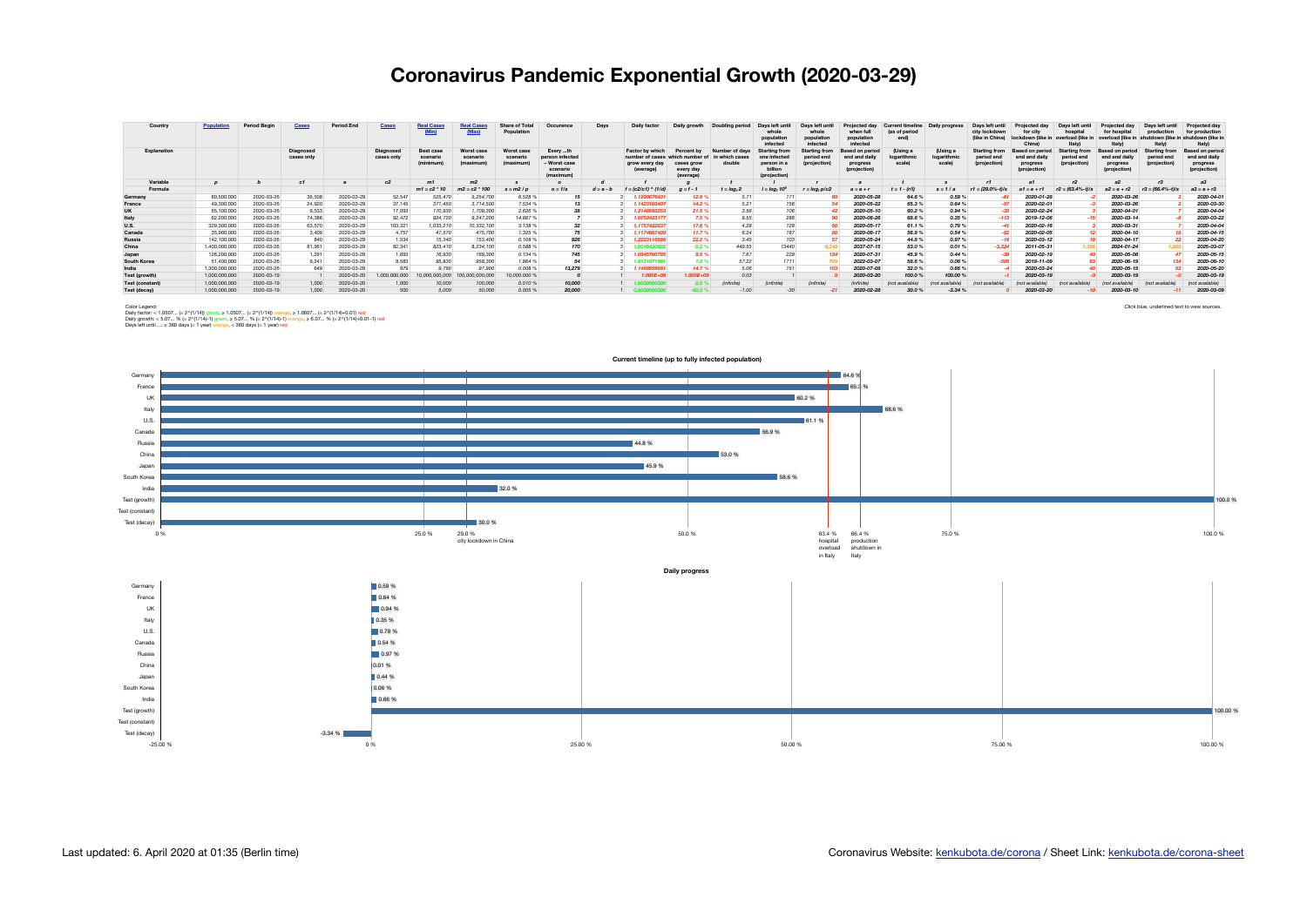## **Coronavirus Pandemic Exponential Growth (2020-03-29)**

| Country                | <b>Population</b> | <b>Period Begin</b> | <b>Cases</b>            | <b>Period End</b> | <b>Cases</b>            | <b>Real Cases</b><br>(Min)         | <b>Real Cas</b><br>Max)             | <b>Share of Total</b><br>Population | Occurence                                                            | Days        | Daily factor                                                             | Daily growth                                                                | Doubling period                            | Days left until<br>whole<br>population<br>infected                             | Davs left until<br>whole<br>population<br>infected | Projected o<br>when full<br>population<br>infected         | t timeline<br>(as of period<br>end) | Daily progres                     | Davs left unti<br>city lockdown<br>(like in China) | <b>Projected day</b><br>for city<br>lockdown (like in<br>China | Days left<br>hospital<br>overload (like in<br>Italv | Projected<br>for hospital<br>overload (like | Days left until<br>production<br>hutdown (like<br><b>Italy</b> | <b>Projected dav</b><br>for production<br>shutdown (like in<br>ltalv) |
|------------------------|-------------------|---------------------|-------------------------|-------------------|-------------------------|------------------------------------|-------------------------------------|-------------------------------------|----------------------------------------------------------------------|-------------|--------------------------------------------------------------------------|-----------------------------------------------------------------------------|--------------------------------------------|--------------------------------------------------------------------------------|----------------------------------------------------|------------------------------------------------------------|-------------------------------------|-----------------------------------|----------------------------------------------------|----------------------------------------------------------------|-----------------------------------------------------|---------------------------------------------|----------------------------------------------------------------|-----------------------------------------------------------------------|
| Explanation            |                   |                     | Diagnosed<br>cases only |                   | Diagnosed<br>cases only | Best case<br>scenario<br>(minimum) | Worst case<br>scenario<br>(maximum) | Worst case<br>scenario<br>(maximum) | Every th<br>person infected<br>- Worst case<br>scenario<br>(maximum) |             | <b>Factor by which</b><br>number of cases<br>grow every day<br>(average) | <b>Percent by</b><br>which number of<br>cases grow<br>every day<br>(average | Number of days<br>in which cases<br>double | <b>Starting from</b><br>one infected<br>person in a<br>billion<br>(projection) | <b>Starting from</b><br>period end<br>(projection) | sed on period<br>end and daily<br>progress<br>(projection) | (Using a<br>logarithmic<br>scale)   | (Using a<br>logarithmic<br>scale) | <b>Starting from</b><br>period end<br>(projection) | end and daily<br>progres:<br>(projection)                      | <b>Starting</b><br>period end<br>(projection)       | end and daily<br>progress<br>(projection)   | <b>Starting from</b><br>period end<br>(projection)             | <b>Based on period</b><br>end and daily<br>progress<br>(projection)   |
| Variable               |                   |                     | c1                      |                   | c2                      | m1                                 | m <sub>2</sub>                      |                                     |                                                                      |             |                                                                          |                                                                             |                                            |                                                                                |                                                    |                                                            |                                     |                                   | r1                                                 |                                                                |                                                     | <b>a2</b>                                   | r <sub>3</sub>                                                 | a3                                                                    |
| Formula                |                   |                     |                         |                   |                         | $m1 = c2 * 10$                     | c2 * 100<br>mź                      | $s = m2/p$                          | $o = 1/s$                                                            | $d = e - b$ | = (c2/c1) ^ (1/d)                                                        | $q = f - 1$                                                                 | $t = log_t 2$                              | $I = log_f 10^9$                                                               | $r = log_f p/c2$                                   | $a = e + r$                                                | $t = 1 - (r/l)$                     | s = 1 / a                         | $r1 = (29.0\% - t)/s$                              |                                                                | $r2 = (63.4\% - t)/s$                               | $a2 = e + r2$                               | $r3 = (66.4\% - t)/s$                                          | $a3 = e + r3$                                                         |
| Germany                | 80,500,000        | 2020-03-26          | 36,508                  | 2020-03-29        | 52,547                  | 525,470                            | 5,254,700                           | 6.528 9                             |                                                                      |             | 1.1290676431                                                             | 12.9%                                                                       | 5.71                                       | 171                                                                            |                                                    | 2020-05-28                                                 | 64.6 9                              | 0.59 %                            |                                                    | 2020-01-28                                                     |                                                     | 2020-03-26                                  |                                                                | 2020-04-01                                                            |
| France                 | 49,300,000        | 2020-03-26          | 24,920                  | 2020-03-29        | 37.145                  | 371,450                            | 3,714,500                           | 7.534 %                             |                                                                      |             | 1.1423103407                                                             | 14.2%                                                                       | 5.21                                       | 156                                                                            | 54                                                 | 2020-05-22                                                 | 65.3%                               | 0.64%                             |                                                    | 2020-02-01                                                     |                                                     | 2020-03-26                                  |                                                                | 2020-03-30                                                            |
| <b>UK</b>              | 65,100,000        | 2020-03-26          | 9,533                   | 2020-03-29        | 17,093                  | 170,930                            | 1,709,300                           | 2.626 %                             |                                                                      |             | 1.2148693253                                                             | 21.5 %                                                                      | 3.56                                       | 106                                                                            | 42                                                 | 2020-05-10                                                 | 60.2%                               | 0.94%                             |                                                    | 2020-02-24                                                     |                                                     | 2020-04-01                                  |                                                                | 2020-04-04                                                            |
| Italy                  | 62,200,000        | 2020-03-26          | 74.386                  | 2020-03-29        | 92.472                  | 924,720                            | 9,247,200                           | 14.867 %                            |                                                                      |             | 1.0752423177                                                             | 7.5%                                                                        | 9.55                                       | 286                                                                            | 90                                                 | 2020-06-26                                                 | 68.6%                               | 0.35 %                            |                                                    | 2019-12-06                                                     |                                                     | 2020-03-14                                  |                                                                | 2020-03-22                                                            |
| <b>U.S.</b>            | 329,300,000       | 2020-03-26          | 63,570                  | 2020-03-29        | 103,321                 | 1,033,210                          | 10,332,100                          | 3.138 %                             |                                                                      |             | 1.1757422637                                                             | 17.6%                                                                       | 4.28                                       | 128                                                                            | 50                                                 | 2020-05-17                                                 | 61.1%                               | 0.78%                             |                                                    | 2020-02-16                                                     |                                                     | 2020-03-31                                  |                                                                | 2020-04-04                                                            |
| Canada                 | 35,900,000        | 2020-03-26          | 3.409                   | 2020-03-29        | 4.757                   | 47,570                             | 475,700                             | 1.325 %                             | 75                                                                   |             | 1.1174687409                                                             | 11.7%                                                                       | 6.24                                       | 187                                                                            | 80                                                 | 2020-06-17                                                 | 56.9%                               | 0.54%                             |                                                    | 2020-02-05                                                     |                                                     | 2020-04-10                                  |                                                                | 2020-04-15                                                            |
| Russia                 | 142,100,000       | 2020-03-26          | 840                     | 2020-03-29        | 1.534                   | 15,340                             | 153,400                             | 0.108 %                             | 926                                                                  |             | 1.2223118566                                                             | 22.2%                                                                       | 3.45                                       | 103                                                                            | 57                                                 | 2020-05-24                                                 | 44.8%                               | 0.97%                             |                                                    | 2020-03-12                                                     |                                                     | 2020-04-17                                  |                                                                | 2020-04-20                                                            |
| China                  | 1,400,000,000     | 2020-03-26          | 81,961                  | 2020-03-29        | 82,341                  | 823,410                            | 8,234,100                           | 0.588 %                             | 170                                                                  |             | 1.0015430682                                                             | $0.2\%$                                                                     | 449.55                                     | 13440                                                                          | 5.318                                              | 2037-07-15                                                 | 53.0%                               | 0.01%                             | 3.22                                               | 2011-05-31                                                     |                                                     | 2024-01-24                                  | 1.805                                                          | 2025-03-07                                                            |
| Japan                  | 126,200,000       | 2020-03-26          | 1.291                   | 2020-03-29        | 1.693                   | 16,930                             | 169,300                             | 0.134 %                             | 745                                                                  |             | 1.0945700785                                                             | 9.5%                                                                        | 7.67                                       | 229                                                                            | 124                                                | 2020-07-31                                                 | 45.9%                               | 0.44%                             |                                                    | 2020-02-19                                                     |                                                     | 2020-05-08                                  |                                                                | 2020-05-15                                                            |
| <b>South Korea</b>     | 51,400,000        | 2020-03-26          | 9.241                   | 2020-03-29        | 9,583                   | 95,830                             | 958,300                             | 1.864 %                             | 54                                                                   |             | 1.0121871961                                                             | 1.2%                                                                        | 57.22                                      | 1711                                                                           | 709                                                | 2022-03-07                                                 | 58.6%                               | 0.06%                             |                                                    | 2018-11-09                                                     |                                                     | 2020-06-19                                  | 134                                                            | 2020-08-10                                                            |
| India                  | 1,300,000,000     | 2020-03-26          | 649                     | 2020-03-29        | 979                     | 9.790                              | 97,900                              | 0.008%                              | 13,279                                                               |             | 1.1468659661                                                             | 14.7%                                                                       | 5.06                                       | 151                                                                            | 103                                                | 2020-07-09                                                 | 32.0%                               | 0.66 %                            |                                                    | 2020-03-24                                                     |                                                     | 2020-05-15                                  |                                                                | 2020-05-20                                                            |
| Test (growth)          | 1,000,000,000     | 2020-03-19          |                         | 2020-03-20        | 000,000,000             |                                    | 100,000,000,000                     | ,000.000                            |                                                                      |             | $1.000E + 05$                                                            | 1.000E+09                                                                   | 0.03                                       |                                                                                |                                                    | 2020-03-20                                                 | 100.0 %                             | 100.00 %                          |                                                    | 2020-03-19                                                     |                                                     | 2020-03-19                                  |                                                                | 2020-03-19                                                            |
| <b>Test (constant)</b> | 1,000,000,000     | 2020-03-19          | 1.000                   | 2020-03-20        | 1.000                   | 10,000                             | 100,000                             | 0.010%                              | 10,000                                                               |             | 1.000000000                                                              | 0.0%                                                                        | 'infinite.                                 | (infinite)                                                                     | <i><b>linfinite</b></i>                            | (infinite)                                                 | (not available                      | available.<br>lno.                | (not available                                     | (not available)                                                | (not available                                      | (not available)                             | (not available.                                                | (not available)                                                       |
| Test (decay)           | 1,000,000,000     | 2020-03-19          | 1.000                   | 2020-03-20        | 500                     | 5,000                              | 50,000                              | 0.005                               | 20,000                                                               |             | 0.500000000                                                              | 50.0 %                                                                      | $-1.00$                                    | $-30$                                                                          |                                                    | 2020-02-28                                                 | 30.0%                               | $-3.34$ $%$                       |                                                    | 2020-03-20                                                     |                                                     | 2020-03-10                                  |                                                                | 2020-03-09                                                            |



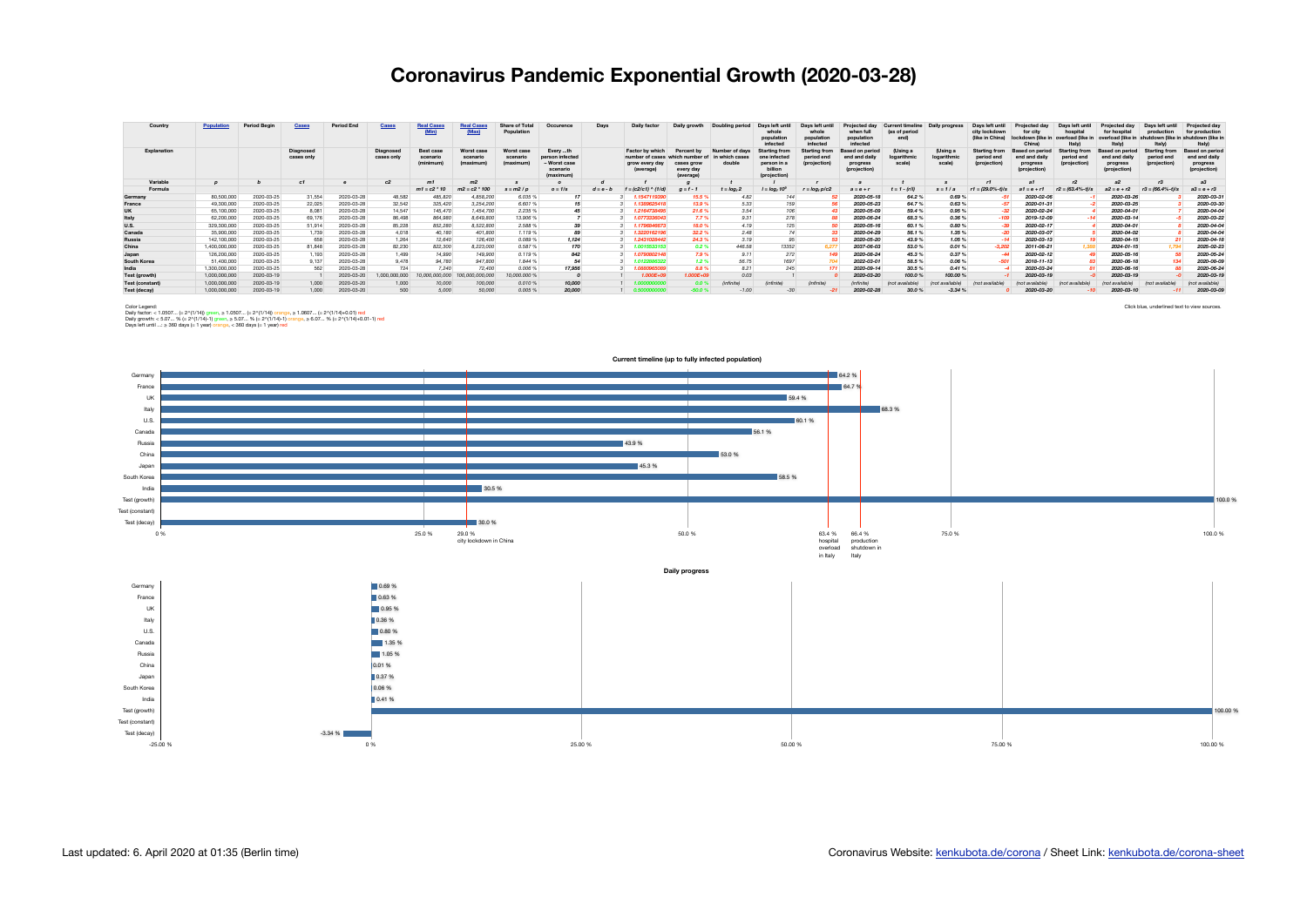## **Coronavirus Pandemic Exponential Growth (2020-03-28)**

| Country                | <b>Population</b> | <b>Period Begin</b> | <b>Cases</b>            | <b>Period End</b> | <b>Cases</b>            | <b>Real Cases</b><br>(Min)         | <b>Real Cas</b><br>Max)             | <b>Share of Total</b><br>Population | Occurence                                                            | Days        | Daily factor                                                             | Daily growth                                                                | Doubling period                            | Days left until<br>whole<br>population<br>infected                             | Davs left until<br>whole<br>population<br>infected | Projected o<br>when full<br>population<br>infected         | t timeline<br>(as of period<br>end) | Daily progres                     | Davs left unti<br>city lockdown<br>(like in China) | <b>Projected day</b><br>for city<br>lockdown (like in<br>China | Days left<br>hospital<br>overload (like in<br>Italv | Projected<br>for hospital<br>overload (like | Days left until<br>production<br>shutdown (like<br><b>Italy</b> | <b>Projected dav</b><br>for production<br>shutdown (like in<br>ltalv) |
|------------------------|-------------------|---------------------|-------------------------|-------------------|-------------------------|------------------------------------|-------------------------------------|-------------------------------------|----------------------------------------------------------------------|-------------|--------------------------------------------------------------------------|-----------------------------------------------------------------------------|--------------------------------------------|--------------------------------------------------------------------------------|----------------------------------------------------|------------------------------------------------------------|-------------------------------------|-----------------------------------|----------------------------------------------------|----------------------------------------------------------------|-----------------------------------------------------|---------------------------------------------|-----------------------------------------------------------------|-----------------------------------------------------------------------|
| Explanation            |                   |                     | Diagnosed<br>cases only |                   | Diagnosed<br>cases only | Best case<br>scenario<br>(minimum) | Worst case<br>scenario<br>(maximum) | Worst case<br>scenario<br>(maximum) | Every th<br>person infected<br>- Worst case<br>scenario<br>(maximum) |             | <b>Factor by which</b><br>number of cases<br>grow every day<br>(average) | <b>Percent by</b><br>which number of<br>cases grow<br>every day<br>(average | Number of days<br>in which cases<br>double | <b>Starting from</b><br>one infected<br>person in a<br>billion<br>(projection) | <b>Starting from</b><br>period end<br>(projection) | sed on period<br>end and daily<br>progress<br>(projection) | (Using a<br>logarithmic<br>scale)   | (Using a<br>logarithmic<br>scale) | <b>Starting from</b><br>period end<br>(projection) | end and daily<br>progres:<br>(projection)                      | <b>Starting</b><br>period end<br>(projection)       | end and daily<br>progress<br>(projection)   | <b>Starting from</b><br>period end<br>(projection)              | <b>Based on period</b><br>end and daily<br>progress<br>(projection)   |
| Variable               |                   |                     | c1                      |                   | c2                      | m1                                 | m <sub>2</sub>                      |                                     |                                                                      |             |                                                                          |                                                                             |                                            |                                                                                |                                                    |                                                            |                                     |                                   | r1                                                 |                                                                |                                                     | <b>a2</b>                                   | r <sub>3</sub>                                                  | a3                                                                    |
| Formula                |                   |                     |                         |                   |                         | $m1 = c2 * 10$                     | c2 * 100<br>mź                      | $s = m2/p$                          | $o = 1/s$                                                            | $d = e - b$ | = (c2/c1) ^ (1/d                                                         | $q = f - 1$                                                                 | $t = log_1 2$                              | $I = log_f 10^9$                                                               | $r =$ log $p/c2$                                   | $a = e + r$                                                | $t = 1 - (r/l)$                     | s = 1 / a                         | $r1 = (29.0\% - t)/s$                              |                                                                | $r2 = 63.4\% - t1/s$                                | $a2 = e + r2$                               | $r3 = (66.4\% - t)/s$                                           | $a3 = e + r3$                                                         |
| Germany                | 80,500,000        | 2020-03-25          | 31,554                  | 2020-03-28        | 48,582                  | 485,820                            | 4,858,200                           | 6.035 9                             |                                                                      |             | 1.1547119390                                                             | 15.5 %                                                                      | 4.82                                       | 144                                                                            |                                                    | 2020-05-18                                                 | 64.2%                               | 0.69%                             |                                                    | 2020-02-06                                                     |                                                     | 2020-03-26                                  |                                                                 | 2020-03-31                                                            |
| France                 | 49,300,000        | 2020-03-25          | 22.025                  | 2020-03-28        | 32.542                  | 325,420                            | 3,254,200                           | 6.601 %                             |                                                                      |             | 1.1389625418                                                             | 13.9%                                                                       | 5.33                                       | 159                                                                            | 56                                                 | 2020-05-23                                                 | 64.7%                               | 0.63%                             |                                                    | 2020-01-31                                                     |                                                     | 2020-03-25                                  |                                                                 | 2020-03-30                                                            |
| <b>UK</b>              | 65,100,000        | 2020-03-25          | 8.081                   | 2020-03-28        | 14,547                  | 145,470                            | 1,454,700                           | 2.235 %                             |                                                                      |             | 1.2164738495                                                             | 21.6%                                                                       | 3.54                                       | 106                                                                            | 43                                                 | 2020-05-09                                                 | 59.4 %                              | 0.95 %                            |                                                    | 2020-02-24                                                     |                                                     | 2020-04-01                                  |                                                                 | 2020-04-04                                                            |
| Italy                  | 62,200,000        | 2020-03-25          | 69.176                  | 2020-03-28        | 86,498                  | 864,980                            | 8,649,800                           | 13.906 %                            |                                                                      |             | 1.0773336043                                                             | 7.7%                                                                        | 9.31                                       | 278                                                                            | 88                                                 | 2020-06-24                                                 | 68.3%                               | 0.36%                             |                                                    | 2019-12-09                                                     |                                                     | 2020-03-14                                  |                                                                 | 2020-03-22                                                            |
| <b>U.S.</b>            | 329,300,000       | 2020-03-25          | 51.914                  | 2020-03-28        | 85,228                  | 852,280                            | 8,522,800                           | 2.588 %                             |                                                                      |             | 1.1796846673                                                             | 18.0%                                                                       | 4.19                                       | 125                                                                            | 50                                                 | 2020-05-16                                                 | 60.1%                               | 0.80%                             |                                                    | 2020-02-17                                                     |                                                     | 2020-04-01                                  |                                                                 | 2020-04-04                                                            |
| Canada                 | 35,900,000        | 2020-03-25          | 1.739                   | 2020-03-28        | 4.018                   | 40,180                             | 401,800                             | 1.119 %                             | -89                                                                  |             | 1.3220162196                                                             | 32.2%                                                                       | 2.48                                       | 74                                                                             | 33                                                 | 2020-04-29                                                 | 56.1%                               | 1.35 %                            | -20                                                | 2020-03-07                                                     |                                                     | 2020-04-02                                  |                                                                 | 2020-04-04                                                            |
| Russia                 | 142,100,000       | 2020-03-25          | 658                     | 2020-03-28        | 1.264                   | 12,640                             | 126,400                             | 0.089 %                             | 1,124                                                                |             | 1.2431028442                                                             | 24.3%                                                                       | 3.19                                       | 95                                                                             | 53                                                 | 2020-05-20                                                 | 43.9%                               | 1.05 %                            |                                                    | 2020-03-13                                                     |                                                     | 2020-04-15                                  |                                                                 | 2020-04-18                                                            |
| China                  | 1,400,000,000     | 2020-03-25          | 81.848                  | 2020-03-28        | 82,230                  | 822,300                            | 8,223,000                           | 0.587 %                             | 170                                                                  |             | 1.0015533153                                                             | 0.2%                                                                        | 446.58                                     | 13352                                                                          | 5.277                                              | 2037-06-03                                                 | 53.0%                               | 0.01%                             | 3.202                                              | 2011-06-21                                                     |                                                     | 2024-01-15                                  | 1.794                                                           | 2025-02-23                                                            |
| Japan                  | 126,200,000       | 2020-03-25          | 1.193                   | 2020-03-28        | 1.499                   | 14,990                             | 149,900                             | 0.119 %                             | 842                                                                  |             | 1.0790802148                                                             | 7.9%                                                                        | 9.11                                       | 272                                                                            | 149                                                | 2020-08-24                                                 | 45.3%                               | 0.37%                             |                                                    | 2020-02-12                                                     |                                                     | 2020-05-16                                  |                                                                 | 2020-05-24                                                            |
| <b>South Korea</b>     | 51,400,000        | 2020-03-25          | 9.137                   | 2020-03-28        | 9.478                   | 94,780                             | 947,800                             | 1.844 %                             | 54                                                                   |             | 1.0122886322                                                             | 1.2%                                                                        | 56.75                                      | 1697                                                                           | 704                                                | 2022-03-01                                                 | 58.5%                               | 0.06%                             |                                                    | 2018-11-13                                                     |                                                     | 2020-06-18                                  | 134                                                             | 2020-08-09                                                            |
| India                  | 1,300,000,000     | 2020-03-25          | 562                     | 2020-03-28        | 724                     | 7.240                              | 72,400                              | 0.006 %                             | 17,956                                                               |             | 1.0880965089                                                             | 8.8%                                                                        | 8.21                                       | 245                                                                            | 171                                                | 2020-09-14                                                 | 30.5 %                              | 0.41%                             |                                                    | 2020-03-24                                                     |                                                     | 2020-06-16                                  |                                                                 | 2020-06-24                                                            |
| Test (growth)          | 1,000,000,000     | 2020-03-19          |                         | 2020-03-20        | 000,000,000             |                                    | 100,000,000,000                     | ,000.000                            |                                                                      |             | $1.000E + 05$                                                            | 1.000E+09                                                                   | 0.03                                       |                                                                                |                                                    | 2020-03-20                                                 | 100.0 %                             | 100.00 %                          |                                                    | 2020-03-19                                                     |                                                     | 2020-03-19                                  |                                                                 | 2020-03-19                                                            |
| <b>Test (constant)</b> | 1,000,000,000     | 2020-03-19          | 1.000                   | 2020-03-20        | 1.000                   | 10,000                             | 100,000                             | 0.010%                              | 10,000                                                               |             | 1.000000000                                                              | 0.0%                                                                        | 'infinite.                                 | (infinite)                                                                     | <i><b>linfinite</b></i>                            | (infinite)                                                 | (not available                      | available.<br>lno.                | (not available                                     | (not available)                                                | (not available                                      | (not available)                             | (not available.                                                 | (not available)                                                       |
| Test (decay)           | 1,000,000,000     | 2020-03-19          | 1.000                   | 2020-03-20        | 500                     | 5,000                              | 50,000                              | 0.005                               | 20,000                                                               |             | 0.500000000                                                              | 50.0 %                                                                      | $-1.00$                                    | $-30$                                                                          |                                                    | 2020-02-28                                                 | 30.0%                               | $-3.34$ $%$                       |                                                    | 2020-03-20                                                     |                                                     | 2020-03-10                                  |                                                                 | 2020-03-09                                                            |

Click blue, underlined text to view sources.<br>Daily growth: < 5.0507... (= 2^{1/14}) green, ≥ 1.0507... (= 2^{1/14}+0.07... (= 2^{1/14}+0.01} red<br>Daily growth: < 5.07... % (= 2^{1/14}) green, ≥ 1.0507... (% (= 2^{1/14}+0.0



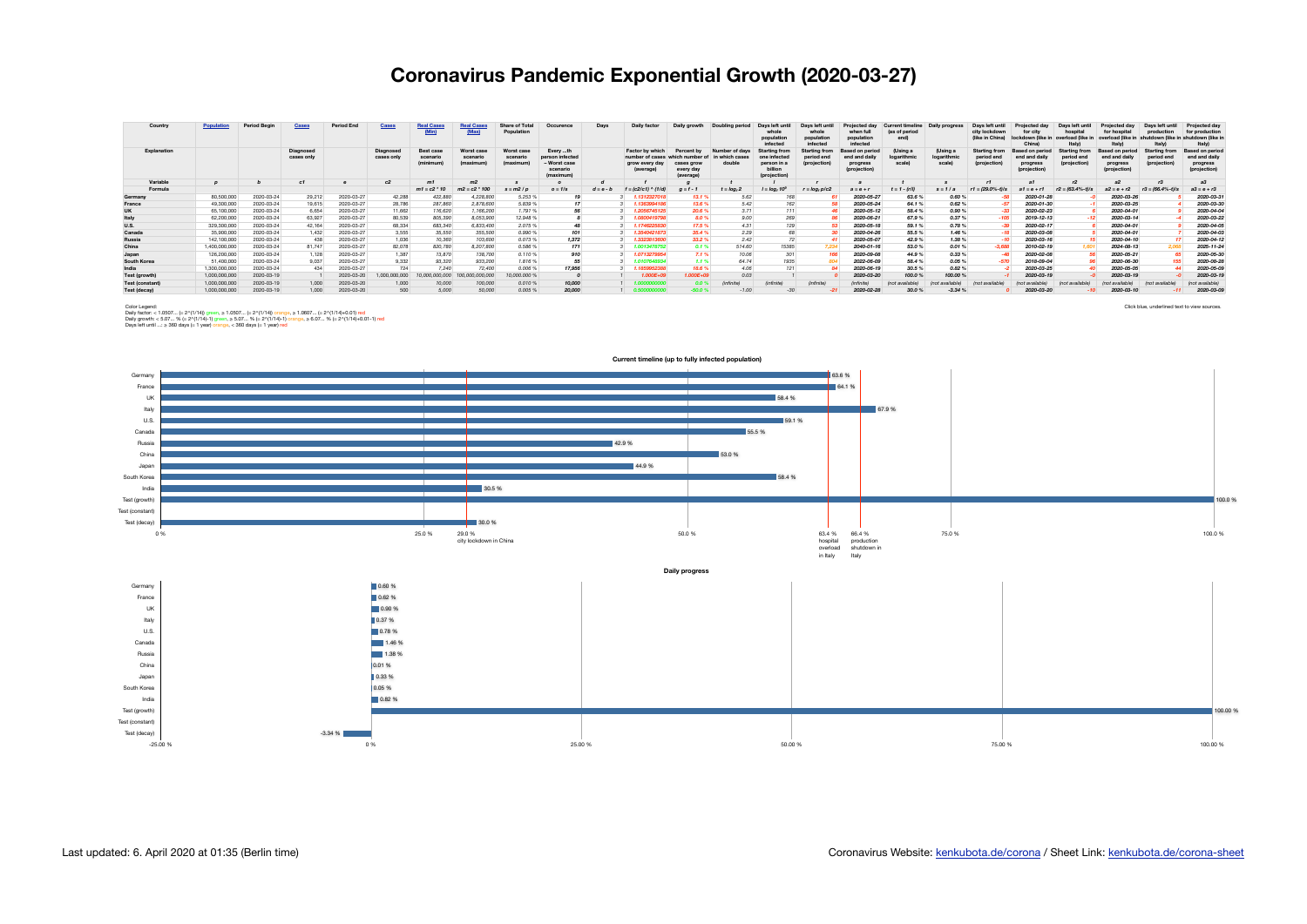## **Coronavirus Pandemic Exponential Growth (2020-03-27)**

| Country                | <b>Population</b> | <b>Period Begin</b> | <b>Cases</b>            | <b>Period End</b> | <b>Cases</b>            | <b>Real Cases</b><br>(Min)         | <b>Real Cas</b><br>Max)             | <b>Share of Total</b><br>Population        | Occurence                                                            | Days        | Daily factor                                                             | Daily growth                                                                | Doubling period                            | Days left until<br>whole<br>population<br>infected                             | Davs left until<br>whole<br>population<br>infected | Projected o<br>when full<br>population<br>infected         | t timeline<br>(as of period<br>end) | Daily progres                     | Davs left unti<br>city lockdown<br>(like in China) | <b>Projected day</b><br>for city<br>lockdown (like in<br>China | Days left<br>hospital<br>overload (like in<br>Italv | Projected<br>for hospital<br>overload (like | Days left until<br>production<br>shutdown (like<br><b>Italy</b> | <b>Projected dav</b><br>for production<br>shutdown (like in<br>ltalv) |
|------------------------|-------------------|---------------------|-------------------------|-------------------|-------------------------|------------------------------------|-------------------------------------|--------------------------------------------|----------------------------------------------------------------------|-------------|--------------------------------------------------------------------------|-----------------------------------------------------------------------------|--------------------------------------------|--------------------------------------------------------------------------------|----------------------------------------------------|------------------------------------------------------------|-------------------------------------|-----------------------------------|----------------------------------------------------|----------------------------------------------------------------|-----------------------------------------------------|---------------------------------------------|-----------------------------------------------------------------|-----------------------------------------------------------------------|
| Explanation            |                   |                     | Diagnosed<br>cases only |                   | Diagnosed<br>cases only | Best case<br>scenario<br>(minimum) | Worst case<br>scenario<br>(maximum) | Worst case<br>scenario<br><i>(maximum)</i> | Every th<br>person infected<br>- Worst case<br>scenario<br>(maximum) |             | <b>Factor by which</b><br>number of cases<br>grow every day<br>(average) | <b>Percent by</b><br>which number of<br>cases grow<br>every day<br>(average | Number of days<br>in which cases<br>double | <b>Starting from</b><br>one infected<br>person in a<br>billion<br>(projection) | <b>Starting from</b><br>period end<br>(projection) | sed on period<br>end and daily<br>progress<br>(projection) | (Using a<br>logarithmic<br>scale)   | (Using a<br>logarithmic<br>scale) | <b>Starting from</b><br>period end<br>(projection) | end and daily<br>progres:<br>(projection)                      | <b>Starting</b><br>period end<br>(projection)       | end and daily<br>progress<br>(projection)   | <b>Starting from</b><br>period end<br>(projection)              | <b>Based on period</b><br>end and daily<br>progress<br>(projection)   |
| Variable               |                   |                     | c1                      |                   | c2                      | m1                                 | m <sub>2</sub>                      |                                            |                                                                      |             |                                                                          |                                                                             |                                            |                                                                                |                                                    |                                                            |                                     |                                   | r1                                                 |                                                                |                                                     | <b>a2</b>                                   | r <sub>3</sub>                                                  | a3                                                                    |
| Formula                |                   |                     |                         |                   |                         | $m1 = c2 * 10$                     | c2 * 100<br>mź                      | $s = m2/p$                                 | $o = 1/s$                                                            | $d = e - b$ | = (c2/c1) ^ (1/d)                                                        | $q = f - 1$                                                                 | $t = log_1 2$                              | $I = log_f 10^9$                                                               | $r =$ loge p/c2                                    | $a = e + r$                                                | $t = 1 - (r/l)$                     | s = 1 / a                         | $r1 = (29.0\% - t)/s$                              |                                                                | $r2 = (63.4\% - t)/s$                               | $a2 = e + r2$                               | $r3 = (66.4\% - t)/s$                                           | $a3 = e + r3$                                                         |
| Germany                | 80,500,000        | 2020-03-24          | 29,212                  | 2020-03-27        | 42,288                  | 422,880                            | 4,228,800                           | 5.253 %                                    |                                                                      |             | 1.1312327018                                                             | 13.1%                                                                       | 5.62                                       | 168                                                                            |                                                    | 2020-05-27                                                 | 63.6 9                              | 0.60%                             |                                                    | 2020-01-28                                                     |                                                     | 2020-03-26                                  |                                                                 | 2020-03-31                                                            |
| France                 | 49,300,000        | 2020-03-24          | 19,615                  | 2020-03-27        | 28,786                  | 287,860                            | 2.878.600                           | 5.839 %                                    |                                                                      |             | 1.1363994186                                                             | 13.6%                                                                       | 5.42                                       | 162                                                                            | 58                                                 | 2020-05-24                                                 | 64.1%                               | 0.62%                             |                                                    | 2020-01-30                                                     |                                                     | 2020-03-25                                  |                                                                 | 2020-03-30                                                            |
| <b>UK</b>              | 65,100,000        | 2020-03-24          | 6.654                   | 2020-03-27        | 11,662                  | 116,620                            | 1,166,200                           | 1.791 %                                    |                                                                      |             | 1.2056745125                                                             | 20.6%                                                                       | 3.71                                       | 111                                                                            |                                                    | 2020-05-12                                                 | 58.4%                               | 0.90%                             |                                                    | 2020-02-23                                                     |                                                     | 2020-04-01                                  |                                                                 | 2020-04-04                                                            |
| Italy                  | 62,200,000        | 2020-03-24          | 63,927                  | 2020-03-27        | 80,539                  | 805,390                            | 8,053,900                           | 12.948 %                                   |                                                                      |             | 1.0800419798                                                             | 8.0%                                                                        | 9.00                                       | 269                                                                            | 86                                                 | 2020-06-21                                                 | 67.9%                               | 0.37%                             |                                                    | 2019-12-13                                                     |                                                     | 2020-03-14                                  |                                                                 | 2020-03-22                                                            |
| <b>U.S.</b>            | 329,300,000       | 2020-03-24          | 42.164                  | 2020-03-27        | 68,334                  | 683,340                            | 6,833,400                           | 2.075 %                                    |                                                                      |             | 1.1746225830                                                             | 17.5 %                                                                      | 4.31                                       | 129                                                                            | 53                                                 | 2020-05-18                                                 | 59.1%                               | 0.78%                             |                                                    | 2020-02-17                                                     |                                                     | 2020-04-01                                  |                                                                 | 2020-04-05                                                            |
| Canada                 | 35,900,000        | 2020-03-24          | 1.432                   | 2020-03-27        | 3.555                   | 35,550                             | 355,500                             | 0.990 %                                    | 101                                                                  |             | 1.3540421873                                                             | 35.4 %                                                                      | 2.29                                       | 68                                                                             | 30                                                 | 2020-04-26                                                 | 55.5 %                              | 1.46 %                            |                                                    | 2020-03-08                                                     |                                                     | 2020-04-01                                  |                                                                 | 2020-04-03                                                            |
| Russia                 | 142,100,000       | 2020-03-24          | 438                     | 2020-03-27        | 1.036                   | 10,360                             | 103,600                             | 0.073 %                                    | 1,372                                                                |             | 1.3323813600                                                             | 33.2%                                                                       | 2.42                                       | 72                                                                             | 41                                                 | 2020-05-07                                                 | 42.9%                               | 1.38 %                            |                                                    | 2020-03-16                                                     |                                                     | 2020-04-10                                  |                                                                 | 2020-04-12                                                            |
| China                  | 1,400,000,000     | 2020-03-24          | 81.747                  | 2020-03-27        | 82,078                  | 820,780                            | 8,207,800                           | 0.586 %                                    | 171                                                                  |             | 1.0013478752                                                             | 0.1%                                                                        | 514.60                                     | 15385                                                                          | 7.234                                              | 2040-01-16                                                 | 53.0%                               | 0.01%                             |                                                    | 2010-02-19                                                     |                                                     | 2024-08-13                                  | 2.068                                                           | 2025-11-24                                                            |
| Japan                  | 126,200,000       | 2020-03-24          | 1.128                   | 2020-03-27        | 1.387                   | 13,870                             | 138,700                             | 0.110 %                                    | 910                                                                  |             | 1.0713279954                                                             | 7.1%                                                                        | 10.06                                      | 301                                                                            | 166                                                | 2020-09-08                                                 | 44.9%                               | 0.33%                             |                                                    | 2020-02-08                                                     |                                                     | 2020-05-21                                  |                                                                 | 2020-05-30                                                            |
| <b>South Korea</b>     | 51,400,000        | 2020-03-24          | 9.037                   | 2020-03-27        | 9.332                   | 93,320                             | 933,200                             | 1.816 %                                    | 55                                                                   |             | 1.010764893                                                              | 1.1%                                                                        | 64.74                                      | 1935                                                                           | <b>RO4</b>                                         | 2022-06-09                                                 | 58.4%                               | $0.05 \%$                         |                                                    | 2018-09-04                                                     |                                                     | 2020-06-30                                  | 155                                                             | 2020-08-28                                                            |
| India                  | 1,300,000,000     | 2020-03-24          | 434                     | 2020-03-27        | 724                     | 7.240                              | 72,400                              | 0.006 %                                    | 17,956                                                               |             | 1.1859952388                                                             | 18.6%                                                                       | 4.06                                       | 121                                                                            |                                                    | 2020-06-19                                                 | 30.5%                               | 0.82%                             |                                                    | 2020-03-25                                                     |                                                     | 2020-05-05                                  |                                                                 | 2020-05-09                                                            |
| Test (growth)          | 1,000,000,000     | 2020-03-19          |                         | 2020-03-20        | 000,000,000             |                                    | 100,000,000,000                     | ,000.000                                   |                                                                      |             | $1.000E + 05$                                                            | 1.000E+09                                                                   | 0.03                                       |                                                                                |                                                    | 2020-03-20                                                 | 100.0 %                             | 100.00 %                          |                                                    | 2020-03-19                                                     |                                                     | 2020-03-19                                  |                                                                 | 2020-03-19                                                            |
| <b>Test (constant)</b> | 1,000,000,000     | 2020-03-19          | 1.000                   | 2020-03-20        | 1.000                   | 10,000                             | 100,000                             | 0.010%                                     | 10,000                                                               |             | 1.000000000                                                              | 0.0%                                                                        | 'infinite.                                 | (infinite)                                                                     | <i><b>linfinite</b></i>                            | (infinite)                                                 | (not available                      | available.<br>lno.                | (not available                                     | (not available)                                                | (not available                                      | (not available)                             | (not available.                                                 | (not available)                                                       |
| Test (decay)           | 1,000,000,000     | 2020-03-19          | 1.000                   | 2020-03-20        | 500                     | 5,000                              | 50,000                              | 0.005                                      | 20,000                                                               |             | 0.500000000                                                              | 50.0 %                                                                      | $-1.00$                                    | $-30$                                                                          |                                                    | 2020-02-28                                                 | 30.0%                               | $-3.34$ $%$                       |                                                    | 2020-03-20                                                     |                                                     | 2020-03-10                                  |                                                                 | 2020-03-09                                                            |

Click blue, underlined text to view sources.<br>Daily growth: < 5.0507... (= 2^{1/14}) green, ≥ 1.0507... (= 2^{1/14}+0.07... (= 2^{1/14}+0.01} red<br>Daily growth: < 5.07... % (= 2^{1/14}) green, ≥ 1.0507... (% (= 2^{1/14}+0.0

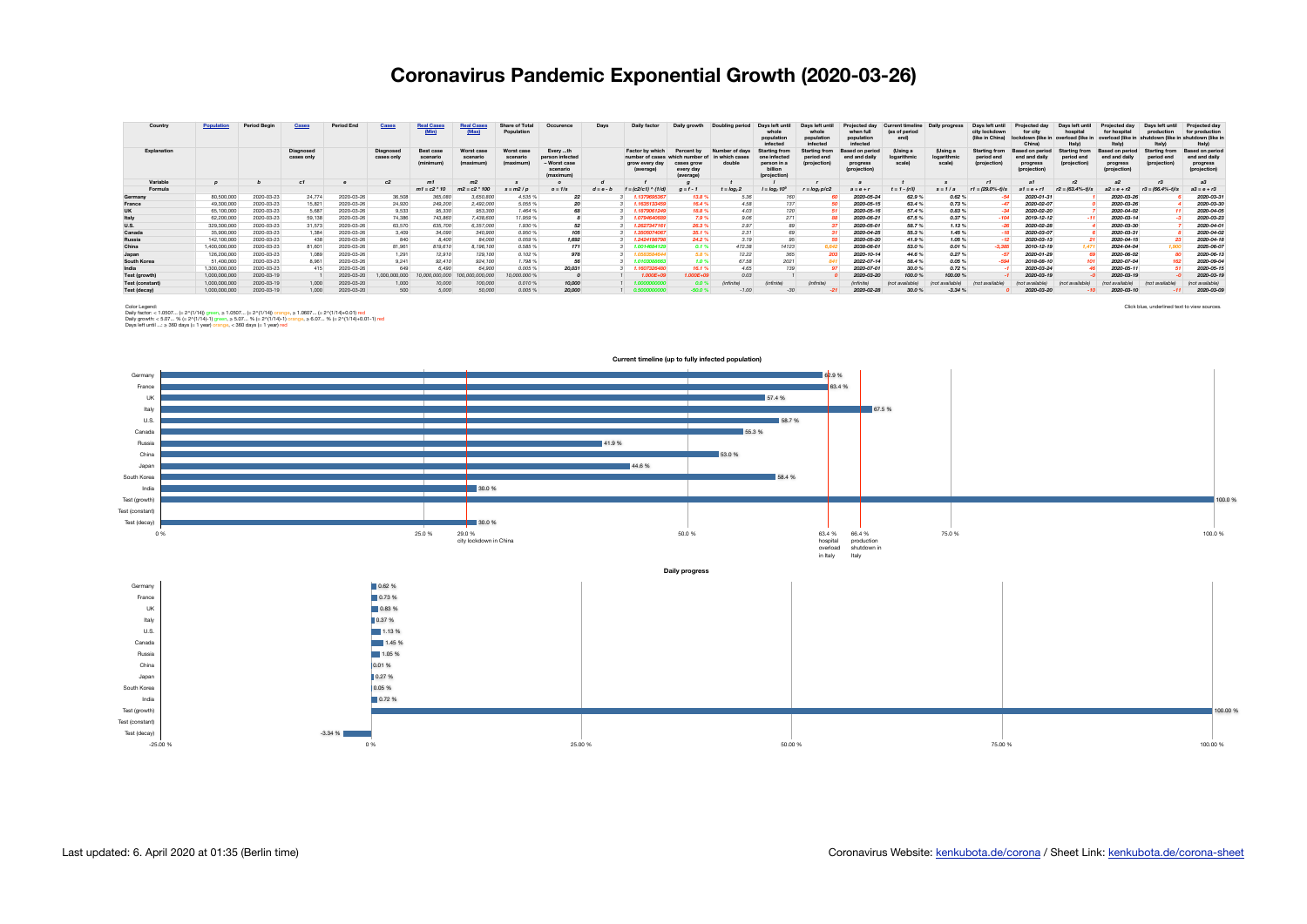## **Coronavirus Pandemic Exponential Growth (2020-03-26)**

| Country                | <b>Population</b> | <b>Period Begin</b> | <b>Cases</b>            | <b>Period End</b> | <b>Cases</b>            | <b>Real Cases</b><br>(Min)                | <b>Real Cas</b><br>Max)             | <b>Share of Total</b><br>Population        | Occurence                                                            | Days        | Daily factor                                                             | Daily growth                                                                | Doubling period                            | Days left until<br>whole<br>population<br>infected                             | Davs left until<br>whole<br>population<br>infected | Projected o<br>when full<br>population<br>infected         | t timeline<br>(as of period<br>end) | Daily progres                     | Davs left unti<br>city lockdown<br>(like in China) | <b>Projected day</b><br>for city<br>lockdown (like in<br>China | Days left<br>hospital<br>overload (like in<br>Italv | Projected<br>for hospital<br>overload (like | Days left until<br>production<br>hutdown (like<br><b>Italy</b> | <b>Projected dav</b><br>for production<br>shutdown (like in<br>ltalv) |
|------------------------|-------------------|---------------------|-------------------------|-------------------|-------------------------|-------------------------------------------|-------------------------------------|--------------------------------------------|----------------------------------------------------------------------|-------------|--------------------------------------------------------------------------|-----------------------------------------------------------------------------|--------------------------------------------|--------------------------------------------------------------------------------|----------------------------------------------------|------------------------------------------------------------|-------------------------------------|-----------------------------------|----------------------------------------------------|----------------------------------------------------------------|-----------------------------------------------------|---------------------------------------------|----------------------------------------------------------------|-----------------------------------------------------------------------|
| Explanation            |                   |                     | Diagnosed<br>cases only |                   | Diagnosed<br>cases only | <b>Best case</b><br>scenario<br>(minimum) | Worst case<br>scenario<br>(maximum) | Worst case<br>scenario<br><i>(maximum)</i> | Every th<br>person infected<br>- Worst case<br>scenario<br>(maximum) |             | <b>Factor by which</b><br>number of cases<br>grow every day<br>(average) | <b>Percent by</b><br>which number of<br>cases grow<br>every day<br>(average | Number of days<br>in which cases<br>double | <b>Starting from</b><br>one infected<br>person in a<br>billion<br>(projection) | <b>Starting from</b><br>period end<br>(projection) | sed on period<br>end and daily<br>progress<br>(projection) | (Using a<br>logarithmic<br>scale)   | (Using a<br>logarithmic<br>scale) | <b>Starting from</b><br>period end<br>(projection) | end and daily<br>progres:<br>(projection)                      | <b>Starting</b><br>period end<br>(projection)       | end and daily<br>progress<br>(projection)   | <b>Starting from</b><br>period end<br>(projection)             | <b>Based on period</b><br>end and daily<br>progress<br>(projection)   |
| Variable               |                   |                     | c1                      |                   | c2                      | m1                                        | m <sub>2</sub>                      |                                            |                                                                      |             |                                                                          |                                                                             |                                            |                                                                                |                                                    |                                                            |                                     |                                   | r1                                                 |                                                                |                                                     | <b>a2</b>                                   | r <sub>3</sub>                                                 | a3                                                                    |
| Formula                |                   |                     |                         |                   |                         | $m1 = c2 * 10$                            | c2 * 100<br>mź                      | $s = m2/p$                                 | $o = 1/s$                                                            | $d = e - b$ | = (c2/c1) ^ (1/d)                                                        | $q = f - 1$                                                                 | $t = log_t 2$                              | $I = log_f 10^9$                                                               | $r =$ loge p/c2                                    | $a = e + r$                                                | $t = 1 - (r/l)$                     | s = 1 / a                         | $r1 = (29.0\% - t)/s$                              |                                                                | $r2 = 63.4\% - t1/s$                                | $a2 = e + r2$                               | $r3 = (66.4\% - t)/s$                                          | $a3 = e + r3$                                                         |
| Germany                | 80,500,000        | 2020-03-23          | 24,774                  | 2020-03-26        | 36,508                  | 365,080                                   | 3,650,800                           | 4.535 9                                    |                                                                      |             | 1.1379695367                                                             | 13.8%                                                                       | 5.36                                       | 160                                                                            |                                                    | 2020-05-24                                                 | 62.9 %                              | 0.62%                             |                                                    | 2020-01-31                                                     |                                                     | 2020-03-26                                  |                                                                | 2020-03-31                                                            |
| France                 | 49,300,000        | 2020-03-23          | 15,821                  | 2020-03-26        | 24,920                  | 249,200                                   | 2,492,000                           | 5.055 %                                    |                                                                      |             | 1.1635133459                                                             | 16.4 %                                                                      | 4.58                                       | 137                                                                            | 50                                                 | 2020-05-15                                                 | 63.4 %                              | 0.73%                             |                                                    | 2020-02-07                                                     |                                                     | 2020-03-26                                  |                                                                | 2020-03-30                                                            |
| <b>UK</b>              | 65,100,000        | 2020-03-23          | 5.687                   | 2020-03-26        | 9,533                   | 95,330                                    | 953,300                             | 1.464 %                                    |                                                                      |             | 1.1879061249                                                             | 18.8%                                                                       | 4.03                                       | 120                                                                            | 51                                                 | 2020-05-16                                                 | 57.4 %                              | 0.83%                             |                                                    | 2020-02-20                                                     |                                                     | 2020-04-02                                  |                                                                | 2020-04-05                                                            |
| Italy                  | 62,200,000        | 2020-03-23          | 59.138                  | 2020-03-26        | 74.386                  | 743,860                                   | 7,438,600                           | 11.959 %                                   |                                                                      |             | 1.0794640689                                                             | 7.9%                                                                        | 9.06                                       | 271                                                                            | 88                                                 | 2020-06-21                                                 | 67.5%                               | 0.37%                             |                                                    | 2019-12-12                                                     |                                                     | 2020-03-14                                  |                                                                | 2020-03-23                                                            |
| <b>U.S.</b>            | 329,300,000       | 2020-03-23          | 31.573                  | 2020-03-26        | 63,570                  | 635,700                                   | 6,357,000                           | 1.930 %                                    | 52                                                                   |             | 1.2627347161                                                             | 26.3%                                                                       | 2.97                                       | 89                                                                             | 37                                                 | 2020-05-01                                                 | 58.7%                               | 1.13%                             |                                                    | 2020-02-28                                                     |                                                     | 2020-03-30                                  |                                                                | 2020-04-0                                                             |
| Canada                 | 35,900,000        | 2020-03-23          | 1.384                   | 2020-03-26        | 3.409                   | 34,090                                    | 340,900                             | 0.950 %                                    | 105                                                                  |             | 1.3505074067                                                             | 35.1%                                                                       | 2.31                                       | 69                                                                             | 31                                                 | 2020-04-25                                                 | 55.3%                               | 1.45 %                            |                                                    | 2020-03-07                                                     |                                                     | 2020-03-31                                  |                                                                | 2020-04-02                                                            |
| Russia                 | 142,100,000       | 2020-03-23          | 438                     | 2020-03-26        | 840                     | 8.400                                     | 84,000                              | 0.059 %                                    | 1,692                                                                |             | 1.2424198798                                                             | 24.2%                                                                       | 3.19                                       | 95                                                                             | 55                                                 | 2020-05-20                                                 | 41.9%                               | 1.05 %                            |                                                    | 2020-03-13                                                     |                                                     | 2020-04-15                                  |                                                                | 2020-04-18                                                            |
| China                  | 1,400,000,000     | 2020-03-23          | 81,601                  | 2020-03-26        | 81,961                  | 819,610                                   | 8,196,100                           | 0.585 %                                    | 171                                                                  |             | 1.0014684129                                                             | 0.1%                                                                        | 472.38                                     | 14123                                                                          | 6.642                                              | 2038-06-01                                                 | 53.0%                               | 0.01%                             | 3.38                                               | 2010-12-19                                                     | $1.47^{\circ}$                                      | 2024-04-04                                  | 1.900                                                          | 2025-06-07                                                            |
| Japan                  | 126,200,000       | 2020-03-23          | 1.089                   | 2020-03-26        | 1,291                   | 12,910                                    | 129,100                             | 0.102%                                     | 978                                                                  |             | 1.0583584644                                                             | 5.8%                                                                        | 12.22                                      | 365                                                                            | 203                                                | 2020-10-14                                                 | 44.6%                               | 0.27%                             |                                                    | 2020-01-29                                                     |                                                     | 2020-06-02                                  |                                                                | 2020-06-13                                                            |
| <b>South Korea</b>     | 51,400,000        | 2020-03-23          | 8.961                   | 2020-03-26        | 9.241                   | 92,410                                    | 924,100                             | 1.798 %                                    | 56                                                                   |             | 1.0103088663                                                             | 1.0%                                                                        | 67.58                                      | 2021                                                                           | 841                                                | 2022-07-14                                                 | 58.4%                               | $0.05 \%$                         |                                                    | 2018-08-10                                                     |                                                     | 2020-07-04                                  | 162                                                            | 2020-09-04                                                            |
| India                  | 1,300,000,000     | 2020-03-23          | 415                     | 2020-03-26        | 649                     | 6.490                                     | 64,900                              | 0.005 %                                    | 20,031                                                               |             | 1.1607326480                                                             | 16.1%                                                                       | 4.65                                       | 139                                                                            | $\mathbf{a}$                                       | 2020-07-01                                                 | 30.0%                               | 0.72%                             |                                                    | 2020-03-24                                                     |                                                     | 2020-05-11                                  |                                                                | 2020-05-15                                                            |
| Test (growth)          | 1,000,000,000     | 2020-03-19          |                         | 2020-03-20        | 000,000,000             |                                           | 100,000,000,000                     | ,000.000                                   |                                                                      |             | $1.000E + 05$                                                            | 1.000E+09                                                                   | 0.03                                       |                                                                                |                                                    | 2020-03-20                                                 | 100.0 %                             | 100.00 %                          |                                                    | 2020-03-19                                                     |                                                     | 2020-03-19                                  |                                                                | 2020-03-19                                                            |
| <b>Test (constant)</b> | 1,000,000,000     | 2020-03-19          | 1.000                   | 2020-03-20        | 1.000                   | 10,000                                    | 100,000                             | 0.010%                                     | 10,000                                                               |             | 1.000000000                                                              | 0.0%                                                                        | 'infinite.                                 | (infinite)                                                                     | <i><b>linfinite</b></i>                            | (infinite)                                                 | (not available                      | available.<br>lno.                | (not available                                     | (not available)                                                | (not available                                      | (not available)                             | (not available.                                                | (not available)                                                       |
| Test (decay)           | 1,000,000,000     | 2020-03-19          | 1.000                   | 2020-03-20        | 500                     | 5,000                                     | 50,000                              | 0.005                                      | 20,000                                                               |             | 0.500000000                                                              | 50.0 %                                                                      | $-1.00$                                    | $-30$                                                                          |                                                    | 2020-02-28                                                 | 30.0%                               | $-3.34$ $%$                       |                                                    | 2020-03-20                                                     |                                                     | 2020-03-10                                  |                                                                | 2020-03-09                                                            |

Click blue, underlined text to view sources.<br>Daily growth: < 5.0507... (= 2^{1/14}) green, ≥ 1.0507... (= 2^{1/14}+0.07... (= 2^{1/14}+0.01} red<br>Daily growth: < 5.07... % (= 2^{1/14}) green, ≥ 1.0507... (% (= 2^{1/14}+0.0



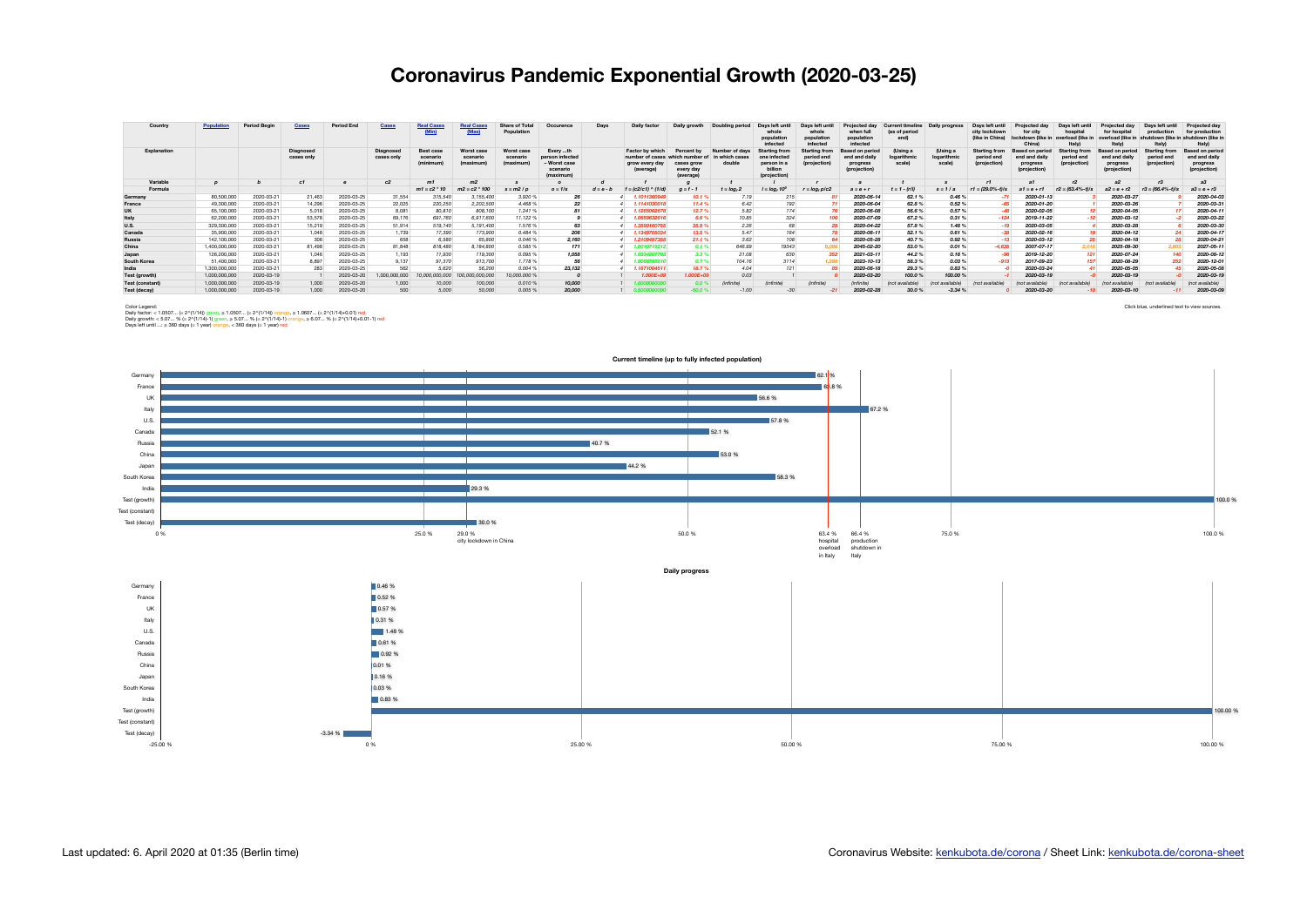## **Coronavirus Pandemic Exponential Growth (2020-03-25)**

| Country                | <b>Population</b> | <b>Period Begin</b> | <b>Cases</b>            | <b>Period End</b> | <b>Cases</b>            | <b>Real Cases</b><br>(Min)                | <b>Real Cas</b><br>Max)             | <b>Share of Total</b><br>Population        | Occurence                                                            | Days        | Daily factor                                                                | Daily growth                                                                | Doubling period                            | Days left until<br>whole<br>population<br>infected                             | Davs left until<br>whole<br>population<br>infected | Projected o<br>when full<br>population<br>infected         | t timeline<br>(as of period<br>end) | Daily progres                     | Davs left unti<br>city lockdown<br>(like in China) | <b>Projected day</b><br>for city<br>lockdown (like in<br>China | Days left<br>hospital<br>overload (like in<br>Italv | Projected <b>v</b><br>for hospital<br>overload (like | Days left until<br>production<br>hutdown (like<br><b>Italy</b> | <b>Projected dav</b><br>for production<br>shutdown (like in<br>ltalv) |
|------------------------|-------------------|---------------------|-------------------------|-------------------|-------------------------|-------------------------------------------|-------------------------------------|--------------------------------------------|----------------------------------------------------------------------|-------------|-----------------------------------------------------------------------------|-----------------------------------------------------------------------------|--------------------------------------------|--------------------------------------------------------------------------------|----------------------------------------------------|------------------------------------------------------------|-------------------------------------|-----------------------------------|----------------------------------------------------|----------------------------------------------------------------|-----------------------------------------------------|------------------------------------------------------|----------------------------------------------------------------|-----------------------------------------------------------------------|
| Explanation            |                   |                     | Diagnosed<br>cases only |                   | Diagnosed<br>cases only | <b>Best case</b><br>scenario<br>(minimum) | Worst case<br>scenario<br>(maximum) | Worst case<br>scenario<br><i>(maximum)</i> | Every th<br>person infected<br>- Worst case<br>scenario<br>(maximum) |             | <b>Factor by which</b><br>number of cases<br>arow every<br>dav<br>(average) | <b>Percent by</b><br>which number of<br>cases grow<br>every day<br>(average | Number of days<br>in which cases<br>double | <b>Starting from</b><br>one infected<br>person in a<br>billion<br>(projection) | <b>Starting from</b><br>period end<br>(projection) | sed on period<br>end and daily<br>progress<br>(projection) | (Using a<br>logarithmic<br>scale)   | (Using a<br>logarithmic<br>scale) | <b>Starting from</b><br>period end<br>(projection) | end and daily<br>progres:<br>(projection)                      | <b>Starting</b><br>period end<br>(projection)       | end and daily<br>progress<br>(projection)            | <b>Starting from</b><br>period end<br>(projection)             | <b>Based on period</b><br>end and daily<br>progress<br>(projection)   |
| Variable               |                   |                     | c1                      |                   | c2                      | m1                                        | m <sub>2</sub>                      |                                            |                                                                      |             |                                                                             |                                                                             |                                            |                                                                                |                                                    |                                                            |                                     |                                   | r1                                                 |                                                                |                                                     | <b>a2</b>                                            | r <sub>3</sub>                                                 | a3                                                                    |
| Formula                |                   |                     |                         |                   |                         | $m1 = c2 * 10$                            | c <sub>2</sub> * 100<br>mź          | $s = m2/p$                                 | $o = 1/s$                                                            | $d = e - b$ | = (c2/c1) ^ (1/d                                                            | $q = f - 1$                                                                 | $t = log_1 2$                              | $I = log_f 10^9$                                                               | $r = log_f p/c2$                                   | $a = e + r$                                                | $t = 1 - (r/l)$                     | s = 1 / a                         | $r1 = (29.0\% - t)/s$                              |                                                                | $r2 = (63.4\% - t)/s$                               | $a2 = e + r2$                                        | $r3 = (66.4\% - t)/s$                                          | $a3 = e + r3$                                                         |
| Germany                | 80,500,000        | 2020-03-21          | 21,463                  | 2020-03-25        | 31,554                  | 315,540                                   | 3,155,400                           | 3.920 %                                    | 26                                                                   |             | 1.1011360949                                                                | 10.1%                                                                       | 7.19                                       | 215                                                                            |                                                    | 2020-06-14                                                 | 62.1%                               | 0.46 %                            |                                                    | 2020-01-13                                                     |                                                     | 2020-03-27                                           |                                                                | 2020-04-03                                                            |
| France                 | 49,300,000        | 2020-03-21          | 14.296                  | 2020-03-25        | 22.025                  | 220,250                                   | 2,202,500                           | 4.468 %                                    |                                                                      |             | 1.1141030018                                                                | 11.4%                                                                       | 6.42                                       | 192                                                                            |                                                    | 2020-06-04                                                 | 62.8%                               | 0.52%                             |                                                    | 2020-01-20                                                     |                                                     | 2020-03-26                                           |                                                                | 2020-03-31                                                            |
| <b>UK</b>              | 65,100,000        | 2020-03-21          | 5.018                   | 2020-03-25        | 8,081                   | 80,810                                    | 808,100                             | 1.241 %                                    |                                                                      |             | 1.1265062678                                                                | 12.7%                                                                       | 5.82                                       | 174                                                                            |                                                    | 2020-06-08                                                 | 56.6%                               | 0.57%                             |                                                    | 2020-02-05                                                     |                                                     | 2020-04-05                                           |                                                                | 2020-04-11                                                            |
| Italy                  | 62,200,000        | 2020-03-21          | 53,578                  | 2020-03-25        | 69.176                  | 691,760                                   | 6,917,600                           | 11.122 %                                   |                                                                      |             | 1.0659632616                                                                | 6.6 %                                                                       | 10.85                                      | 324                                                                            | 106                                                | 2020-07-09                                                 | 67.2%                               | 0.31%                             |                                                    | 2019-11-22                                                     |                                                     | 2020-03-12                                           |                                                                | 2020-03-22                                                            |
| <b>U.S.</b>            | 329,300,000       | 2020-03-21          | 15,219                  | 2020-03-25        | 51.914                  | 519,140                                   | 5,191,400                           | 1.576 %                                    | 63                                                                   |             | 1.3590160755                                                                | 35.9%                                                                       | 2.26                                       | 68                                                                             |                                                    | 2020-04-22                                                 | 57.8%                               | 1.48%                             |                                                    | 2020-03-05                                                     |                                                     | 2020-03-28                                           |                                                                | 2020-03-30                                                            |
| Canada                 | 35,900,000        | 2020-03-21          | 1.048                   | 2020-03-25        | 1.739                   | 17,390                                    | 173,900                             | 0.484 %                                    | 206                                                                  |             | 1.1349705034                                                                | 13.5 %                                                                      | 5.47                                       | 164                                                                            | 78                                                 | 2020-06-11                                                 | 52.1%                               | 0.61%                             |                                                    | 2020-02-16                                                     |                                                     | 2020-04-12                                           |                                                                | 2020-04-17                                                            |
| Russia                 | 142,100,000       | 2020-03-21          | 306                     | 2020-03-25        | 658                     | 6.580                                     | 65,800                              | 0.046 %                                    | 2,160                                                                |             | 1.2109497358                                                                | 21.1%                                                                       | 3.62                                       | 108                                                                            | 64                                                 | 2020-05-28                                                 | 40.7%                               | 0.92%                             |                                                    | 2020-03-12                                                     |                                                     | 2020-04-18                                           |                                                                | 2020-04-21                                                            |
| China                  | 1,400,000,000     | 2020-03-21          | 81.498                  | 2020-03-25        | 81,848                  | 818,480                                   | 8,184,800                           | 0.585 %                                    | 171                                                                  |             | 1.0010719212                                                                | 0.1%                                                                        | 646.99                                     | 19343                                                                          | 9.098                                              | 2045-02-20                                                 | 53.0%                               | 0.01%                             | 4.635                                              | 2007-07-17                                                     | 2.015                                               | 2025-09-30                                           | 2.603                                                          | 2027-05-11                                                            |
| Japan                  | 126,200,000       | 2020-03-21          | 1.046                   | 2020-03-25        | 1,193                   | 11,930                                    | 119,300                             | 0.095 %                                    | 1,058                                                                |             | 1.0334207793                                                                | 3.3%                                                                        | 21.08                                      | 630                                                                            | 352                                                | 2021-03-11                                                 | 44.2%                               | 0.16%                             |                                                    | 2019-12-20                                                     |                                                     | 2020-07-24                                           | 140                                                            | 2020-08-12                                                            |
| <b>South Korea</b>     | 51,400,000        | 2020-03-21          | 8.897                   | 2020-03-25        | 9.137                   | 91,370                                    | 913,700                             | 1,778 %                                    | 56                                                                   |             | 1.006676681                                                                 | 0.7%                                                                        | 104.16                                     | 3114                                                                           |                                                    | 2023-10-13                                                 | 58.3%                               | 0.03%                             |                                                    | 2017-09-23                                                     |                                                     | 2020-08-29                                           | 252                                                            | 2020-12-0                                                             |
| India                  | 1,300,000,000     | 2020-03-21          | 283                     | 2020-03-25        | 562                     | 5.620                                     | 56,200                              | 0.004 %                                    | 23,132                                                               |             | 1.1871004511                                                                | 18.7%                                                                       | 4.04                                       | 121                                                                            |                                                    | 2020-06-18                                                 | 29.3%                               | 0.83%                             |                                                    | 2020-03-24                                                     |                                                     | 2020-05-05                                           |                                                                | 2020-05-08                                                            |
| Test (growth)          | 1,000,000,000     | 2020-03-19          |                         | 2020-03-20        | 000,000,000             |                                           | 100,000,000,000                     | ,000.000                                   |                                                                      |             | $1.000E + 05$                                                               | 1.000E+09                                                                   | 0.03                                       |                                                                                |                                                    | 2020-03-20                                                 | 100.0 %                             | 100.00 %                          |                                                    | 2020-03-19                                                     |                                                     | 2020-03-19                                           |                                                                | 2020-03-19                                                            |
| <b>Test (constant)</b> | 1,000,000,000     | 2020-03-19          | 1.000                   | 2020-03-20        | 1.000                   | 10,000                                    | 100,000                             | 0.010%                                     | 10,000                                                               |             | 1.000000000                                                                 | 0.0%                                                                        | 'infinite.                                 | (infinite)                                                                     | <i><b>linfinite</b></i>                            | (infinite)                                                 | (not available                      | available.                        | (not available                                     | (not available)                                                | (not available                                      | (not available)                                      | (not available.                                                | (not available)                                                       |
| Test (decay)           | 1,000,000,000     | 2020-03-19          | 1.000                   | 2020-03-20        | 500                     | 5,000                                     | 50,000                              | 0.005                                      | 20,000                                                               |             | 0.500000000                                                                 |                                                                             | $-1.00$                                    | $-30$                                                                          |                                                    | 2020-02-28                                                 | 30.0%                               | $-3.34$ $%$                       |                                                    | 2020-03-20                                                     |                                                     | 2020-03-10                                           |                                                                | 2020-03-09                                                            |

Click blue, underlined text to view sources.<br>Daily growth: < 5.0507... (= 2^{1/14}) green, ≥ 1.0507... (= 2^{1/14}+0.07... (= 2^{1/14}+0.01} red<br>Daily growth: < 5.07... % (= 2^{1/14}) green, ≥ 1.0507... (% (= 2^{1/14}+0.0



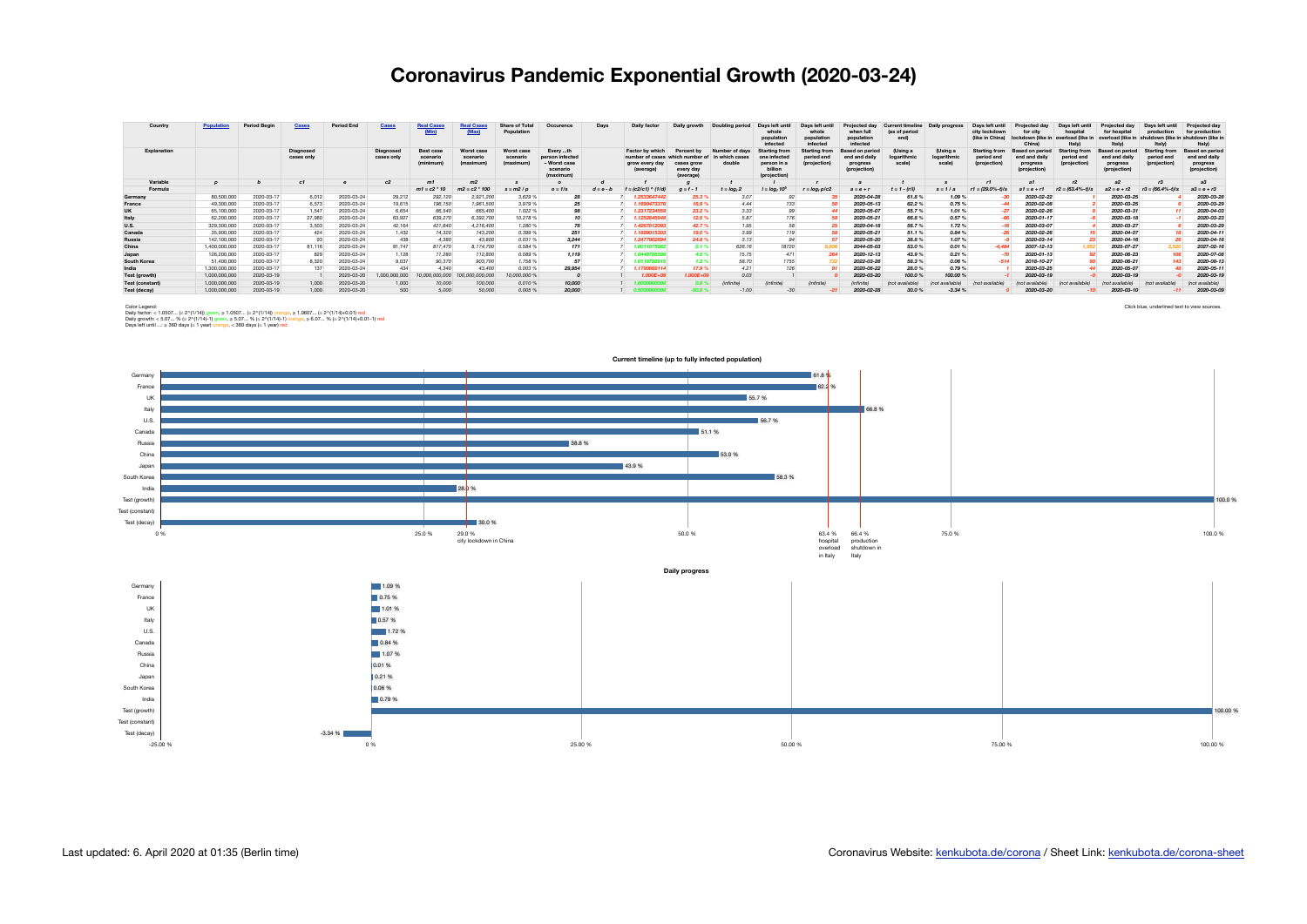## **Coronavirus Pandemic Exponential Growth (2020-03-24)**

| Country                | <b>Population</b> | <b>Period Begin</b> | <b>Cases</b>            | <b>Period End</b> | <b>Cases</b>            | <b>Real Cases</b><br>(Min)         | <b>Real Cas</b><br>Max)             | <b>Share of Total</b><br>Population | Occurence                                                            | Days        | Daily factor                                                             | Daily growth                                                                | Doubling period                            | Days left until<br>whole<br>population<br>infected                             | Davs left until<br>whole<br>population<br>infected | Projected o<br>when full<br>population<br>infected         | t timeline<br>(as of period<br>end) | Daily progres                     | Davs left unti<br>city lockdown<br>(like in China) | <b>Projected day</b><br>for city<br>lockdown (like in<br>China | Days left<br>hospital<br>overload (like in<br>Italv | Projected<br>for hospital<br>overload (like | Days left until<br>production<br>hutdown (like<br><b>Italy</b> | Projected day<br>for production<br>shutdown (like in<br>ltalv)      |
|------------------------|-------------------|---------------------|-------------------------|-------------------|-------------------------|------------------------------------|-------------------------------------|-------------------------------------|----------------------------------------------------------------------|-------------|--------------------------------------------------------------------------|-----------------------------------------------------------------------------|--------------------------------------------|--------------------------------------------------------------------------------|----------------------------------------------------|------------------------------------------------------------|-------------------------------------|-----------------------------------|----------------------------------------------------|----------------------------------------------------------------|-----------------------------------------------------|---------------------------------------------|----------------------------------------------------------------|---------------------------------------------------------------------|
| Explanation            |                   |                     | Diagnosed<br>cases only |                   | Diagnosed<br>cases only | Best case<br>scenario<br>(minimum) | Worst case<br>scenario<br>(maximum) | Worst case<br>scenario<br>(maximum) | Every th<br>person infected<br>- Worst case<br>scenario<br>(maximum) |             | <b>Factor by which</b><br>number of cases<br>grow every day<br>(average) | <b>Percent by</b><br>which number of<br>cases grow<br>every day<br>(average | Number of days<br>in which cases<br>double | <b>Starting from</b><br>one infected<br>person in a<br>billion<br>(projection) | <b>Starting from</b><br>period end<br>(projection) | sed on period<br>end and daily<br>progress<br>(projection) | (Using a<br>logarithmic<br>scale)   | (Using a<br>logarithmic<br>scale) | <b>Starting from</b><br>period end<br>(projection) | end and daily<br>progres:<br>(projection)                      | <b>Starting</b><br>period end<br>(projection)       | end and daily<br>progress<br>(projection)   | <b>Starting fron</b><br>period end<br>(projection)             | <b>Based on period</b><br>end and daily<br>progress<br>(projection) |
| Variable               |                   |                     | c1                      |                   | c2                      | m1                                 | m <sub>2</sub>                      |                                     |                                                                      |             |                                                                          |                                                                             |                                            |                                                                                |                                                    |                                                            |                                     |                                   | r1                                                 |                                                                |                                                     | <b>a2</b>                                   | r <sub>3</sub>                                                 | a3                                                                  |
| Formula                |                   |                     |                         |                   |                         | $m1 = c2 * 10$                     | c2 * 100<br>mź                      | $s = m2/p$                          | $o = 1/s$                                                            | $d = e - b$ | = (c2/c1) ^ (1/d)                                                        | $q = f - 1$                                                                 | $t = log_t 2$                              | $I = log_f 10^9$                                                               | $r = log_f p/c2$                                   | $a = e + r$                                                | $t = 1 - (r/l)$                     | s = 1 / a                         | $r1 = (29.0\% - t)/s$                              | -e + r1                                                        | $r2 = 63.4\% - t1/s$                                | $a2 = e + r2$                               | $r3 = (66.4\% - t)/s$                                          | $a3 = e + r3$                                                       |
| Germany                | 80,500,000        | 2020-03-17          | 6.012                   | 2020-03-24        | 29,212                  | 292,120                            | 2,921,200                           | 3.629 %                             |                                                                      |             | 1.2533647442                                                             | 25.3%                                                                       | 3.07                                       |                                                                                |                                                    | 2020-04-28                                                 | 61.8%                               | 1.09%                             |                                                    | 2020-02-22                                                     |                                                     | 2020-03-25                                  |                                                                | 2020-03-28                                                          |
| France                 | 49,300,000        | 2020-03-17          | 6.573                   | 2020-03-24        | 19,615                  | 196,150                            | 1,961,500                           | 3.979 %                             |                                                                      |             | 1.1690473376                                                             | 16.9%                                                                       | 4.44                                       | 133                                                                            | 50                                                 | 2020-05-13                                                 | 62.2%                               | 0.75%                             |                                                    | 2020-02-08                                                     |                                                     | 2020-03-25                                  |                                                                | 2020-03-29                                                          |
| <b>UK</b>              | 65,100,000        | 2020-03-17          | 1.547                   | 2020-03-24        | 6,654                   | 66,540                             | 665,400                             | 1.022 %                             |                                                                      |             | 1.2317234559                                                             | 23.2%                                                                       | 3.33                                       | 99                                                                             |                                                    | 2020-05-07                                                 | 55.7%                               | 1.01%                             |                                                    | 2020-02-26                                                     |                                                     | 2020-03-31                                  |                                                                | 2020-04-03                                                          |
| Italy                  | 62,200,000        | 2020-03-17          | 27,980                  | 2020-03-24        | 63,927                  | 639,270                            | 6,392,700                           | 10.278 %                            |                                                                      |             | 1.1252845949                                                             | 12.5 %                                                                      | 5.87                                       | 176                                                                            | 58                                                 | 2020-05-21                                                 | 66.8%                               | 0.57%                             |                                                    | 2020-01-17                                                     |                                                     | 2020-03-18                                  |                                                                | 2020-03-23                                                          |
| <b>U.S.</b>            | 329,300,000       | 2020-03-17          | 3.503                   | 2020-03-24        | 42.164                  | 421,640                            | 4,216,400                           | 1.280 %                             |                                                                      |             | 1.4267812093                                                             | 42.7%                                                                       | 1.95                                       | 58                                                                             |                                                    | 2020-04-18                                                 | 56.7%                               | 1.72%                             |                                                    | 2020-03-07                                                     |                                                     | 2020-03-27                                  |                                                                | 2020-03-29                                                          |
| Canada                 | 35,900,000        | 2020-03-17          | 424                     | 2020-03-24        | 1.432                   | 14,320                             | 143,200                             | 0.399 %                             | 251                                                                  |             | 1.1899015303                                                             | 19.0%                                                                       | 3.99                                       | 119                                                                            | 58                                                 | 2020-05-21                                                 | 51.1%                               | 0.84%                             |                                                    | 2020-02-26                                                     |                                                     | 2020-04-07                                  |                                                                | 2020-04-11                                                          |
| Russia                 | 142,100,000       | 2020-03-17          | 93                      | 2020-03-24        | 438                     | 4.380                              | 43,800                              | 0.031 %                             | 3,244                                                                |             | 1.2477902694                                                             | 24.8%                                                                       | 3.13                                       | 94                                                                             | 57                                                 | 2020-05-20                                                 | 38.8%                               | 1.07%                             |                                                    | 2020-03-14                                                     |                                                     | 2020-04-16                                  |                                                                | 2020-04-18                                                          |
| China                  | 1,400,000,000     | 2020-03-17          | 81.116                  | 2020-03-24        | 81.747                  | 817,470                            | 8,174,700                           | 0.584 %                             | 171                                                                  |             | 1.0011075962                                                             | 0.1%                                                                        | 626.16                                     | 18720                                                                          | 3.806                                              | 2044-05-03                                                 | 53.0%                               | 0.01%                             |                                                    | 2007-12-13                                                     |                                                     | 2025-07-27                                  | 2.520                                                          | 2027-02-16                                                          |
| Japan                  | 126,200,000       | 2020-03-17          | 829                     | 2020-03-24        | 1,128                   | 11,280                             | 112,800                             | 0.089 %                             | 1,119                                                                |             | 1.0449795599                                                             | 4.5%                                                                        | 15.75                                      | 471                                                                            | 264                                                | 2020-12-13                                                 | 43.9%                               | 0.21%                             |                                                    | 2020-01-13                                                     |                                                     | 2020-06-23                                  | 106                                                            | 2020-07-08                                                          |
| <b>South Korea</b>     | 51,400,000        | 2020-03-17          | 8.320                   | 2020-03-24        | 9,037                   | 90,370                             | 903,700                             | 1.758 %                             | 57                                                                   |             | 1.0118792915                                                             | 1.2%                                                                        | 58.70                                      | 1755                                                                           | 732                                                | 2022-03-26                                                 | 58.3%                               | 0.06%                             |                                                    | 2018-10-27                                                     |                                                     | 2020-06-21                                  | 143                                                            | 2020-08-13                                                          |
| India                  | 1,300,000,000     | 2020-03-17          | 137                     | 2020-03-24        | 434                     | 4.340                              | 43,400                              | $0.003$ %                           | 29,954                                                               |             | 1.1790669114                                                             | 17.9%                                                                       | 4.21                                       | 126                                                                            | 91                                                 | 2020-06-22                                                 | 28.0%                               | 0.79%                             |                                                    | 2020-03-25                                                     |                                                     | 2020-05-07                                  |                                                                | 2020-05-11                                                          |
| Test (growth)          | 1,000,000,000     | 2020-03-19          |                         | 2020-03-20        | 000,000,000             |                                    | 100,000,000,000                     | ,000.000                            |                                                                      |             | $1.000E + 05$                                                            | 1.000E+09                                                                   | 0.03                                       |                                                                                |                                                    | 2020-03-20                                                 | 100.0 %                             | 100.00 %                          |                                                    | 2020-03-19                                                     |                                                     | 2020-03-19                                  |                                                                | 2020-03-19                                                          |
| <b>Test (constant)</b> | 1,000,000,000     | 2020-03-19          | 1.000                   | 2020-03-20        | 1.000                   | 10,000                             | 100,000                             | 0.010%                              | 10,000                                                               |             | 1.000000000                                                              | 0.0%                                                                        | 'infinite.                                 | (infinite)                                                                     | <i><b>linfinite</b></i>                            | (infinite)                                                 | (not available                      | available.                        | (not available                                     | (not available)                                                | (not available                                      | (not available)                             | (not available.                                                | (not available)                                                     |
| Test (decay)           | 1,000,000,000     | 2020-03-19          | 1.000                   | 2020-03-20        | 500                     | 5,000                              | 50,000                              | 0.005                               | 20,000                                                               |             | 0.500000000                                                              | 50.0 9                                                                      | $-1.00$                                    | $-30$                                                                          |                                                    | 2020-02-28                                                 | 30.0%                               | $-3.34$ $%$                       |                                                    | 2020-03-20                                                     |                                                     | 2020-03-10                                  |                                                                | 2020-03-09                                                          |

Click blue, underlined text to view sources.<br>Daily growth: < 5.0507... (= 2^{1/14}) green, ≥ 1.0507... (= 2^{1/14}+0.07... (= 2^{1/14}+0.01} red<br>Daily growth: < 5.07... % (= 2^{1/14}) green, ≥ 1.0507... (% (= 2^{1/14}+0.0



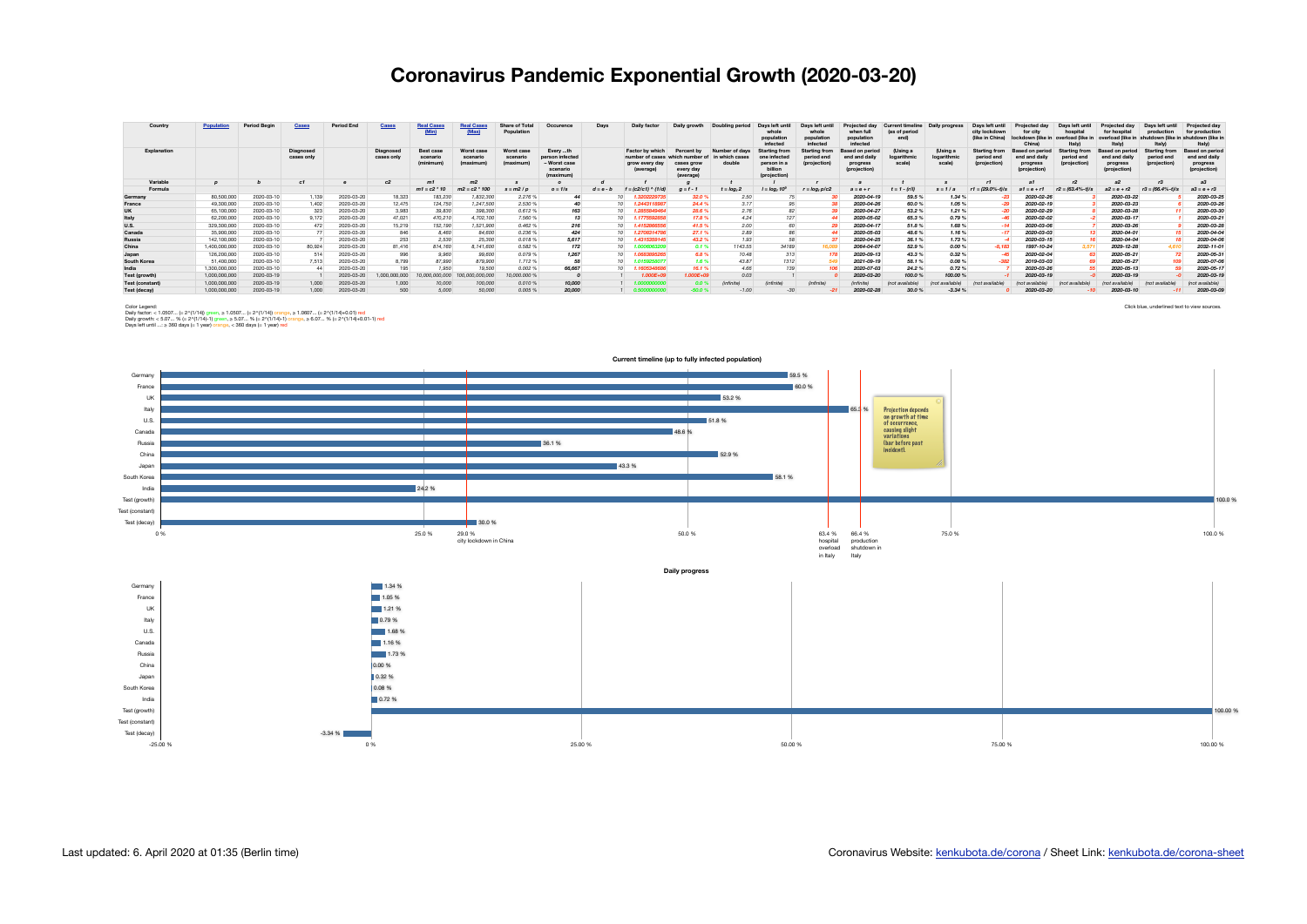## **Coronavirus Pandemic Exponential Growth (2020-03-20)**

| Country                | <b>Population</b> | <b>Period Begin</b> | <b>Cases</b>                   | <b>Period End</b> | <b>Cases</b>            | <b>Real Cases</b><br>(Min)         | <b>Real Cas</b><br>Max)             | <b>Share of Total</b><br>Population | Occurence                                                            | Days        | Daily factor                                                             | Daily growth                                                                | Doubling period                            | Days left until<br>whole<br>population<br>infected                             | Davs left until<br>whole<br>population<br>infected | Projected o<br>when full<br>population<br>infected         | t timeline<br>(as of period<br>end) | Daily progres                     | Davs left unti<br>city lockdown<br>(like in China) | <b>Projected day</b><br>for city<br>lockdown (like in<br>China | Days left<br>hospital<br>overload (like in<br>Italv | Projected<br>for hospital<br>overload (like | Days left until<br>production<br>shutdown (like<br><b>Italy</b> | <b>Projected dav</b><br>for production<br>shutdown (like in<br>ltalv) |
|------------------------|-------------------|---------------------|--------------------------------|-------------------|-------------------------|------------------------------------|-------------------------------------|-------------------------------------|----------------------------------------------------------------------|-------------|--------------------------------------------------------------------------|-----------------------------------------------------------------------------|--------------------------------------------|--------------------------------------------------------------------------------|----------------------------------------------------|------------------------------------------------------------|-------------------------------------|-----------------------------------|----------------------------------------------------|----------------------------------------------------------------|-----------------------------------------------------|---------------------------------------------|-----------------------------------------------------------------|-----------------------------------------------------------------------|
| Explanation            |                   |                     | <b>Diagnosed</b><br>cases only |                   | Diagnosed<br>cases only | Best case<br>scenario<br>(minimum) | Worst case<br>scenario<br>(maximum) | Worst case<br>scenario<br>(maximum) | Every th<br>person infected<br>- Worst case<br>scenario<br>(maximum) |             | <b>Factor by which</b><br>number of cases<br>grow every day<br>(average) | <b>Percent by</b><br>which number of<br>cases grow<br>every day<br>(average | Number of days<br>in which cases<br>double | <b>Starting from</b><br>one infected<br>person in a<br>billion<br>(projection) | <b>Starting from</b><br>period end<br>(projection) | sed on period<br>end and daily<br>progress<br>(projection) | (Using a<br>logarithmic<br>scale)   | (Using a<br>logarithmic<br>scale) | <b>Starting from</b><br>period end<br>(projection) | end and daily<br>progres:<br>(projection)                      | <b>Starting</b><br>period end<br>(projection)       | end and daily<br>progress<br>(projection)   | <b>Starting fron</b><br>period end<br>(projection)              | <b>Based on period</b><br>end and daily<br>progress<br>(projection)   |
| Variable               |                   |                     | c1                             |                   | c2                      | m1                                 | m <sub>2</sub>                      |                                     |                                                                      |             |                                                                          |                                                                             |                                            |                                                                                |                                                    |                                                            |                                     |                                   | r1                                                 |                                                                |                                                     | <b>a2</b>                                   | r <sub>3</sub>                                                  | a3                                                                    |
| Formula                |                   |                     |                                |                   |                         | $m1 = c2 * 10$                     | c2 * 100<br>mź                      | $s = m2/p$                          | $o = 1/s$                                                            | $d = e - b$ | = (c2/c1) ^ (1/d                                                         | $q = f - 1$                                                                 | $t = log_t 2$                              | $I = log_f 10^9$                                                               | $r = log_f p/c2$                                   | $a = e + r$                                                | $t = 1 - (r/l)$                     | s = 1 / a                         | $r1 = (29.0\% - t)/s$                              |                                                                | $r2 = (63.4\% - t)/s$                               | $a2 = e + r2$                               | $r3 = (66.4\% - t)/s$                                           | $a3 = e + r3$                                                         |
| Germany                | 80,500,000        | 2020-03-10          | 1.139                          | 2020-03-20        | 18,323                  | 183,230                            | 1,832,300                           | 2.276 %                             |                                                                      |             | 1.3202229735                                                             | 32.0 %                                                                      | 2.50                                       | $\sqrt{5}$                                                                     |                                                    | 2020-04-19                                                 | 59.5 %                              | 1.34 %                            |                                                    | 2020-02-26                                                     |                                                     | 2020-03-22                                  |                                                                 | 2020-03-25                                                            |
| France                 | 49,300,000        | 2020-03-10          | 1.402                          | 2020-03-20        | 12,475                  | 124,750                            | 1,247,500                           | 2.530 %                             |                                                                      |             | 1.2443118987<br>10                                                       | 24.4 %                                                                      | 3.17                                       | 95                                                                             |                                                    | 2020-04-26                                                 | 60.0%                               | 1.05%                             |                                                    | 2020-02-19                                                     |                                                     | 2020-03-23                                  |                                                                 | 2020-03-26                                                            |
| <b>UK</b>              | 65,100,000        | 2020-03-10          | 323                            | 2020-03-20        | 3,983                   | 39,830                             | 398,300                             | 0.612 %                             | 163                                                                  |             | 10<br>1.2855849464                                                       | 28.6%                                                                       | 2.76                                       | 82                                                                             |                                                    | 2020-04-27                                                 | 53.2%                               | 1.21%                             |                                                    | 2020-02-29                                                     |                                                     | 2020-03-28                                  |                                                                 | 2020-03-30                                                            |
| Italy                  | 62,200,000        | 2020-03-10          | 9.172                          | 2020-03-20        | 47,021                  | 470,210                            | 4,702,100                           | 7.560 %                             | 13                                                                   |             | 10 <sup>10</sup><br>1.1775592858                                         | 17.8%                                                                       | 4.24                                       | 127                                                                            |                                                    | 2020-05-02                                                 | 65.3%                               | 0.79%                             |                                                    | 2020-02-02                                                     |                                                     | 2020-03-17                                  |                                                                 | 2020-03-21                                                            |
| <b>U.S.</b>            | 329,300,000       | 2020-03-10          | 472                            | 2020-03-20        | 15,219                  | 152,190                            | 1,521,900                           | 0.462 %                             | 216                                                                  |             | 10<br>1.4152866556                                                       | 41.5%                                                                       | 2.00                                       | 60                                                                             |                                                    | 2020-04-17                                                 | 51.8%                               | 1.68%                             |                                                    | 2020-03-06                                                     |                                                     | 2020-03-26                                  |                                                                 | 2020-03-28                                                            |
| Canada                 | 35,900,000        | 2020-03-10          |                                | 2020-03-20        | 846                     | 8.460                              | 84,600                              | 0.236 %                             | 424                                                                  |             | 10 <sup>1</sup><br>1.2708314786                                          | 27.1%                                                                       | 2.89                                       | 86                                                                             |                                                    | 2020-05-03                                                 | 48.6%                               | 1.16%                             |                                                    | 2020-03-03                                                     |                                                     | 2020-04-01                                  |                                                                 | 2020-04-04                                                            |
| Russia                 | 142,100,000       | 2020-03-10          |                                | 2020-03-20        | 253                     | 2,530                              | 25,300                              | 0.018 %                             | 5,617                                                                |             | 10 1.4315359145                                                          | 43.2%                                                                       | 1.93                                       | 58                                                                             | 37                                                 | 2020-04-25                                                 | 36.1%                               | 1.73%                             |                                                    | 2020-03-15                                                     |                                                     | 2020-04-04                                  |                                                                 | 2020-04-06                                                            |
| China                  | 1,400,000,000     | 2020-03-10          | 80.924                         | 2020-03-20        | 81.416                  | 814,160                            | 8,141,600                           | 0.582 %                             | 172                                                                  |             | 10 <sup>1</sup><br>1.0006063201                                          | 0.1%                                                                        | 1143.55                                    | 34189                                                                          | 6.089                                              | 2064-04-07                                                 | 52.9%                               | $0.00 \%$                         | 8.183                                              | 1997-10-24                                                     |                                                     | 2029-12-28                                  | 4.610                                                           | 2032-11-01                                                            |
| Japan                  | 126,200,000       | 2020-03-10          | 514                            | 2020-03-20        | 996                     | 9,960                              | 99,600                              | 0.079 %                             | 1,267                                                                |             | 10 <sup>1</sup><br>1.0683895265                                          | 6.8%                                                                        | 10.48                                      | 313                                                                            | 178                                                | 2020-09-13                                                 | 43.3%                               | 0.32%                             |                                                    | 2020-02-04                                                     |                                                     | 2020-05-21                                  |                                                                 | 2020-05-3                                                             |
| <b>South Korea</b>     | 51,400,000        | 2020-03-10          | 7.513                          | 2020-03-20        | 8.799                   | 87,990                             | 879,900                             | 1.712 %                             | 58                                                                   |             | 10 <sup>1</sup><br>1.0159258077                                          | 1.6%                                                                        | 43.87                                      | 1312                                                                           | 549                                                | 2021-09-19                                                 | 58.1%                               | 0.08%                             |                                                    | 2019-03-03                                                     |                                                     | 2020-05-27                                  | 10 <sup>c</sup>                                                 | 2020-07-06                                                            |
| India                  | 1,300,000,000     | 2020-03-10          |                                | 2020-03-20        | 195                     | 1.950                              | 19,500                              | 0.002 %                             | 66,667                                                               |             | 1.1605348686<br>10                                                       | 16.1%                                                                       | 4.66                                       | 139                                                                            | 106                                                | 2020-07-03                                                 | 24.2%                               | 0.72%                             |                                                    | 2020-03-26                                                     |                                                     | 2020-05-13                                  |                                                                 | 2020-05-17                                                            |
| Test (growth)          | 1,000,000,000     | 2020-03-19          |                                | 2020-03-20        | 000,000,000             |                                    | 100,000,000,000                     | ,000.000                            |                                                                      |             | $1.000E + 05$                                                            | 1.000E+09                                                                   | 0.03                                       |                                                                                |                                                    | 2020-03-20                                                 | 100.0 %                             | 100.00 %                          |                                                    | 2020-03-19                                                     |                                                     | 2020-03-19                                  |                                                                 | 2020-03-19                                                            |
| <b>Test (constant)</b> | 1,000,000,000     | 2020-03-19          | 1.000                          | 2020-03-20        | 1.000                   | 10,000                             | 100,000                             | 0.010%                              | 10,000                                                               |             | 1.000000000                                                              | 0.0%                                                                        | 'infinite.                                 | (infinite)                                                                     | <i><b>linfinite</b></i>                            | (infinite)                                                 | (not available                      | available.                        | (not available                                     | (not available)                                                | (not available                                      | (not available)                             | (not available                                                  | (not available)                                                       |
| Test (decay)           | 1,000,000,000     | 2020-03-19          | 1.000                          | 2020-03-20        | 500                     | 5,000                              | 50,000                              | 0.005                               | 20,000                                                               |             | 0.500000000                                                              | 50.0 9                                                                      | $-1.00$                                    | $-30$                                                                          |                                                    | 2020-02-28                                                 | 30.0%                               | $-3.34$ $%$                       |                                                    | 2020-03-20                                                     |                                                     | 2020-03-10                                  |                                                                 | 2020-03-09                                                            |

Click blue, underlined text to view sources.<br>Daily growth: < 5.0507... (= 2^{1/14}) green, ≥ 1.0507... (= 2^{1/14}+0.07... (= 2^{1/14}+0.01} red<br>Daily growth: < 5.07... % (= 2^{1/14}) green, ≥ 1.0507... (≈ 2^{1/14}+0.01}